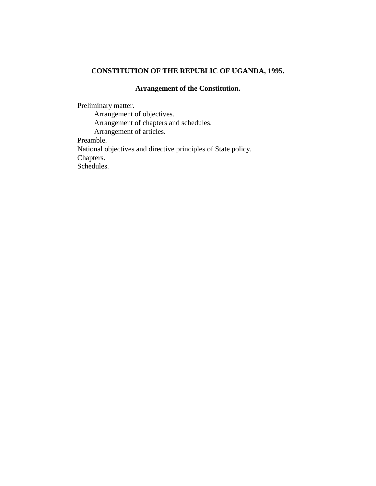# **CONSTITUTION OF THE REPUBLIC OF UGANDA, 1995.**

## **Arrangement of the Constitution.**

Preliminary matter. Arrangement of objectives. Arrangement of chapters and schedules. Arrangement of articles. Preamble. National objectives and directive principles of State policy. Chapters. Schedules.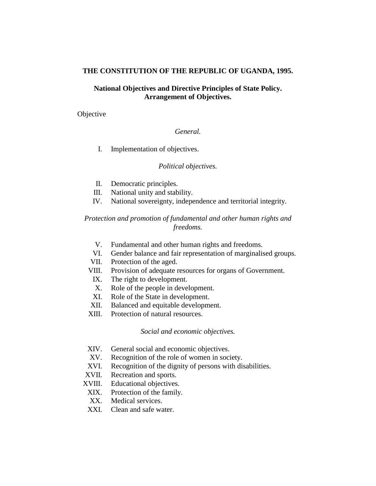### **THE CONSTITUTION OF THE REPUBLIC OF UGANDA, 1995.**

## **National Objectives and Directive Principles of State Policy. Arrangement of Objectives.**

### **Objective**

## *General.*

I. Implementation of objectives.

### *Political objectives.*

- II. Democratic principles.
- III. National unity and stability.
- IV. National sovereignty, independence and territorial integrity.

## *Protection and promotion of fundamental and other human rights and freedoms.*

- V. Fundamental and other human rights and freedoms.
- VI. Gender balance and fair representation of marginalised groups.
- VII. Protection of the aged.
- VIII. Provision of adequate resources for organs of Government.
- IX. The right to development.
- X. Role of the people in development.
- XI. Role of the State in development.
- XII. Balanced and equitable development.
- XIII. Protection of natural resources.

#### *Social and economic objectives.*

- XIV. General social and economic objectives.
- XV. Recognition of the role of women in society.
- XVI. Recognition of the dignity of persons with disabilities.
- XVII. Recreation and sports.
- XVIII. Educational objectives.
- XIX. Protection of the family.
- XX. Medical services.
- XXI. Clean and safe water.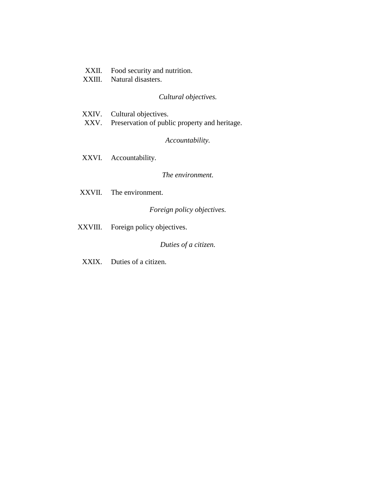- XXII. Food security and nutrition.
- XXIII. Natural disasters.

# *Cultural objectives.*

XXIV. Cultural objectives. XXV. Preservation of public property and heritage.

*Accountability.*

XXVI. Accountability.

*The environment.*

XXVII. The environment.

*Foreign policy objectives.*

XXVIII. Foreign policy objectives.

*Duties of a citizen.*

XXIX. Duties of a citizen.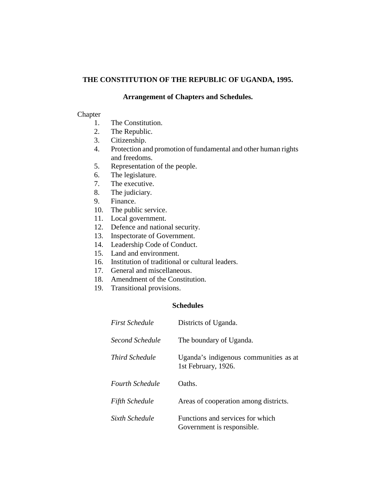# **THE CONSTITUTION OF THE REPUBLIC OF UGANDA, 1995.**

## **Arrangement of Chapters and Schedules.**

#### Chapter

- 1. The Constitution.
- 2. The Republic.
- 3. Citizenship.
- 4. Protection and promotion of fundamental and other human rights and freedoms.
- 5. Representation of the people.
- 6. The legislature.
- 7. The executive.
- 8. The judiciary.
- 9. Finance.
- 10. The public service.
- 11. Local government.
- 12. Defence and national security.
- 13. Inspectorate of Government.
- 14. Leadership Code of Conduct.
- 15. Land and environment.
- 16. Institution of traditional or cultural leaders.
- 17. General and miscellaneous.
- 18. Amendment of the Constitution.
- 19. Transitional provisions.

## **Schedules**

| <b>First Schedule</b>  | Districts of Uganda.                                           |
|------------------------|----------------------------------------------------------------|
| Second Schedule        | The boundary of Uganda.                                        |
| <i>Third Schedule</i>  | Uganda's indigenous communities as at<br>1st February, 1926.   |
| <b>Fourth Schedule</b> | Oaths.                                                         |
| <b>Fifth Schedule</b>  | Areas of cooperation among districts.                          |
| Sixth Schedule         | Functions and services for which<br>Government is responsible. |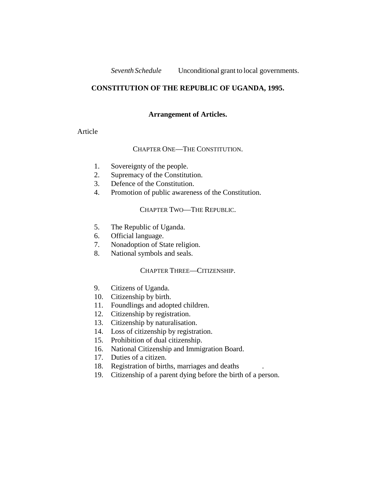### *Seventh Schedule* Unconditional grant to local governments.

## **CONSTITUTION OF THE REPUBLIC OF UGANDA, 1995.**

### **Arrangement of Articles.**

## Article

## CHAPTER ONE—THE CONSTITUTION.

- 1. Sovereignty of the people.
- 2. Supremacy of the Constitution.
- 3. Defence of the Constitution.
- 4. Promotion of public awareness of the Constitution.

## CHAPTER TWO—THE REPUBLIC.

- 5. The Republic of Uganda.
- 6. Official language.
- 7. Nonadoption of State religion.
- 8. National symbols and seals.

## CHAPTER THREE—CITIZENSHIP.

- 9. Citizens of Uganda.
- 10. Citizenship by birth.
- 11. Foundlings and adopted children.
- 12. Citizenship by registration.
- 13. Citizenship by naturalisation.
- 14. Loss of citizenship by registration.
- 15. Prohibition of dual citizenship.
- 16. National Citizenship and Immigration Board.
- 17. Duties of a citizen.
- 18. Registration of births, marriages and deaths
- 19. Citizenship of a parent dying before the birth of a person.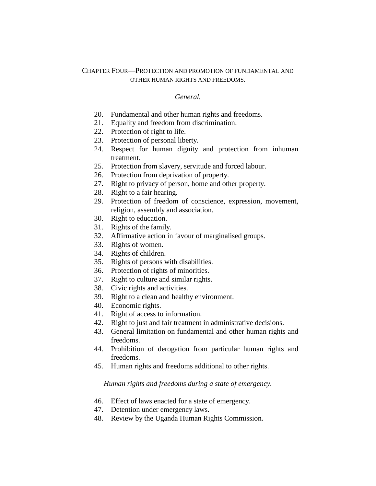### CHAPTER FOUR—PROTECTION AND PROMOTION OF FUNDAMENTAL AND OTHER HUMAN RIGHTS AND FREEDOMS.

#### *General.*

- 20. Fundamental and other human rights and freedoms.
- 21. Equality and freedom from discrimination.
- 22. Protection of right to life.
- 23. Protection of personal liberty.
- 24. Respect for human dignity and protection from inhuman treatment.
- 25. Protection from slavery, servitude and forced labour.
- 26. Protection from deprivation of property.
- 27. Right to privacy of person, home and other property.
- 28. Right to a fair hearing.
- 29. Protection of freedom of conscience, expression, movement, religion, assembly and association.
- 30. Right to education.
- 31. Rights of the family.
- 32. Affirmative action in favour of marginalised groups.
- 33. Rights of women.
- 34. Rights of children.
- 35. Rights of persons with disabilities.
- 36. Protection of rights of minorities.
- 37. Right to culture and similar rights.
- 38. Civic rights and activities.
- 39. Right to a clean and healthy environment.
- 40. Economic rights.
- 41. Right of access to information.
- 42. Right to just and fair treatment in administrative decisions.
- 43. General limitation on fundamental and other human rights and freedoms.
- 44. Prohibition of derogation from particular human rights and freedoms.
- 45. Human rights and freedoms additional to other rights.

#### *Human rights and freedoms during a state of emergency.*

- 46. Effect of laws enacted for a state of emergency.
- 47. Detention under emergency laws.
- 48. Review by the Uganda Human Rights Commission.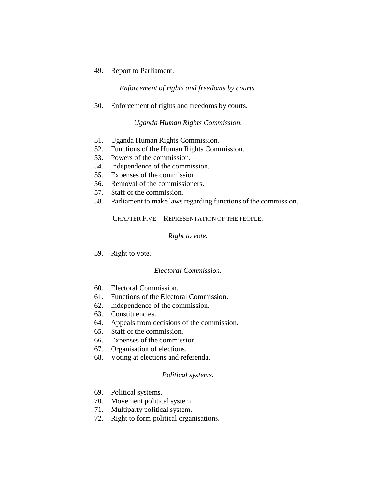### 49. Report to Parliament.

*Enforcement of rights and freedoms by courts.*

50. Enforcement of rights and freedoms by courts.

## *Uganda Human Rights Commission.*

- 51. Uganda Human Rights Commission.
- 52. Functions of the Human Rights Commission.
- 53. Powers of the commission.
- 54. Independence of the commission.
- 55. Expenses of the commission.
- 56. Removal of the commissioners.
- 57. Staff of the commission.
- 58. Parliament to make laws regarding functions of the commission.

CHAPTER FIVE—REPRESENTATION OF THE PEOPLE.

### *Right to vote.*

59. Right to vote.

#### *Electoral Commission.*

- 60. Electoral Commission.
- 61. Functions of the Electoral Commission.
- 62. Independence of the commission.
- 63. Constituencies.
- 64. Appeals from decisions of the commission.
- 65. Staff of the commission.
- 66. Expenses of the commission.
- 67. Organisation of elections.
- 68. Voting at elections and referenda.

#### *Political systems.*

- 69. Political systems.
- 70. Movement political system.
- 71. Multiparty political system.
- 72. Right to form political organisations.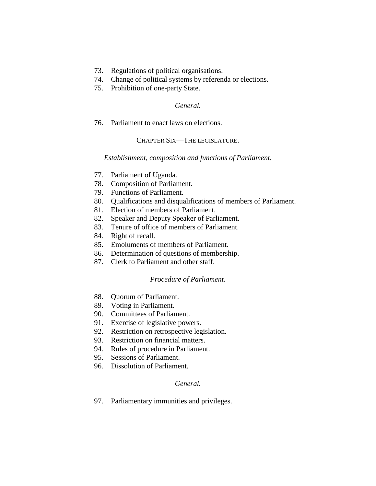- 73. Regulations of political organisations.
- 74. Change of political systems by referenda or elections.
- 75. Prohibition of one-party State.

### *General.*

76. Parliament to enact laws on elections.

### CHAPTER SIX—THE LEGISLATURE.

#### *Establishment, composition and functions of Parliament.*

- 77. Parliament of Uganda.
- 78. Composition of Parliament.
- 79. Functions of Parliament.
- 80. Qualifications and disqualifications of members of Parliament.
- 81. Election of members of Parliament.
- 82. Speaker and Deputy Speaker of Parliament.
- 83. Tenure of office of members of Parliament.
- 84. Right of recall.
- 85. Emoluments of members of Parliament.
- 86. Determination of questions of membership.
- 87. Clerk to Parliament and other staff.

#### *Procedure of Parliament.*

- 88. Quorum of Parliament.
- 89. Voting in Parliament.
- 90. Committees of Parliament.
- 91. Exercise of legislative powers.
- 92. Restriction on retrospective legislation.
- 93. Restriction on financial matters.
- 94. Rules of procedure in Parliament.
- 95. Sessions of Parliament.
- 96. Dissolution of Parliament.

#### *General.*

97. Parliamentary immunities and privileges.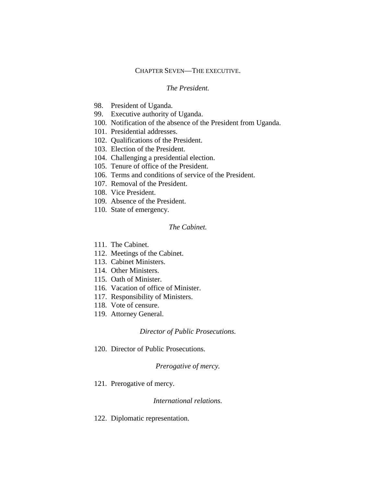## CHAPTER SEVEN—THE EXECUTIVE.

#### *The President.*

- 98. President of Uganda.
- 99. Executive authority of Uganda.
- 100. Notification of the absence of the President from Uganda.
- 101. Presidential addresses.
- 102. Qualifications of the President.
- 103. Election of the President.
- 104. Challenging a presidential election.
- 105. Tenure of office of the President.
- 106. Terms and conditions of service of the President.
- 107. Removal of the President.
- 108. Vice President.
- 109. Absence of the President.
- 110. State of emergency.

## *The Cabinet.*

- 111. The Cabinet.
- 112. Meetings of the Cabinet.
- 113. Cabinet Ministers.
- 114. Other Ministers.
- 115. Oath of Minister.
- 116. Vacation of office of Minister.
- 117. Responsibility of Ministers.
- 118. Vote of censure.
- 119. Attorney General.

#### *Director of Public Prosecutions.*

120. Director of Public Prosecutions.

### *Prerogative of mercy.*

121. Prerogative of mercy.

#### *International relations.*

122. Diplomatic representation.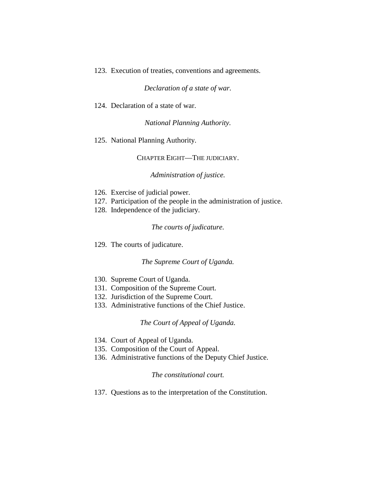123. Execution of treaties, conventions and agreements.

*Declaration of a state of war.*

124. Declaration of a state of war.

*National Planning Authority.*

125. National Planning Authority.

CHAPTER EIGHT—THE JUDICIARY.

#### *Administration of justice.*

- 126. Exercise of judicial power.
- 127. Participation of the people in the administration of justice.
- 128. Independence of the judiciary.

#### *The courts of judicature.*

129. The courts of judicature.

#### *The Supreme Court of Uganda.*

- 130. Supreme Court of Uganda.
- 131. Composition of the Supreme Court.
- 132. Jurisdiction of the Supreme Court.
- 133. Administrative functions of the Chief Justice.

*The Court of Appeal of Uganda.*

- 134. Court of Appeal of Uganda.
- 135. Composition of the Court of Appeal.
- 136. Administrative functions of the Deputy Chief Justice.

### *The constitutional court.*

137. Questions as to the interpretation of the Constitution.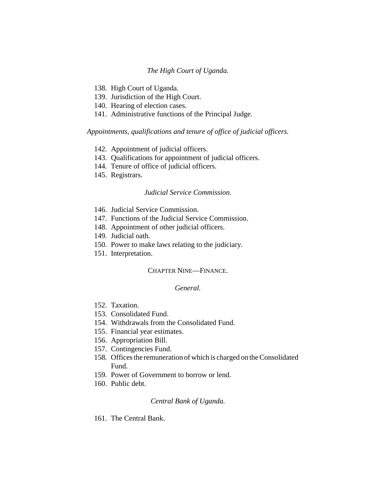## *The High Court of Uganda.*

- 138. High Court of Uganda.
- 139. Jurisdiction of the High Court.
- 140. Hearing of election cases.
- 141. Administrative functions of the Principal Judge.

#### *Appointments, qualifications and tenure of office of judicial officers.*

- 142. Appointment of judicial officers.
- 143. Qualifications for appointment of judicial officers.
- 144. Tenure of office of judicial officers.
- 145. Registrars.

#### *Judicial Service Commission.*

- 146. Judicial Service Commission.
- 147. Functions of the Judicial Service Commission.
- 148. Appointment of other judicial officers.
- 149. Judicial oath.
- 150. Power to make laws relating to the judiciary.
- 151. Interpretation.

#### CHAPTER NINE—FINANCE.

### *General.*

- 152. Taxation.
- 153. Consolidated Fund.
- 154. Withdrawals from the Consolidated Fund.
- 155. Financial year estimates.
- 156. Appropriation Bill.
- 157. Contingencies Fund.
- 158. Offices the remuneration of which is charged on the Consolidated Fund.
- 159. Power of Government to borrow or lend.
- 160. Public debt.

#### *Central Bank of Uganda.*

161. The Central Bank.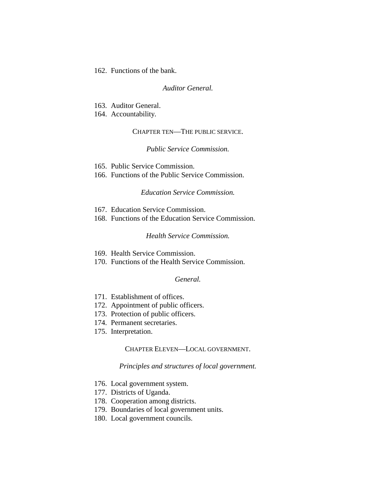162. Functions of the bank.

#### *Auditor General.*

- 163. Auditor General.
- 164. Accountability.

### CHAPTER TEN—THE PUBLIC SERVICE.

*Public Service Commission.*

- 165. Public Service Commission.
- 166. Functions of the Public Service Commission.

## *Education Service Commission.*

- 167. Education Service Commission.
- 168. Functions of the Education Service Commission.

#### *Health Service Commission.*

- 169. Health Service Commission.
- 170. Functions of the Health Service Commission.

### *General.*

- 171. Establishment of offices.
- 172. Appointment of public officers.
- 173. Protection of public officers.
- 174. Permanent secretaries.
- 175. Interpretation.

### CHAPTER ELEVEN—LOCAL GOVERNMENT.

#### *Principles and structures of local government.*

- 176. Local government system.
- 177. Districts of Uganda.
- 178. Cooperation among districts.
- 179. Boundaries of local government units.
- 180. Local government councils.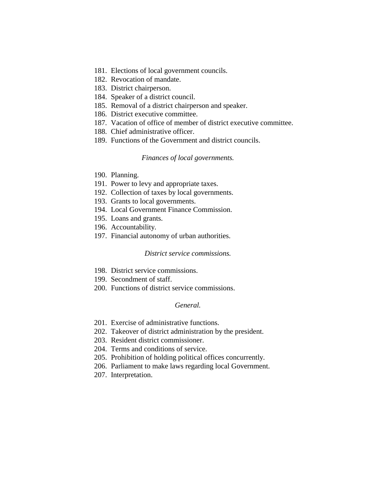- 181. Elections of local government councils.
- 182. Revocation of mandate.
- 183. District chairperson.
- 184. Speaker of a district council.
- 185. Removal of a district chairperson and speaker.
- 186. District executive committee.
- 187. Vacation of office of member of district executive committee.
- 188. Chief administrative officer.
- 189. Functions of the Government and district councils.

#### *Finances of local governments.*

- 190. Planning.
- 191. Power to levy and appropriate taxes.
- 192. Collection of taxes by local governments.
- 193. Grants to local governments.
- 194. Local Government Finance Commission.
- 195. Loans and grants.
- 196. Accountability.
- 197. Financial autonomy of urban authorities.

#### *District service commissions.*

- 198. District service commissions.
- 199. Secondment of staff.
- 200. Functions of district service commissions.

### *General.*

- 201. Exercise of administrative functions.
- 202. Takeover of district administration by the president.
- 203. Resident district commissioner.
- 204. Terms and conditions of service.
- 205. Prohibition of holding political offices concurrently.
- 206. Parliament to make laws regarding local Government.
- 207. Interpretation.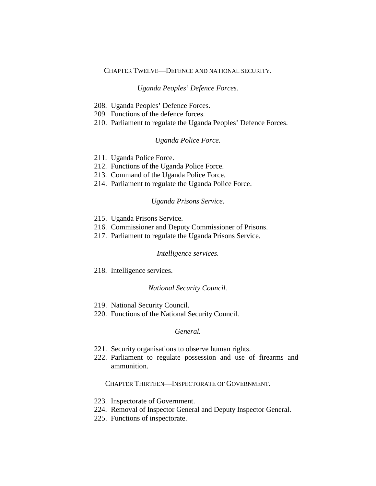### CHAPTER TWELVE—DEFENCE AND NATIONAL SECURITY.

#### *Uganda Peoples' Defence Forces.*

- 208. Uganda Peoples' Defence Forces.
- 209. Functions of the defence forces.
- 210. Parliament to regulate the Uganda Peoples' Defence Forces.

### *Uganda Police Force.*

- 211. Uganda Police Force.
- 212. Functions of the Uganda Police Force.
- 213. Command of the Uganda Police Force.
- 214. Parliament to regulate the Uganda Police Force.

#### *Uganda Prisons Service.*

- 215. Uganda Prisons Service.
- 216. Commissioner and Deputy Commissioner of Prisons.
- 217. Parliament to regulate the Uganda Prisons Service.

#### *Intelligence services.*

218. Intelligence services.

#### *National Security Council.*

- 219. National Security Council.
- 220. Functions of the National Security Council.

### *General.*

- 221. Security organisations to observe human rights.
- 222. Parliament to regulate possession and use of firearms and ammunition.

#### CHAPTER THIRTEEN—INSPECTORATE OF GOVERNMENT.

- 223. Inspectorate of Government.
- 224. Removal of Inspector General and Deputy Inspector General.
- 225. Functions of inspectorate.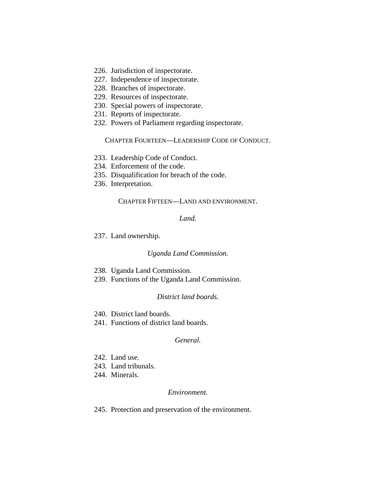- 226. Jurisdiction of inspectorate.
- 227. Independence of inspectorate.
- 228. Branches of inspectorate.
- 229. Resources of inspectorate.
- 230. Special powers of inspectorate.
- 231. Reports of inspectorate.
- 232. Powers of Parliament regarding inspectorate.

## CHAPTER FOURTEEN—LEADERSHIP CODE OF CONDUCT.

- 233. Leadership Code of Conduct.
- 234. Enforcement of the code.
- 235. Disqualification for breach of the code.
- 236. Interpretation.

### CHAPTER FIFTEEN—LAND AND ENVIRONMENT.

#### *Land.*

237. Land ownership.

#### *Uganda Land Commission.*

- 238. Uganda Land Commission.
- 239. Functions of the Uganda Land Commission.

#### *District land boards.*

- 240. District land boards.
- 241. Functions of district land boards.

#### *General.*

- 242. Land use.
- 243. Land tribunals.
- 244. Minerals.

#### *Environment.*

245. Protection and preservation of the environment.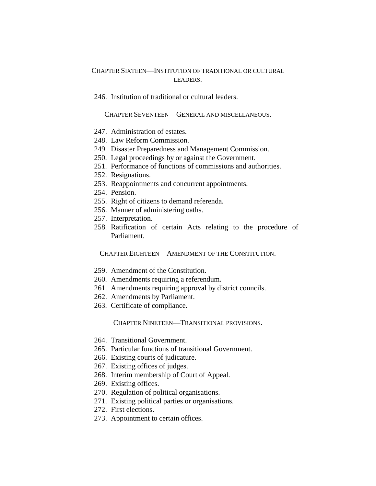## CHAPTER SIXTEEN—INSTITUTION OF TRADITIONAL OR CULTURAL LEADERS.

246. Institution of traditional or cultural leaders.

CHAPTER SEVENTEEN—GENERAL AND MISCELLANEOUS.

- 247. Administration of estates.
- 248. Law Reform Commission.
- 249. Disaster Preparedness and Management Commission.
- 250. Legal proceedings by or against the Government.
- 251. Performance of functions of commissions and authorities.
- 252. Resignations.
- 253. Reappointments and concurrent appointments.
- 254. Pension.
- 255. Right of citizens to demand referenda.
- 256. Manner of administering oaths.
- 257. Interpretation.
- 258. Ratification of certain Acts relating to the procedure of Parliament.

CHAPTER EIGHTEEN—AMENDMENT OF THE CONSTITUTION.

- 259. Amendment of the Constitution.
- 260. Amendments requiring a referendum.
- 261. Amendments requiring approval by district councils.
- 262. Amendments by Parliament.
- 263. Certificate of compliance.

CHAPTER NINETEEN—TRANSITIONAL PROVISIONS.

- 264. Transitional Government.
- 265. Particular functions of transitional Government.
- 266. Existing courts of judicature.
- 267. Existing offices of judges.
- 268. Interim membership of Court of Appeal.
- 269. Existing offices.
- 270. Regulation of political organisations.
- 271. Existing political parties or organisations.
- 272. First elections.
- 273. Appointment to certain offices.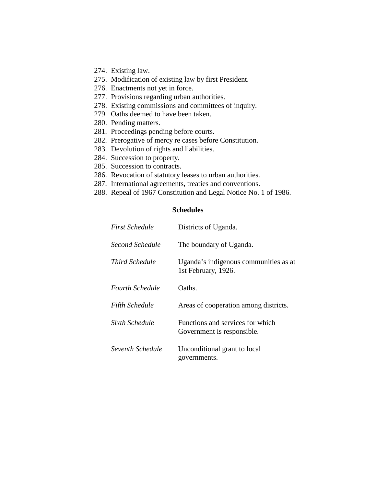- 274. Existing law.
- 275. Modification of existing law by first President.
- 276. Enactments not yet in force.
- 277. Provisions regarding urban authorities.
- 278. Existing commissions and committees of inquiry.
- 279. Oaths deemed to have been taken.
- 280. Pending matters.
- 281. Proceedings pending before courts.
- 282. Prerogative of mercy re cases before Constitution.
- 283. Devolution of rights and liabilities.
- 284. Succession to property.
- 285. Succession to contracts.
- 286. Revocation of statutory leases to urban authorities.
- 287. International agreements, treaties and conventions.
- 288. Repeal of 1967 Constitution and Legal Notice No. 1 of 1986.

### **Schedules**

| <b>First Schedule</b>  | Districts of Uganda.                                           |
|------------------------|----------------------------------------------------------------|
| Second Schedule        | The boundary of Uganda.                                        |
| <i>Third Schedule</i>  | Uganda's indigenous communities as at<br>1st February, 1926.   |
| <b>Fourth Schedule</b> | Oaths.                                                         |
| <b>Fifth Schedule</b>  | Areas of cooperation among districts.                          |
| Sixth Schedule         | Functions and services for which<br>Government is responsible. |
| Seventh Schedule       | Unconditional grant to local<br>governments.                   |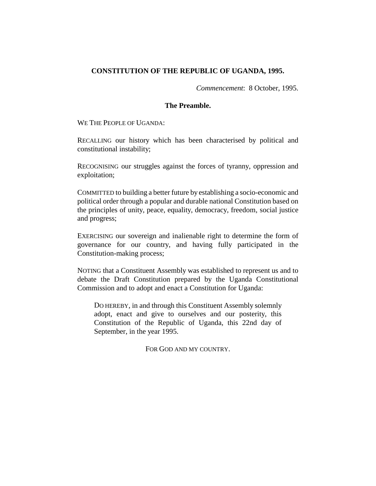## **CONSTITUTION OF THE REPUBLIC OF UGANDA, 1995.**

*Commencement*: 8 October, 1995.

## **The Preamble.**

WE THE PEOPLE OF UGANDA:

RECALLING our history which has been characterised by political and constitutional instability;

RECOGNISING our struggles against the forces of tyranny, oppression and exploitation;

COMMITTED to building a better future by establishing a socio-economic and political order through a popular and durable national Constitution based on the principles of unity, peace, equality, democracy, freedom, social justice and progress;

EXERCISING our sovereign and inalienable right to determine the form of governance for our country, and having fully participated in the Constitution-making process;

NOTING that a Constituent Assembly was established to represent us and to debate the Draft Constitution prepared by the Uganda Constitutional Commission and to adopt and enact a Constitution for Uganda:

DO HEREBY, in and through this Constituent Assembly solemnly adopt, enact and give to ourselves and our posterity, this Constitution of the Republic of Uganda, this 22nd day of September, in the year 1995.

FOR GOD AND MY COUNTRY.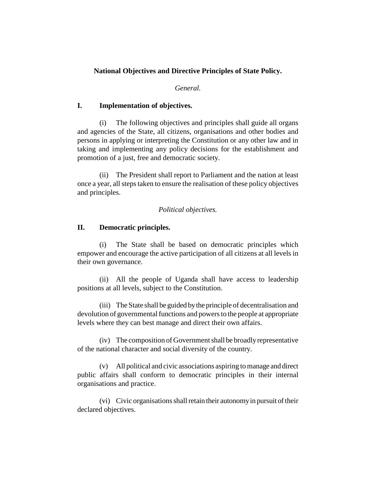## **National Objectives and Directive Principles of State Policy.**

### *General.*

### **I. Implementation of objectives.**

(i) The following objectives and principles shall guide all organs and agencies of the State, all citizens, organisations and other bodies and persons in applying or interpreting the Constitution or any other law and in taking and implementing any policy decisions for the establishment and promotion of a just, free and democratic society.

(ii) The President shall report to Parliament and the nation at least once a year, all steps taken to ensure the realisation of these policy objectives and principles.

## *Political objectives.*

## **II. Democratic principles.**

(i) The State shall be based on democratic principles which empower and encourage the active participation of all citizens at all levels in their own governance.

(ii) All the people of Uganda shall have access to leadership positions at all levels, subject to the Constitution.

(iii) The State shall be guided by the principle of decentralisation and devolution of governmental functions and powers to the people at appropriate levels where they can best manage and direct their own affairs.

(iv) The composition of Government shall be broadly representative of the national character and social diversity of the country.

(v) All political and civic associations aspiring to manage and direct public affairs shall conform to democratic principles in their internal organisations and practice.

(vi) Civic organisations shall retain their autonomy in pursuit of their declared objectives.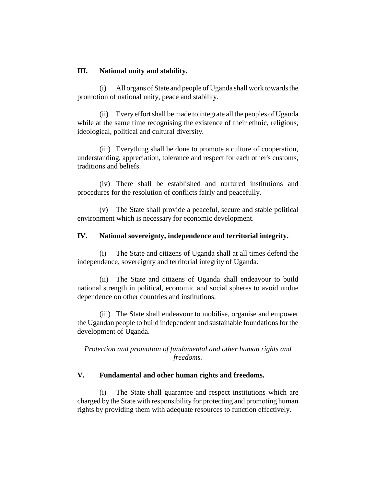### **III. National unity and stability.**

(i) All organs of State and people of Uganda shall work towards the promotion of national unity, peace and stability.

(ii) Every effort shall be made to integrate all the peoples of Uganda while at the same time recognising the existence of their ethnic, religious, ideological, political and cultural diversity.

(iii) Everything shall be done to promote a culture of cooperation, understanding, appreciation, tolerance and respect for each other's customs, traditions and beliefs.

(iv) There shall be established and nurtured institutions and procedures for the resolution of conflicts fairly and peacefully.

(v) The State shall provide a peaceful, secure and stable political environment which is necessary for economic development.

### **IV. National sovereignty, independence and territorial integrity.**

(i) The State and citizens of Uganda shall at all times defend the independence, sovereignty and territorial integrity of Uganda.

(ii) The State and citizens of Uganda shall endeavour to build national strength in political, economic and social spheres to avoid undue dependence on other countries and institutions.

(iii) The State shall endeavour to mobilise, organise and empower the Ugandan people to build independent and sustainable foundations for the development of Uganda.

*Protection and promotion of fundamental and other human rights and freedoms.*

### **V. Fundamental and other human rights and freedoms.**

(i) The State shall guarantee and respect institutions which are charged by the State with responsibility for protecting and promoting human rights by providing them with adequate resources to function effectively.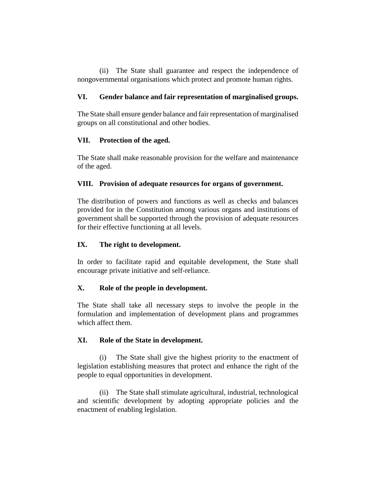(ii) The State shall guarantee and respect the independence of nongovernmental organisations which protect and promote human rights.

# **VI. Gender balance and fair representation of marginalised groups.**

The State shall ensure gender balance and fair representation of marginalised groups on all constitutional and other bodies.

## **VII. Protection of the aged.**

The State shall make reasonable provision for the welfare and maintenance of the aged.

## **VIII. Provision of adequate resources for organs of government.**

The distribution of powers and functions as well as checks and balances provided for in the Constitution among various organs and institutions of government shall be supported through the provision of adequate resources for their effective functioning at all levels.

# **IX. The right to development.**

In order to facilitate rapid and equitable development, the State shall encourage private initiative and self-reliance.

# **X. Role of the people in development.**

The State shall take all necessary steps to involve the people in the formulation and implementation of development plans and programmes which affect them.

# **XI. Role of the State in development.**

(i) The State shall give the highest priority to the enactment of legislation establishing measures that protect and enhance the right of the people to equal opportunities in development.

(ii) The State shall stimulate agricultural, industrial, technological and scientific development by adopting appropriate policies and the enactment of enabling legislation.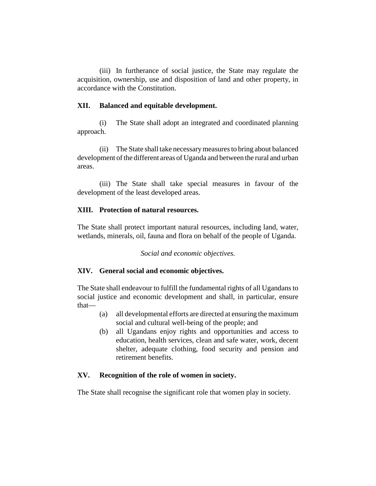(iii) In furtherance of social justice, the State may regulate the acquisition, ownership, use and disposition of land and other property, in accordance with the Constitution.

## **XII. Balanced and equitable development.**

(i) The State shall adopt an integrated and coordinated planning approach.

(ii) The State shall take necessary measures to bring about balanced development of the different areas of Uganda and between the rural and urban areas.

(iii) The State shall take special measures in favour of the development of the least developed areas.

# **XIII. Protection of natural resources.**

The State shall protect important natural resources, including land, water, wetlands, minerals, oil, fauna and flora on behalf of the people of Uganda.

*Social and economic objectives.*

# **XIV. General social and economic objectives.**

The State shall endeavour to fulfill the fundamental rights of all Ugandans to social justice and economic development and shall, in particular, ensure that—

- (a) all developmental efforts are directed at ensuring the maximum social and cultural well-being of the people; and
- (b) all Ugandans enjoy rights and opportunities and access to education, health services, clean and safe water, work, decent shelter, adequate clothing, food security and pension and retirement benefits.

# **XV. Recognition of the role of women in society.**

The State shall recognise the significant role that women play in society.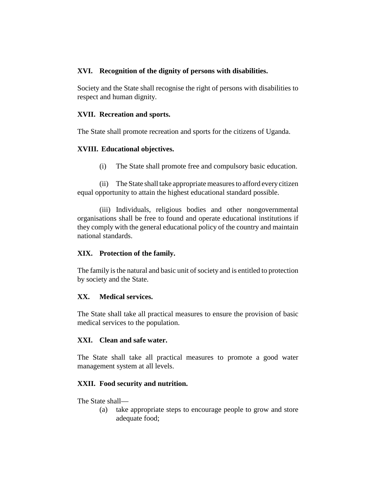# **XVI. Recognition of the dignity of persons with disabilities.**

Society and the State shall recognise the right of persons with disabilities to respect and human dignity.

## **XVII. Recreation and sports.**

The State shall promote recreation and sports for the citizens of Uganda.

# **XVIII. Educational objectives.**

(i) The State shall promote free and compulsory basic education.

(ii) The State shall take appropriate measures to afford every citizen equal opportunity to attain the highest educational standard possible.

(iii) Individuals, religious bodies and other nongovernmental organisations shall be free to found and operate educational institutions if they comply with the general educational policy of the country and maintain national standards.

# **XIX. Protection of the family.**

The family is the natural and basic unit of society and is entitled to protection by society and the State.

# **XX. Medical services.**

The State shall take all practical measures to ensure the provision of basic medical services to the population.

## **XXI. Clean and safe water.**

The State shall take all practical measures to promote a good water management system at all levels.

# **XXII. Food security and nutrition.**

The State shall—

(a) take appropriate steps to encourage people to grow and store adequate food;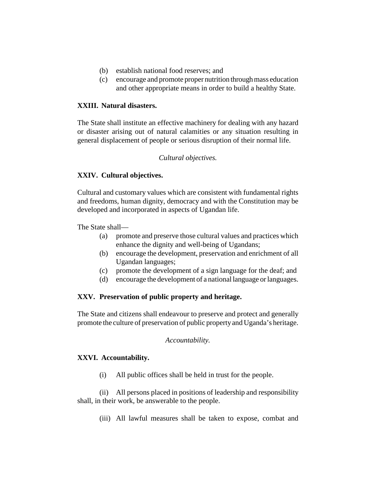- (b) establish national food reserves; and
- (c) encourage and promote proper nutrition through mass education and other appropriate means in order to build a healthy State.

## **XXIII. Natural disasters.**

The State shall institute an effective machinery for dealing with any hazard or disaster arising out of natural calamities or any situation resulting in general displacement of people or serious disruption of their normal life.

## *Cultural objectives.*

# **XXIV. Cultural objectives.**

Cultural and customary values which are consistent with fundamental rights and freedoms, human dignity, democracy and with the Constitution may be developed and incorporated in aspects of Ugandan life.

The State shall—

- (a) promote and preserve those cultural values and practices which enhance the dignity and well-being of Ugandans;
- (b) encourage the development, preservation and enrichment of all Ugandan languages;
- (c) promote the development of a sign language for the deaf; and
- (d) encourage the development of a national language or languages.

## **XXV. Preservation of public property and heritage.**

The State and citizens shall endeavour to preserve and protect and generally promote the culture of preservation of public property and Uganda's heritage.

*Accountability.*

## **XXVI. Accountability.**

(i) All public offices shall be held in trust for the people.

(ii) All persons placed in positions of leadership and responsibility shall, in their work, be answerable to the people.

(iii) All lawful measures shall be taken to expose, combat and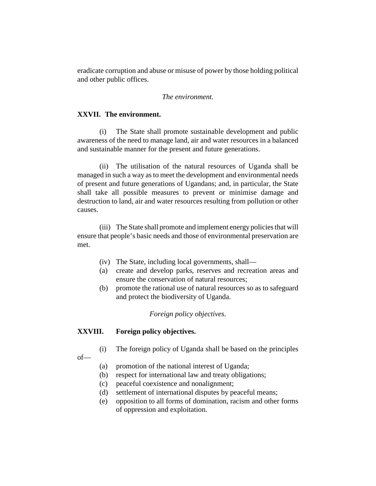eradicate corruption and abuse or misuse of power by those holding political and other public offices.

### *The environment.*

## **XXVII. The environment.**

(i) The State shall promote sustainable development and public awareness of the need to manage land, air and water resources in a balanced and sustainable manner for the present and future generations.

(ii) The utilisation of the natural resources of Uganda shall be managed in such a way as to meet the development and environmental needs of present and future generations of Ugandans; and, in particular, the State shall take all possible measures to prevent or minimise damage and destruction to land, air and water resources resulting from pollution or other causes.

(iii) The State shall promote and implement energy policies that will ensure that people's basic needs and those of environmental preservation are met.

- (iv) The State, including local governments, shall—
- (a) create and develop parks, reserves and recreation areas and ensure the conservation of natural resources;
- (b) promote the rational use of natural resources so as to safeguard and protect the biodiversity of Uganda.

#### *Foreign policy objectives.*

## **XXVIII. Foreign policy objectives.**

(i) The foreign policy of Uganda shall be based on the principles

of—

- (a) promotion of the national interest of Uganda;
- (b) respect for international law and treaty obligations;
- (c) peaceful coexistence and nonalignment;
- (d) settlement of international disputes by peaceful means;
- (e) opposition to all forms of domination, racism and other forms of oppression and exploitation.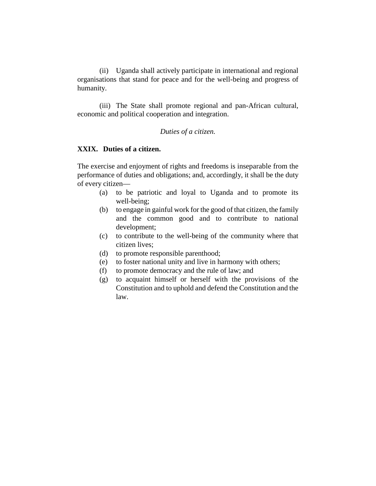(ii) Uganda shall actively participate in international and regional organisations that stand for peace and for the well-being and progress of humanity.

(iii) The State shall promote regional and pan-African cultural, economic and political cooperation and integration.

#### *Duties of a citizen.*

## **XXIX. Duties of a citizen.**

The exercise and enjoyment of rights and freedoms is inseparable from the performance of duties and obligations; and, accordingly, it shall be the duty of every citizen—

- (a) to be patriotic and loyal to Uganda and to promote its well-being;
- (b) to engage in gainful work for the good of that citizen, the family and the common good and to contribute to national development;
- (c) to contribute to the well-being of the community where that citizen lives;
- (d) to promote responsible parenthood;
- (e) to foster national unity and live in harmony with others;
- (f) to promote democracy and the rule of law; and
- (g) to acquaint himself or herself with the provisions of the Constitution and to uphold and defend the Constitution and the law.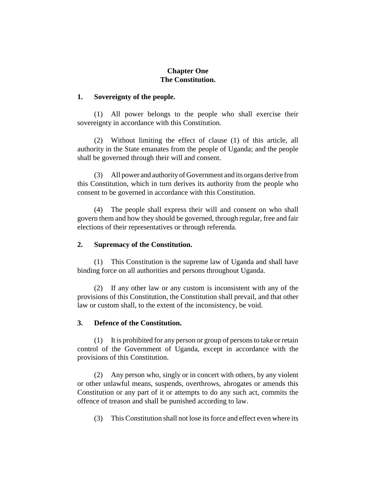## **Chapter One The Constitution.**

### **1. Sovereignty of the people.**

(1) All power belongs to the people who shall exercise their sovereignty in accordance with this Constitution.

(2) Without limiting the effect of clause (1) of this article, all authority in the State emanates from the people of Uganda; and the people shall be governed through their will and consent.

(3) All power and authority of Government and its organs derive from this Constitution, which in turn derives its authority from the people who consent to be governed in accordance with this Constitution.

(4) The people shall express their will and consent on who shall govern them and how they should be governed, through regular, free and fair elections of their representatives or through referenda.

## **2. Supremacy of the Constitution.**

(1) This Constitution is the supreme law of Uganda and shall have binding force on all authorities and persons throughout Uganda.

(2) If any other law or any custom is inconsistent with any of the provisions of this Constitution, the Constitution shall prevail, and that other law or custom shall, to the extent of the inconsistency, be void.

## **3. Defence of the Constitution.**

(1) It is prohibited for any person or group of persons to take or retain control of the Government of Uganda, except in accordance with the provisions of this Constitution.

(2) Any person who, singly or in concert with others, by any violent or other unlawful means, suspends, overthrows, abrogates or amends this Constitution or any part of it or attempts to do any such act, commits the offence of treason and shall be punished according to law.

(3) This Constitution shall not lose its force and effect even where its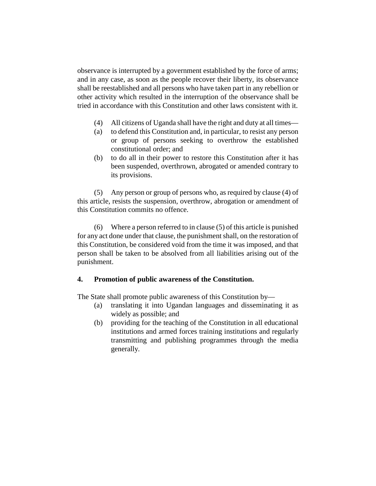observance is interrupted by a government established by the force of arms; and in any case, as soon as the people recover their liberty, its observance shall be reestablished and all persons who have taken part in any rebellion or other activity which resulted in the interruption of the observance shall be tried in accordance with this Constitution and other laws consistent with it.

- (4) All citizens of Uganda shall have the right and duty at all times—
- (a) to defend this Constitution and, in particular, to resist any person or group of persons seeking to overthrow the established constitutional order; and
- (b) to do all in their power to restore this Constitution after it has been suspended, overthrown, abrogated or amended contrary to its provisions.

(5) Any person or group of persons who, as required by clause (4) of this article, resists the suspension, overthrow, abrogation or amendment of this Constitution commits no offence.

(6) Where a person referred to in clause (5) of this article is punished for any act done under that clause, the punishment shall, on the restoration of this Constitution, be considered void from the time it was imposed, and that person shall be taken to be absolved from all liabilities arising out of the punishment.

# **4. Promotion of public awareness of the Constitution.**

The State shall promote public awareness of this Constitution by—

- (a) translating it into Ugandan languages and disseminating it as widely as possible; and
- (b) providing for the teaching of the Constitution in all educational institutions and armed forces training institutions and regularly transmitting and publishing programmes through the media generally.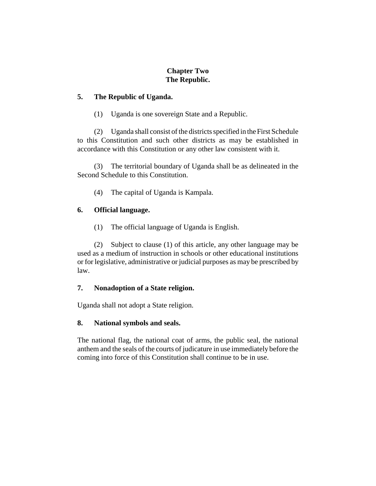# **Chapter Two The Republic.**

# **5. The Republic of Uganda.**

(1) Uganda is one sovereign State and a Republic.

(2) Uganda shall consist of the districts specified in the First Schedule to this Constitution and such other districts as may be established in accordance with this Constitution or any other law consistent with it.

(3) The territorial boundary of Uganda shall be as delineated in the Second Schedule to this Constitution.

(4) The capital of Uganda is Kampala.

# **6. Official language.**

(1) The official language of Uganda is English.

(2) Subject to clause (1) of this article, any other language may be used as a medium of instruction in schools or other educational institutions or for legislative, administrative or judicial purposes as may be prescribed by law.

# **7. Nonadoption of a State religion.**

Uganda shall not adopt a State religion.

# **8. National symbols and seals.**

The national flag, the national coat of arms, the public seal, the national anthem and the seals of the courts of judicature in use immediately before the coming into force of this Constitution shall continue to be in use.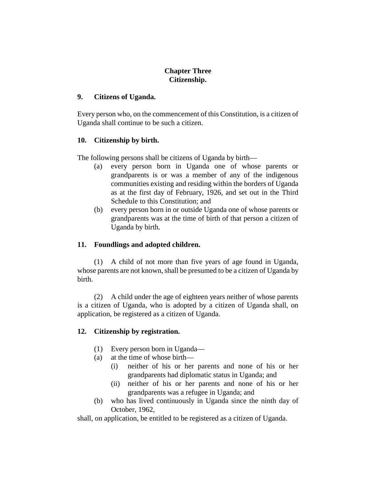# **Chapter Three Citizenship.**

## **9. Citizens of Uganda.**

Every person who, on the commencement of this Constitution, is a citizen of Uganda shall continue to be such a citizen.

# **10. Citizenship by birth.**

The following persons shall be citizens of Uganda by birth—

- (a) every person born in Uganda one of whose parents or grandparents is or was a member of any of the indigenous communities existing and residing within the borders of Uganda as at the first day of February, 1926, and set out in the Third Schedule to this Constitution; and
- (b) every person born in or outside Uganda one of whose parents or grandparents was at the time of birth of that person a citizen of Uganda by birth.

# **11. Foundlings and adopted children.**

(1) A child of not more than five years of age found in Uganda, whose parents are not known, shall be presumed to be a citizen of Uganda by birth.

(2) A child under the age of eighteen years neither of whose parents is a citizen of Uganda, who is adopted by a citizen of Uganda shall, on application, be registered as a citizen of Uganda.

# **12. Citizenship by registration.**

- (1) Every person born in Uganda—
- (a) at the time of whose birth—
	- (i) neither of his or her parents and none of his or her grandparents had diplomatic status in Uganda; and
	- (ii) neither of his or her parents and none of his or her grandparents was a refugee in Uganda; and
- (b) who has lived continuously in Uganda since the ninth day of October, 1962,

shall, on application, be entitled to be registered as a citizen of Uganda.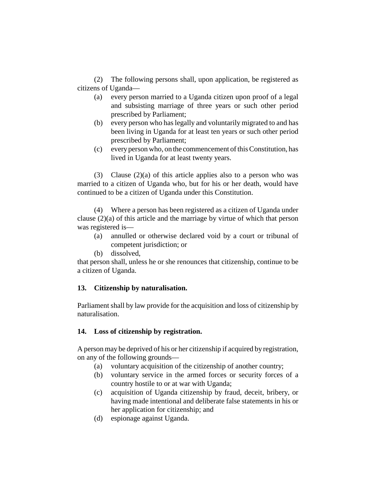(2) The following persons shall, upon application, be registered as citizens of Uganda—

- (a) every person married to a Uganda citizen upon proof of a legal and subsisting marriage of three years or such other period prescribed by Parliament;
- (b) every person who has legally and voluntarily migrated to and has been living in Uganda for at least ten years or such other period prescribed by Parliament;
- (c) every person who, on the commencement of this Constitution, has lived in Uganda for at least twenty years.

(3) Clause (2)(a) of this article applies also to a person who was married to a citizen of Uganda who, but for his or her death, would have continued to be a citizen of Uganda under this Constitution.

(4) Where a person has been registered as a citizen of Uganda under clause (2)(a) of this article and the marriage by virtue of which that person was registered is—

- (a) annulled or otherwise declared void by a court or tribunal of competent jurisdiction; or
- (b) dissolved,

that person shall, unless he or she renounces that citizenship, continue to be a citizen of Uganda.

## **13. Citizenship by naturalisation.**

Parliament shall by law provide for the acquisition and loss of citizenship by naturalisation.

## **14. Loss of citizenship by registration.**

A person may be deprived of his or her citizenship if acquired by registration, on any of the following grounds—

- (a) voluntary acquisition of the citizenship of another country;
- (b) voluntary service in the armed forces or security forces of a country hostile to or at war with Uganda;
- (c) acquisition of Uganda citizenship by fraud, deceit, bribery, or having made intentional and deliberate false statements in his or her application for citizenship; and
- (d) espionage against Uganda.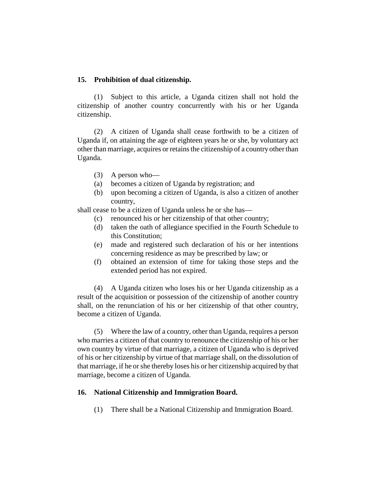### **15. Prohibition of dual citizenship.**

(1) Subject to this article, a Uganda citizen shall not hold the citizenship of another country concurrently with his or her Uganda citizenship.

(2) A citizen of Uganda shall cease forthwith to be a citizen of Uganda if, on attaining the age of eighteen years he or she, by voluntary act other than marriage, acquires or retains the citizenship of a country other than Uganda.

- (3) A person who—
- (a) becomes a citizen of Uganda by registration; and
- (b) upon becoming a citizen of Uganda, is also a citizen of another country,

shall cease to be a citizen of Uganda unless he or she has—

- (c) renounced his or her citizenship of that other country;
- (d) taken the oath of allegiance specified in the Fourth Schedule to this Constitution;
- (e) made and registered such declaration of his or her intentions concerning residence as may be prescribed by law; or
- (f) obtained an extension of time for taking those steps and the extended period has not expired.

(4) A Uganda citizen who loses his or her Uganda citizenship as a result of the acquisition or possession of the citizenship of another country shall, on the renunciation of his or her citizenship of that other country, become a citizen of Uganda.

(5) Where the law of a country, other than Uganda, requires a person who marries a citizen of that country to renounce the citizenship of his or her own country by virtue of that marriage, a citizen of Uganda who is deprived of his or her citizenship by virtue of that marriage shall, on the dissolution of that marriage, if he or she thereby loses his or her citizenship acquired by that marriage, become a citizen of Uganda.

#### **16. National Citizenship and Immigration Board.**

(1) There shall be a National Citizenship and Immigration Board.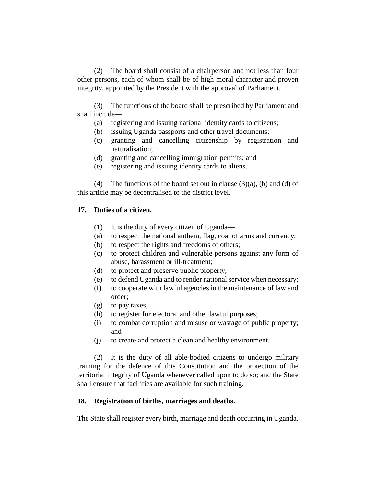(2) The board shall consist of a chairperson and not less than four other persons, each of whom shall be of high moral character and proven integrity, appointed by the President with the approval of Parliament.

(3) The functions of the board shall be prescribed by Parliament and shall include—

- (a) registering and issuing national identity cards to citizens;
- (b) issuing Uganda passports and other travel documents;
- (c) granting and cancelling citizenship by registration and naturalisation;
- (d) granting and cancelling immigration permits; and
- (e) registering and issuing identity cards to aliens.

(4) The functions of the board set out in clause  $(3)(a)$ , (b) and (d) of this article may be decentralised to the district level.

## **17. Duties of a citizen.**

- (1) It is the duty of every citizen of Uganda—
- (a) to respect the national anthem, flag, coat of arms and currency;
- (b) to respect the rights and freedoms of others;
- (c) to protect children and vulnerable persons against any form of abuse, harassment or ill-treatment;
- (d) to protect and preserve public property;
- (e) to defend Uganda and to render national service when necessary;
- (f) to cooperate with lawful agencies in the maintenance of law and order;
- (g) to pay taxes;
- (h) to register for electoral and other lawful purposes;
- (i) to combat corruption and misuse or wastage of public property; and
- (j) to create and protect a clean and healthy environment.

(2) It is the duty of all able-bodied citizens to undergo military training for the defence of this Constitution and the protection of the territorial integrity of Uganda whenever called upon to do so; and the State shall ensure that facilities are available for such training.

#### **18. Registration of births, marriages and deaths.**

The State shall register every birth, marriage and death occurring in Uganda.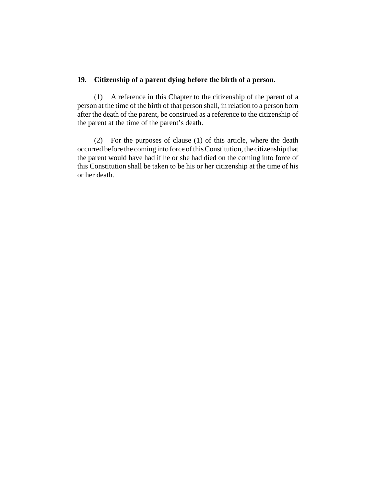### **19. Citizenship of a parent dying before the birth of a person.**

(1) A reference in this Chapter to the citizenship of the parent of a person at the time of the birth of that person shall, in relation to a person born after the death of the parent, be construed as a reference to the citizenship of the parent at the time of the parent's death.

(2) For the purposes of clause (1) of this article, where the death occurred before the coming into force of this Constitution, the citizenship that the parent would have had if he or she had died on the coming into force of this Constitution shall be taken to be his or her citizenship at the time of his or her death.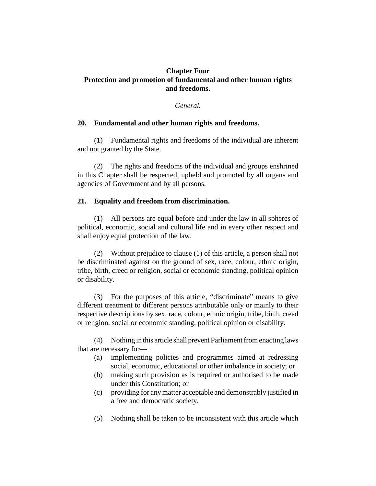# **Chapter Four Protection and promotion of fundamental and other human rights and freedoms.**

*General.*

### **20. Fundamental and other human rights and freedoms.**

(1) Fundamental rights and freedoms of the individual are inherent and not granted by the State.

(2) The rights and freedoms of the individual and groups enshrined in this Chapter shall be respected, upheld and promoted by all organs and agencies of Government and by all persons.

## **21. Equality and freedom from discrimination.**

(1) All persons are equal before and under the law in all spheres of political, economic, social and cultural life and in every other respect and shall enjoy equal protection of the law.

(2) Without prejudice to clause (1) of this article, a person shall not be discriminated against on the ground of sex, race, colour, ethnic origin, tribe, birth, creed or religion, social or economic standing, political opinion or disability.

(3) For the purposes of this article, "discriminate" means to give different treatment to different persons attributable only or mainly to their respective descriptions by sex, race, colour, ethnic origin, tribe, birth, creed or religion, social or economic standing, political opinion or disability.

(4) Nothing in this article shall prevent Parliament from enacting laws that are necessary for—

- (a) implementing policies and programmes aimed at redressing social, economic, educational or other imbalance in society; or
- (b) making such provision as is required or authorised to be made under this Constitution; or
- (c) providing for any matter acceptable and demonstrably justified in a free and democratic society.
- (5) Nothing shall be taken to be inconsistent with this article which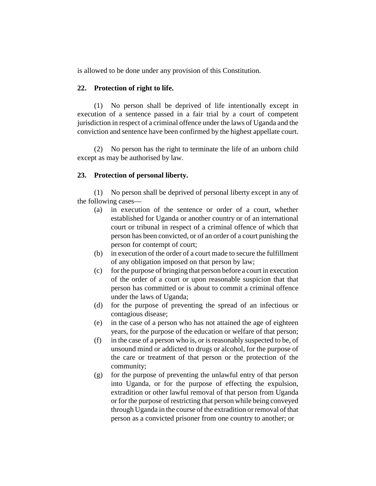is allowed to be done under any provision of this Constitution.

### **22. Protection of right to life.**

(1) No person shall be deprived of life intentionally except in execution of a sentence passed in a fair trial by a court of competent jurisdiction in respect of a criminal offence under the laws of Uganda and the conviction and sentence have been confirmed by the highest appellate court.

(2) No person has the right to terminate the life of an unborn child except as may be authorised by law.

## **23. Protection of personal liberty.**

(1) No person shall be deprived of personal liberty except in any of the following cases—

- (a) in execution of the sentence or order of a court, whether established for Uganda or another country or of an international court or tribunal in respect of a criminal offence of which that person has been convicted, or of an order of a court punishing the person for contempt of court;
- (b) in execution of the order of a court made to secure the fulfillment of any obligation imposed on that person by law;
- (c) for the purpose of bringing that person before a court in execution of the order of a court or upon reasonable suspicion that that person has committed or is about to commit a criminal offence under the laws of Uganda;
- (d) for the purpose of preventing the spread of an infectious or contagious disease;
- (e) in the case of a person who has not attained the age of eighteen years, for the purpose of the education or welfare of that person;
- $(f)$  in the case of a person who is, or is reasonably suspected to be, of unsound mind or addicted to drugs or alcohol, for the purpose of the care or treatment of that person or the protection of the community;
- (g) for the purpose of preventing the unlawful entry of that person into Uganda, or for the purpose of effecting the expulsion, extradition or other lawful removal of that person from Uganda or for the purpose of restricting that person while being conveyed through Uganda in the course of the extradition or removal of that person as a convicted prisoner from one country to another; or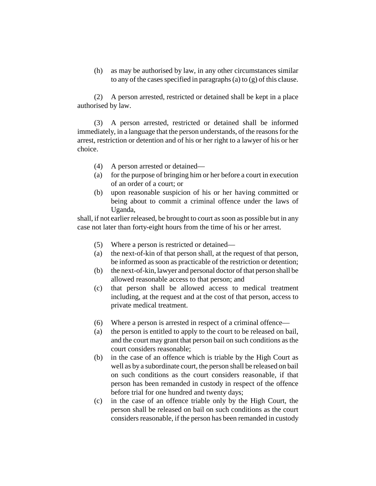(h) as may be authorised by law, in any other circumstances similar to any of the cases specified in paragraphs (a) to (g) of this clause.

(2) A person arrested, restricted or detained shall be kept in a place authorised by law.

(3) A person arrested, restricted or detained shall be informed immediately, in a language that the person understands, of the reasons for the arrest, restriction or detention and of his or her right to a lawyer of his or her choice.

- (4) A person arrested or detained—
- (a) for the purpose of bringing him or her before a court in execution of an order of a court; or
- (b) upon reasonable suspicion of his or her having committed or being about to commit a criminal offence under the laws of Uganda,

shall, if not earlier released, be brought to court as soon as possible but in any case not later than forty-eight hours from the time of his or her arrest.

- (5) Where a person is restricted or detained—
- (a) the next-of-kin of that person shall, at the request of that person, be informed as soon as practicable of the restriction or detention;
- (b) the next-of-kin, lawyer and personal doctor of that person shall be allowed reasonable access to that person; and
- (c) that person shall be allowed access to medical treatment including, at the request and at the cost of that person, access to private medical treatment.
- (6) Where a person is arrested in respect of a criminal offence—
- (a) the person is entitled to apply to the court to be released on bail, and the court may grant that person bail on such conditions as the court considers reasonable;
- (b) in the case of an offence which is triable by the High Court as well as by a subordinate court, the person shall be released on bail on such conditions as the court considers reasonable, if that person has been remanded in custody in respect of the offence before trial for one hundred and twenty days;
- (c) in the case of an offence triable only by the High Court, the person shall be released on bail on such conditions as the court considers reasonable, if the person has been remanded in custody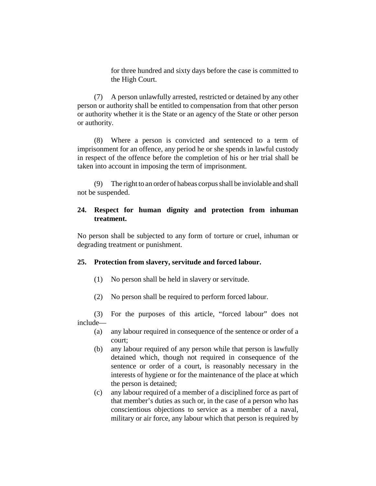for three hundred and sixty days before the case is committed to the High Court.

(7) A person unlawfully arrested, restricted or detained by any other person or authority shall be entitled to compensation from that other person or authority whether it is the State or an agency of the State or other person or authority.

(8) Where a person is convicted and sentenced to a term of imprisonment for an offence, any period he or she spends in lawful custody in respect of the offence before the completion of his or her trial shall be taken into account in imposing the term of imprisonment.

(9) The right to an order of habeas corpus shall be inviolable and shall not be suspended.

# **24. Respect for human dignity and protection from inhuman treatment.**

No person shall be subjected to any form of torture or cruel, inhuman or degrading treatment or punishment.

# **25. Protection from slavery, servitude and forced labour.**

- (1) No person shall be held in slavery or servitude.
- (2) No person shall be required to perform forced labour.

(3) For the purposes of this article, "forced labour" does not include—

- (a) any labour required in consequence of the sentence or order of a court;
- (b) any labour required of any person while that person is lawfully detained which, though not required in consequence of the sentence or order of a court, is reasonably necessary in the interests of hygiene or for the maintenance of the place at which the person is detained;
- (c) any labour required of a member of a disciplined force as part of that member's duties as such or, in the case of a person who has conscientious objections to service as a member of a naval, military or air force, any labour which that person is required by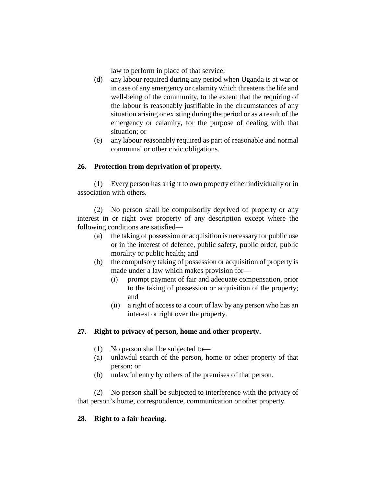law to perform in place of that service;

- (d) any labour required during any period when Uganda is at war or in case of any emergency or calamity which threatens the life and well-being of the community, to the extent that the requiring of the labour is reasonably justifiable in the circumstances of any situation arising or existing during the period or as a result of the emergency or calamity, for the purpose of dealing with that situation; or
- (e) any labour reasonably required as part of reasonable and normal communal or other civic obligations.

# **26. Protection from deprivation of property.**

(1) Every person has a right to own property either individually or in association with others.

(2) No person shall be compulsorily deprived of property or any interest in or right over property of any description except where the following conditions are satisfied—

- (a) the taking of possession or acquisition is necessary for public use or in the interest of defence, public safety, public order, public morality or public health; and
- (b) the compulsory taking of possession or acquisition of property is made under a law which makes provision for—
	- (i) prompt payment of fair and adequate compensation, prior to the taking of possession or acquisition of the property; and
	- (ii) a right of access to a court of law by any person who has an interest or right over the property.

# **27. Right to privacy of person, home and other property.**

- (1) No person shall be subjected to—
- (a) unlawful search of the person, home or other property of that person; or
- (b) unlawful entry by others of the premises of that person.

(2) No person shall be subjected to interference with the privacy of that person's home, correspondence, communication or other property.

# **28. Right to a fair hearing.**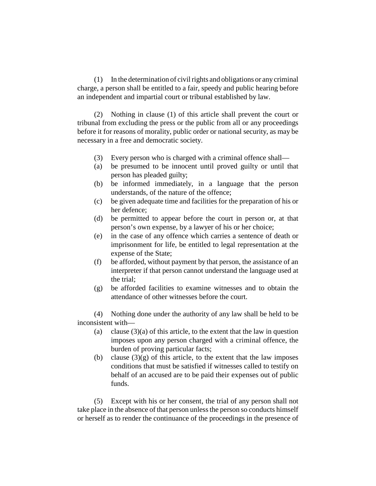(1) In the determination of civil rights and obligations or any criminal charge, a person shall be entitled to a fair, speedy and public hearing before an independent and impartial court or tribunal established by law.

(2) Nothing in clause (1) of this article shall prevent the court or tribunal from excluding the press or the public from all or any proceedings before it for reasons of morality, public order or national security, as may be necessary in a free and democratic society.

- (3) Every person who is charged with a criminal offence shall—
- (a) be presumed to be innocent until proved guilty or until that person has pleaded guilty;
- (b) be informed immediately, in a language that the person understands, of the nature of the offence;
- (c) be given adequate time and facilities for the preparation of his or her defence;
- (d) be permitted to appear before the court in person or, at that person's own expense, by a lawyer of his or her choice;
- (e) in the case of any offence which carries a sentence of death or imprisonment for life, be entitled to legal representation at the expense of the State;
- (f) be afforded, without payment by that person, the assistance of an interpreter if that person cannot understand the language used at the trial;
- (g) be afforded facilities to examine witnesses and to obtain the attendance of other witnesses before the court.

(4) Nothing done under the authority of any law shall be held to be inconsistent with—

- (a) clause  $(3)(a)$  of this article, to the extent that the law in question imposes upon any person charged with a criminal offence, the burden of proving particular facts;
- (b) clause  $(3)(g)$  of this article, to the extent that the law imposes conditions that must be satisfied if witnesses called to testify on behalf of an accused are to be paid their expenses out of public funds.

(5) Except with his or her consent, the trial of any person shall not take place in the absence of that person unless the person so conducts himself or herself as to render the continuance of the proceedings in the presence of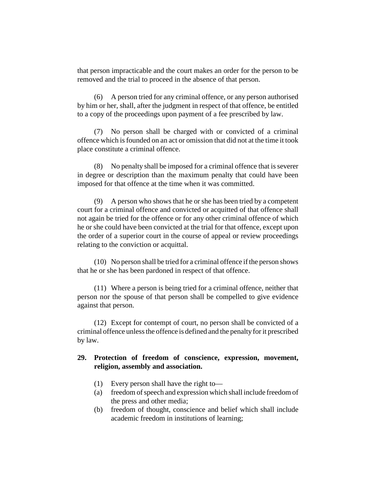that person impracticable and the court makes an order for the person to be removed and the trial to proceed in the absence of that person.

(6) A person tried for any criminal offence, or any person authorised by him or her, shall, after the judgment in respect of that offence, be entitled to a copy of the proceedings upon payment of a fee prescribed by law.

(7) No person shall be charged with or convicted of a criminal offence which is founded on an act or omission that did not at the time it took place constitute a criminal offence.

(8) No penalty shall be imposed for a criminal offence that is severer in degree or description than the maximum penalty that could have been imposed for that offence at the time when it was committed.

(9) A person who shows that he or she has been tried by a competent court for a criminal offence and convicted or acquitted of that offence shall not again be tried for the offence or for any other criminal offence of which he or she could have been convicted at the trial for that offence, except upon the order of a superior court in the course of appeal or review proceedings relating to the conviction or acquittal.

(10) No person shall be tried for a criminal offence if the person shows that he or she has been pardoned in respect of that offence.

(11) Where a person is being tried for a criminal offence, neither that person nor the spouse of that person shall be compelled to give evidence against that person.

(12) Except for contempt of court, no person shall be convicted of a criminal offence unless the offence is defined and the penalty for it prescribed by law.

# **29. Protection of freedom of conscience, expression, movement, religion, assembly and association.**

- (1) Every person shall have the right to—
- (a) freedom of speech and expression which shall include freedom of the press and other media;
- (b) freedom of thought, conscience and belief which shall include academic freedom in institutions of learning;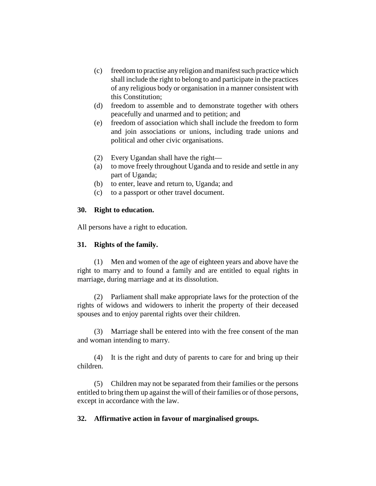- (c) freedom to practise any religion and manifest such practice which shall include the right to belong to and participate in the practices of any religious body or organisation in a manner consistent with this Constitution;
- (d) freedom to assemble and to demonstrate together with others peacefully and unarmed and to petition; and
- (e) freedom of association which shall include the freedom to form and join associations or unions, including trade unions and political and other civic organisations.
- (2) Every Ugandan shall have the right—
- (a) to move freely throughout Uganda and to reside and settle in any part of Uganda;
- (b) to enter, leave and return to, Uganda; and
- (c) to a passport or other travel document.

# **30. Right to education.**

All persons have a right to education.

# **31. Rights of the family.**

(1) Men and women of the age of eighteen years and above have the right to marry and to found a family and are entitled to equal rights in marriage, during marriage and at its dissolution.

(2) Parliament shall make appropriate laws for the protection of the rights of widows and widowers to inherit the property of their deceased spouses and to enjoy parental rights over their children.

(3) Marriage shall be entered into with the free consent of the man and woman intending to marry.

(4) It is the right and duty of parents to care for and bring up their children.

(5) Children may not be separated from their families or the persons entitled to bring them up against the will of their families or of those persons, except in accordance with the law.

# **32. Affirmative action in favour of marginalised groups.**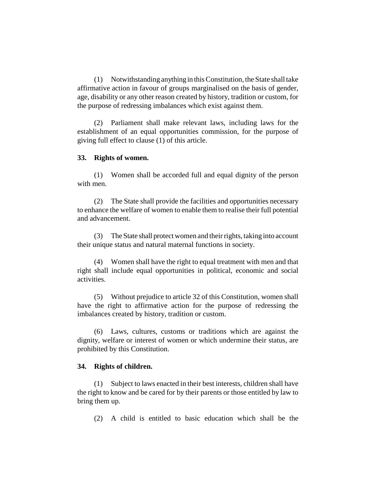(1) Notwithstanding anything in this Constitution, the State shall take affirmative action in favour of groups marginalised on the basis of gender, age, disability or any other reason created by history, tradition or custom, for the purpose of redressing imbalances which exist against them.

(2) Parliament shall make relevant laws, including laws for the establishment of an equal opportunities commission, for the purpose of giving full effect to clause (1) of this article.

#### **33. Rights of women.**

(1) Women shall be accorded full and equal dignity of the person with men.

(2) The State shall provide the facilities and opportunities necessary to enhance the welfare of women to enable them to realise their full potential and advancement.

(3) The State shall protect women and their rights, taking into account their unique status and natural maternal functions in society.

(4) Women shall have the right to equal treatment with men and that right shall include equal opportunities in political, economic and social activities.

(5) Without prejudice to article 32 of this Constitution, women shall have the right to affirmative action for the purpose of redressing the imbalances created by history, tradition or custom.

(6) Laws, cultures, customs or traditions which are against the dignity, welfare or interest of women or which undermine their status, are prohibited by this Constitution.

#### **34. Rights of children.**

(1) Subject to laws enacted in their best interests, children shall have the right to know and be cared for by their parents or those entitled by law to bring them up.

(2) A child is entitled to basic education which shall be the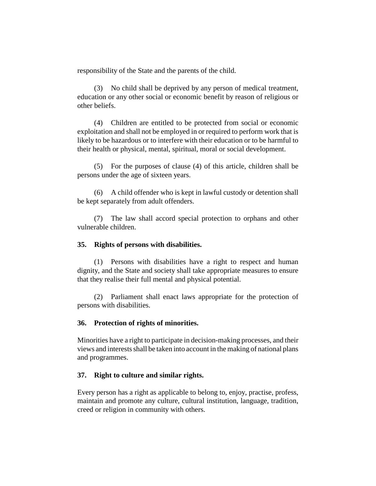responsibility of the State and the parents of the child.

(3) No child shall be deprived by any person of medical treatment, education or any other social or economic benefit by reason of religious or other beliefs.

(4) Children are entitled to be protected from social or economic exploitation and shall not be employed in or required to perform work that is likely to be hazardous or to interfere with their education or to be harmful to their health or physical, mental, spiritual, moral or social development.

(5) For the purposes of clause (4) of this article, children shall be persons under the age of sixteen years.

(6) A child offender who is kept in lawful custody or detention shall be kept separately from adult offenders.

(7) The law shall accord special protection to orphans and other vulnerable children.

## **35. Rights of persons with disabilities.**

(1) Persons with disabilities have a right to respect and human dignity, and the State and society shall take appropriate measures to ensure that they realise their full mental and physical potential.

(2) Parliament shall enact laws appropriate for the protection of persons with disabilities.

#### **36. Protection of rights of minorities.**

Minorities have a right to participate in decision-making processes, and their views and interests shall be taken into account in the making of national plans and programmes.

# **37. Right to culture and similar rights.**

Every person has a right as applicable to belong to, enjoy, practise, profess, maintain and promote any culture, cultural institution, language, tradition, creed or religion in community with others.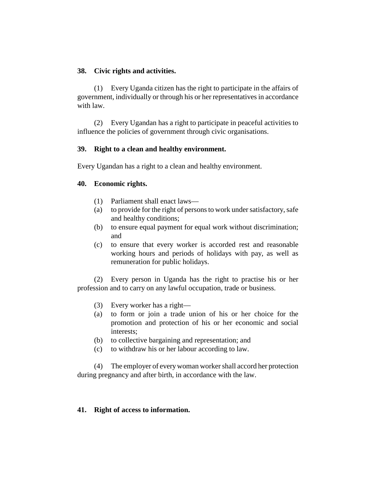## **38. Civic rights and activities.**

(1) Every Uganda citizen has the right to participate in the affairs of government, individually or through his or her representatives in accordance with law.

(2) Every Ugandan has a right to participate in peaceful activities to influence the policies of government through civic organisations.

# **39. Right to a clean and healthy environment.**

Every Ugandan has a right to a clean and healthy environment.

### **40. Economic rights.**

- (1) Parliament shall enact laws—
- (a) to provide for the right of persons to work under satisfactory, safe and healthy conditions;
- (b) to ensure equal payment for equal work without discrimination; and
- (c) to ensure that every worker is accorded rest and reasonable working hours and periods of holidays with pay, as well as remuneration for public holidays.

(2) Every person in Uganda has the right to practise his or her profession and to carry on any lawful occupation, trade or business.

- (3) Every worker has a right—
- (a) to form or join a trade union of his or her choice for the promotion and protection of his or her economic and social interests;
- (b) to collective bargaining and representation; and
- (c) to withdraw his or her labour according to law.

(4) The employer of every woman worker shall accord her protection during pregnancy and after birth, in accordance with the law.

# **41. Right of access to information.**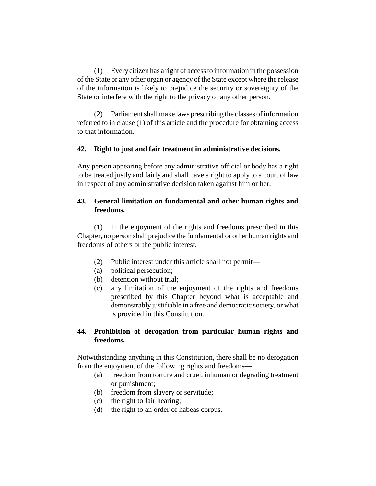(1) Every citizen has a right of access to information in the possession of the State or any other organ or agency of the State except where the release of the information is likely to prejudice the security or sovereignty of the State or interfere with the right to the privacy of any other person.

(2) Parliament shall make laws prescribing the classes of information referred to in clause (1) of this article and the procedure for obtaining access to that information.

# **42. Right to just and fair treatment in administrative decisions.**

Any person appearing before any administrative official or body has a right to be treated justly and fairly and shall have a right to apply to a court of law in respect of any administrative decision taken against him or her.

# **43. General limitation on fundamental and other human rights and freedoms.**

(1) In the enjoyment of the rights and freedoms prescribed in this Chapter, no person shall prejudice the fundamental or other human rights and freedoms of others or the public interest.

- (2) Public interest under this article shall not permit—
- (a) political persecution;
- (b) detention without trial;
- (c) any limitation of the enjoyment of the rights and freedoms prescribed by this Chapter beyond what is acceptable and demonstrably justifiable in a free and democratic society, or what is provided in this Constitution.

# **44. Prohibition of derogation from particular human rights and freedoms.**

Notwithstanding anything in this Constitution, there shall be no derogation from the enjoyment of the following rights and freedoms—

- (a) freedom from torture and cruel, inhuman or degrading treatment or punishment;
- (b) freedom from slavery or servitude;
- (c) the right to fair hearing;
- (d) the right to an order of habeas corpus.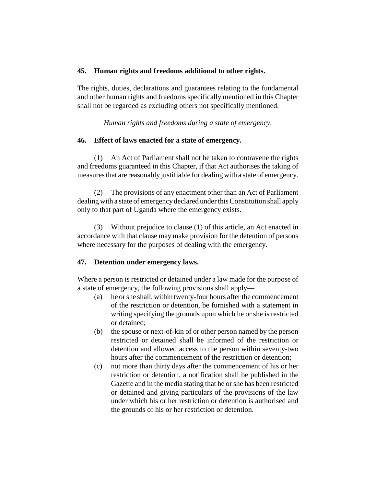## **45. Human rights and freedoms additional to other rights.**

The rights, duties, declarations and guarantees relating to the fundamental and other human rights and freedoms specifically mentioned in this Chapter shall not be regarded as excluding others not specifically mentioned.

*Human rights and freedoms during a state of emergency.*

# **46. Effect of laws enacted for a state of emergency.**

(1) An Act of Parliament shall not be taken to contravene the rights and freedoms guaranteed in this Chapter, if that Act authorises the taking of measures that are reasonably justifiable for dealing with a state of emergency.

(2) The provisions of any enactment other than an Act of Parliament dealing with a state of emergency declared under this Constitution shall apply only to that part of Uganda where the emergency exists.

(3) Without prejudice to clause (1) of this article, an Act enacted in accordance with that clause may make provision for the detention of persons where necessary for the purposes of dealing with the emergency.

# **47. Detention under emergency laws.**

Where a person is restricted or detained under a law made for the purpose of a state of emergency, the following provisions shall apply—

- (a) he or she shall, within twenty-four hours after the commencement of the restriction or detention, be furnished with a statement in writing specifying the grounds upon which he or she is restricted or detained;
- (b) the spouse or next-of-kin of or other person named by the person restricted or detained shall be informed of the restriction or detention and allowed access to the person within seventy-two hours after the commencement of the restriction or detention;
- (c) not more than thirty days after the commencement of his or her restriction or detention, a notification shall be published in the Gazette and in the media stating that he or she has been restricted or detained and giving particulars of the provisions of the law under which his or her restriction or detention is authorised and the grounds of his or her restriction or detention.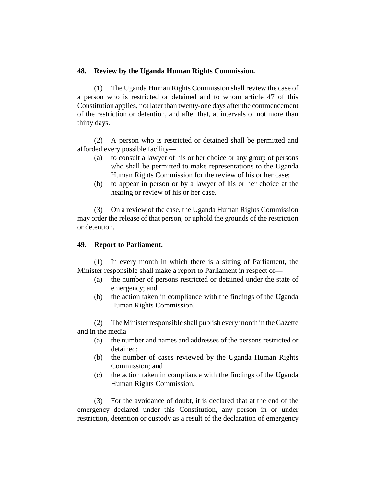## **48. Review by the Uganda Human Rights Commission.**

(1) The Uganda Human Rights Commission shall review the case of a person who is restricted or detained and to whom article 47 of this Constitution applies, not later than twenty-one days after the commencement of the restriction or detention, and after that, at intervals of not more than thirty days.

(2) A person who is restricted or detained shall be permitted and afforded every possible facility—

- (a) to consult a lawyer of his or her choice or any group of persons who shall be permitted to make representations to the Uganda Human Rights Commission for the review of his or her case;
- (b) to appear in person or by a lawyer of his or her choice at the hearing or review of his or her case.

(3) On a review of the case, the Uganda Human Rights Commission may order the release of that person, or uphold the grounds of the restriction or detention.

#### **49. Report to Parliament.**

(1) In every month in which there is a sitting of Parliament, the Minister responsible shall make a report to Parliament in respect of—

- (a) the number of persons restricted or detained under the state of emergency; and
- (b) the action taken in compliance with the findings of the Uganda Human Rights Commission.

(2) The Minister responsible shall publish every month in the Gazette and in the media—

- (a) the number and names and addresses of the persons restricted or detained;
- (b) the number of cases reviewed by the Uganda Human Rights Commission; and
- (c) the action taken in compliance with the findings of the Uganda Human Rights Commission.

(3) For the avoidance of doubt, it is declared that at the end of the emergency declared under this Constitution, any person in or under restriction, detention or custody as a result of the declaration of emergency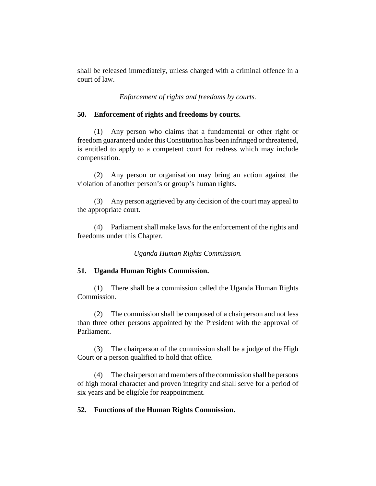shall be released immediately, unless charged with a criminal offence in a court of law.

*Enforcement of rights and freedoms by courts.*

## **50. Enforcement of rights and freedoms by courts.**

(1) Any person who claims that a fundamental or other right or freedom guaranteed under this Constitution has been infringed or threatened, is entitled to apply to a competent court for redress which may include compensation.

(2) Any person or organisation may bring an action against the violation of another person's or group's human rights.

(3) Any person aggrieved by any decision of the court may appeal to the appropriate court.

(4) Parliament shall make laws for the enforcement of the rights and freedoms under this Chapter.

*Uganda Human Rights Commission.*

# **51. Uganda Human Rights Commission.**

(1) There shall be a commission called the Uganda Human Rights Commission.

(2) The commission shall be composed of a chairperson and not less than three other persons appointed by the President with the approval of Parliament.

(3) The chairperson of the commission shall be a judge of the High Court or a person qualified to hold that office.

(4) The chairperson and members of the commission shall be persons of high moral character and proven integrity and shall serve for a period of six years and be eligible for reappointment.

# **52. Functions of the Human Rights Commission.**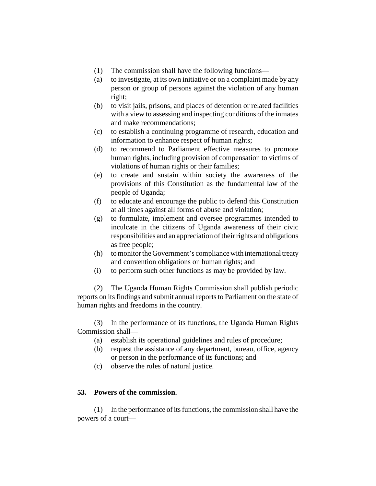- (1) The commission shall have the following functions—
- (a) to investigate, at its own initiative or on a complaint made by any person or group of persons against the violation of any human right;
- (b) to visit jails, prisons, and places of detention or related facilities with a view to assessing and inspecting conditions of the inmates and make recommendations;
- (c) to establish a continuing programme of research, education and information to enhance respect of human rights;
- (d) to recommend to Parliament effective measures to promote human rights, including provision of compensation to victims of violations of human rights or their families;
- (e) to create and sustain within society the awareness of the provisions of this Constitution as the fundamental law of the people of Uganda;
- (f) to educate and encourage the public to defend this Constitution at all times against all forms of abuse and violation;
- (g) to formulate, implement and oversee programmes intended to inculcate in the citizens of Uganda awareness of their civic responsibilities and an appreciation of their rights and obligations as free people;
- (h) to monitor the Government's compliance with international treaty and convention obligations on human rights; and
- (i) to perform such other functions as may be provided by law.

(2) The Uganda Human Rights Commission shall publish periodic reports on its findings and submit annual reports to Parliament on the state of human rights and freedoms in the country.

(3) In the performance of its functions, the Uganda Human Rights Commission shall—

- (a) establish its operational guidelines and rules of procedure;
- (b) request the assistance of any department, bureau, office, agency or person in the performance of its functions; and
- (c) observe the rules of natural justice.

# **53. Powers of the commission.**

(1) In the performance of its functions, the commission shall have the powers of a court—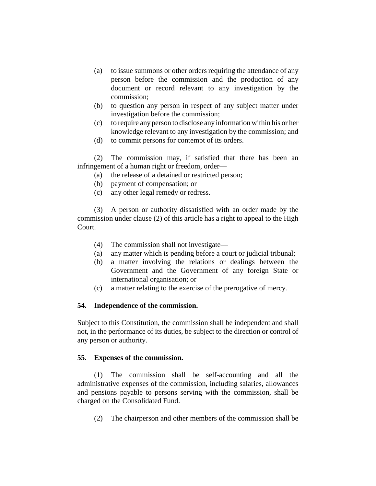- (a) to issue summons or other orders requiring the attendance of any person before the commission and the production of any document or record relevant to any investigation by the commission;
- (b) to question any person in respect of any subject matter under investigation before the commission;
- (c) to require any person to disclose any information within his or her knowledge relevant to any investigation by the commission; and
- (d) to commit persons for contempt of its orders.

(2) The commission may, if satisfied that there has been an infringement of a human right or freedom, order—

- (a) the release of a detained or restricted person;
- (b) payment of compensation; or
- (c) any other legal remedy or redress.

(3) A person or authority dissatisfied with an order made by the commission under clause (2) of this article has a right to appeal to the High Court.

- (4) The commission shall not investigate—
- (a) any matter which is pending before a court or judicial tribunal;
- (b) a matter involving the relations or dealings between the Government and the Government of any foreign State or international organisation; or
- (c) a matter relating to the exercise of the prerogative of mercy.

# **54. Independence of the commission.**

Subject to this Constitution, the commission shall be independent and shall not, in the performance of its duties, be subject to the direction or control of any person or authority.

#### **55. Expenses of the commission.**

(1) The commission shall be self-accounting and all the administrative expenses of the commission, including salaries, allowances and pensions payable to persons serving with the commission, shall be charged on the Consolidated Fund.

(2) The chairperson and other members of the commission shall be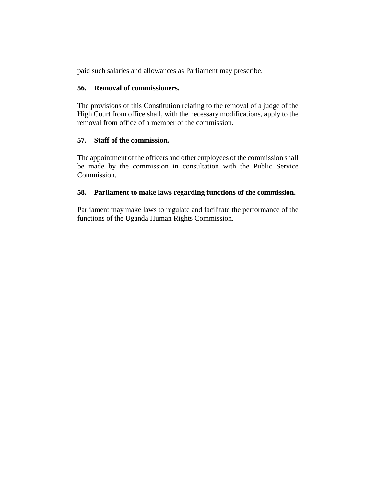paid such salaries and allowances as Parliament may prescribe.

# **56. Removal of commissioners.**

The provisions of this Constitution relating to the removal of a judge of the High Court from office shall, with the necessary modifications, apply to the removal from office of a member of the commission.

# **57. Staff of the commission.**

The appointment of the officers and other employees of the commission shall be made by the commission in consultation with the Public Service Commission.

# **58. Parliament to make laws regarding functions of the commission.**

Parliament may make laws to regulate and facilitate the performance of the functions of the Uganda Human Rights Commission.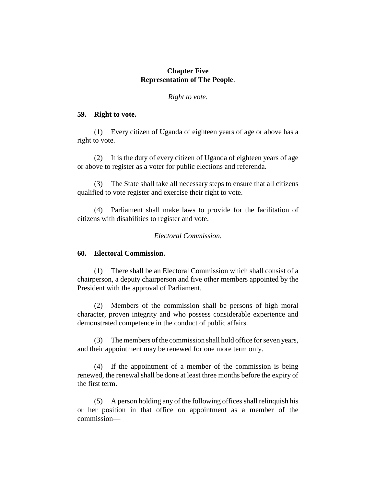# **Chapter Five Representation of The People**.

*Right to vote.*

### **59. Right to vote.**

(1) Every citizen of Uganda of eighteen years of age or above has a right to vote.

(2) It is the duty of every citizen of Uganda of eighteen years of age or above to register as a voter for public elections and referenda.

(3) The State shall take all necessary steps to ensure that all citizens qualified to vote register and exercise their right to vote.

(4) Parliament shall make laws to provide for the facilitation of citizens with disabilities to register and vote.

# *Electoral Commission.*

# **60. Electoral Commission.**

(1) There shall be an Electoral Commission which shall consist of a chairperson, a deputy chairperson and five other members appointed by the President with the approval of Parliament.

(2) Members of the commission shall be persons of high moral character, proven integrity and who possess considerable experience and demonstrated competence in the conduct of public affairs.

(3) The members of the commission shall hold office for seven years, and their appointment may be renewed for one more term only.

(4) If the appointment of a member of the commission is being renewed, the renewal shall be done at least three months before the expiry of the first term.

(5) A person holding any of the following offices shall relinquish his or her position in that office on appointment as a member of the commission—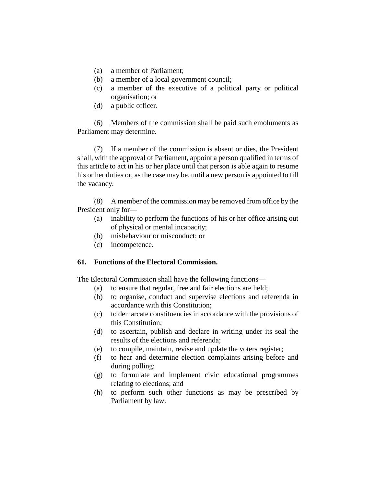- (a) a member of Parliament;
- (b) a member of a local government council;
- (c) a member of the executive of a political party or political organisation; or
- (d) a public officer.

(6) Members of the commission shall be paid such emoluments as Parliament may determine.

(7) If a member of the commission is absent or dies, the President shall, with the approval of Parliament, appoint a person qualified in terms of this article to act in his or her place until that person is able again to resume his or her duties or, as the case may be, until a new person is appointed to fill the vacancy.

(8) A member of the commission may be removed from office by the President only for—

- (a) inability to perform the functions of his or her office arising out of physical or mental incapacity;
- (b) misbehaviour or misconduct; or
- (c) incompetence.

# **61. Functions of the Electoral Commission.**

The Electoral Commission shall have the following functions—

- (a) to ensure that regular, free and fair elections are held;
- (b) to organise, conduct and supervise elections and referenda in accordance with this Constitution;
- (c) to demarcate constituencies in accordance with the provisions of this Constitution;
- (d) to ascertain, publish and declare in writing under its seal the results of the elections and referenda;
- (e) to compile, maintain, revise and update the voters register;
- (f) to hear and determine election complaints arising before and during polling;
- (g) to formulate and implement civic educational programmes relating to elections; and
- (h) to perform such other functions as may be prescribed by Parliament by law.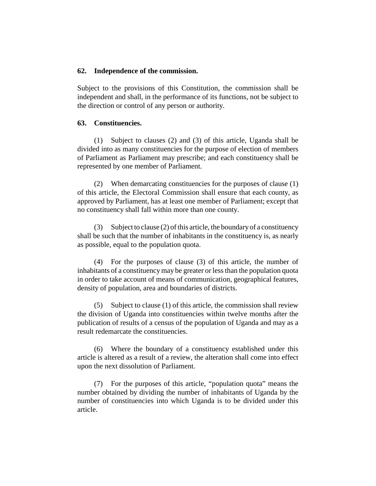#### **62. Independence of the commission.**

Subject to the provisions of this Constitution, the commission shall be independent and shall, in the performance of its functions, not be subject to the direction or control of any person or authority.

### **63. Constituencies.**

(1) Subject to clauses (2) and (3) of this article, Uganda shall be divided into as many constituencies for the purpose of election of members of Parliament as Parliament may prescribe; and each constituency shall be represented by one member of Parliament.

(2) When demarcating constituencies for the purposes of clause (1) of this article, the Electoral Commission shall ensure that each county, as approved by Parliament, has at least one member of Parliament; except that no constituency shall fall within more than one county.

(3) Subject to clause (2) of this article, the boundary of a constituency shall be such that the number of inhabitants in the constituency is, as nearly as possible, equal to the population quota.

(4) For the purposes of clause (3) of this article, the number of inhabitants of a constituency may be greater or less than the population quota in order to take account of means of communication, geographical features, density of population, area and boundaries of districts.

(5) Subject to clause (1) of this article, the commission shall review the division of Uganda into constituencies within twelve months after the publication of results of a census of the population of Uganda and may as a result redemarcate the constituencies.

(6) Where the boundary of a constituency established under this article is altered as a result of a review, the alteration shall come into effect upon the next dissolution of Parliament.

(7) For the purposes of this article, "population quota" means the number obtained by dividing the number of inhabitants of Uganda by the number of constituencies into which Uganda is to be divided under this article.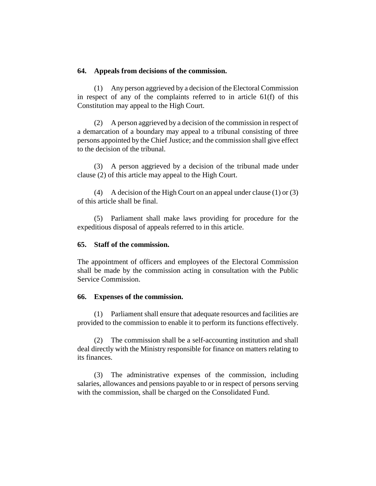#### **64. Appeals from decisions of the commission.**

(1) Any person aggrieved by a decision of the Electoral Commission in respect of any of the complaints referred to in article 61(f) of this Constitution may appeal to the High Court.

(2) A person aggrieved by a decision of the commission in respect of a demarcation of a boundary may appeal to a tribunal consisting of three persons appointed by the Chief Justice; and the commission shall give effect to the decision of the tribunal.

(3) A person aggrieved by a decision of the tribunal made under clause (2) of this article may appeal to the High Court.

(4) A decision of the High Court on an appeal under clause (1) or (3) of this article shall be final.

(5) Parliament shall make laws providing for procedure for the expeditious disposal of appeals referred to in this article.

#### **65. Staff of the commission.**

The appointment of officers and employees of the Electoral Commission shall be made by the commission acting in consultation with the Public Service Commission.

#### **66. Expenses of the commission.**

(1) Parliament shall ensure that adequate resources and facilities are provided to the commission to enable it to perform its functions effectively.

(2) The commission shall be a self-accounting institution and shall deal directly with the Ministry responsible for finance on matters relating to its finances.

(3) The administrative expenses of the commission, including salaries, allowances and pensions payable to or in respect of persons serving with the commission, shall be charged on the Consolidated Fund.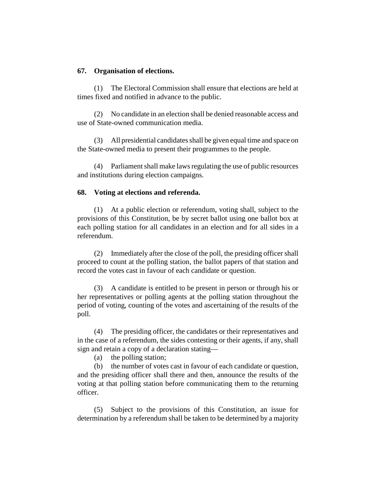#### **67. Organisation of elections.**

(1) The Electoral Commission shall ensure that elections are held at times fixed and notified in advance to the public.

(2) No candidate in an election shall be denied reasonable access and use of State-owned communication media.

(3) All presidential candidates shall be given equal time and space on the State-owned media to present their programmes to the people.

(4) Parliament shall make laws regulating the use of public resources and institutions during election campaigns.

### **68. Voting at elections and referenda.**

(1) At a public election or referendum, voting shall, subject to the provisions of this Constitution, be by secret ballot using one ballot box at each polling station for all candidates in an election and for all sides in a referendum.

(2) Immediately after the close of the poll, the presiding officer shall proceed to count at the polling station, the ballot papers of that station and record the votes cast in favour of each candidate or question.

(3) A candidate is entitled to be present in person or through his or her representatives or polling agents at the polling station throughout the period of voting, counting of the votes and ascertaining of the results of the poll.

(4) The presiding officer, the candidates or their representatives and in the case of a referendum, the sides contesting or their agents, if any, shall sign and retain a copy of a declaration stating—

(a) the polling station;

(b) the number of votes cast in favour of each candidate or question, and the presiding officer shall there and then, announce the results of the voting at that polling station before communicating them to the returning officer.

(5) Subject to the provisions of this Constitution, an issue for determination by a referendum shall be taken to be determined by a majority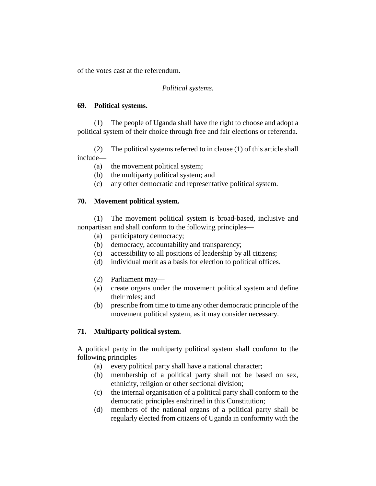of the votes cast at the referendum.

# *Political systems.*

## **69. Political systems.**

(1) The people of Uganda shall have the right to choose and adopt a political system of their choice through free and fair elections or referenda.

(2) The political systems referred to in clause (1) of this article shall include—

- (a) the movement political system;
- (b) the multiparty political system; and
- (c) any other democratic and representative political system.

# **70. Movement political system.**

(1) The movement political system is broad-based, inclusive and nonpartisan and shall conform to the following principles—

- (a) participatory democracy;
- (b) democracy, accountability and transparency;
- (c) accessibility to all positions of leadership by all citizens;
- (d) individual merit as a basis for election to political offices.
- (2) Parliament may—
- (a) create organs under the movement political system and define their roles; and
- (b) prescribe from time to time any other democratic principle of the movement political system, as it may consider necessary.

# **71. Multiparty political system.**

A political party in the multiparty political system shall conform to the following principles—

- (a) every political party shall have a national character;
- (b) membership of a political party shall not be based on sex, ethnicity, religion or other sectional division;
- (c) the internal organisation of a political party shall conform to the democratic principles enshrined in this Constitution;
- (d) members of the national organs of a political party shall be regularly elected from citizens of Uganda in conformity with the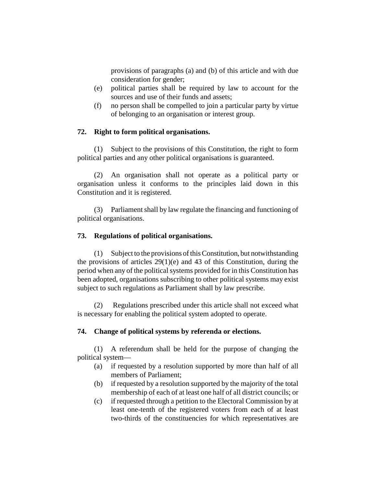provisions of paragraphs (a) and (b) of this article and with due consideration for gender;

- (e) political parties shall be required by law to account for the sources and use of their funds and assets;
- (f) no person shall be compelled to join a particular party by virtue of belonging to an organisation or interest group.

# **72. Right to form political organisations.**

(1) Subject to the provisions of this Constitution, the right to form political parties and any other political organisations is guaranteed.

(2) An organisation shall not operate as a political party or organisation unless it conforms to the principles laid down in this Constitution and it is registered.

(3) Parliament shall by law regulate the financing and functioning of political organisations.

# **73. Regulations of political organisations.**

(1) Subject to the provisions of this Constitution, but notwithstanding the provisions of articles  $29(1)(e)$  and 43 of this Constitution, during the period when any of the political systems provided for in this Constitution has been adopted, organisations subscribing to other political systems may exist subject to such regulations as Parliament shall by law prescribe.

(2) Regulations prescribed under this article shall not exceed what is necessary for enabling the political system adopted to operate.

# **74. Change of political systems by referenda or elections.**

(1) A referendum shall be held for the purpose of changing the political system—

- (a) if requested by a resolution supported by more than half of all members of Parliament;
- (b) if requested by a resolution supported by the majority of the total membership of each of at least one half of all district councils; or
- (c) if requested through a petition to the Electoral Commission by at least one-tenth of the registered voters from each of at least two-thirds of the constituencies for which representatives are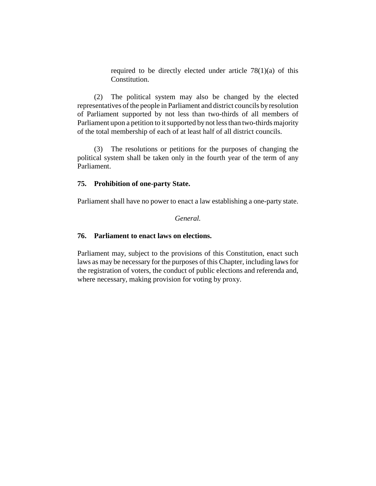required to be directly elected under article  $78(1)(a)$  of this Constitution.

(2) The political system may also be changed by the elected representatives of the people in Parliament and district councils by resolution of Parliament supported by not less than two-thirds of all members of Parliament upon a petition to it supported by not less than two-thirds majority of the total membership of each of at least half of all district councils.

(3) The resolutions or petitions for the purposes of changing the political system shall be taken only in the fourth year of the term of any Parliament.

### **75. Prohibition of one-party State.**

Parliament shall have no power to enact a law establishing a one-party state.

### *General.*

# **76. Parliament to enact laws on elections.**

Parliament may, subject to the provisions of this Constitution, enact such laws as may be necessary for the purposes of this Chapter, including laws for the registration of voters, the conduct of public elections and referenda and, where necessary, making provision for voting by proxy.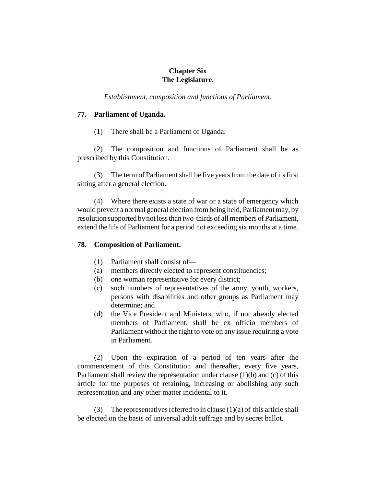# **Chapter Six The Legislature.**

*Establishment, composition and functions of Parliament.*

# **77. Parliament of Uganda.**

(1) There shall be a Parliament of Uganda.

(2) The composition and functions of Parliament shall be as prescribed by this Constitution.

(3) The term of Parliament shall be five years from the date of its first sitting after a general election.

(4) Where there exists a state of war or a state of emergency which would prevent a normal general election from being held, Parliament may, by resolution supported by not less than two-thirds of all members of Parliament, extend the life of Parliament for a period not exceeding six months at a time.

## **78. Composition of Parliament.**

- (1) Parliament shall consist of—
- (a) members directly elected to represent constituencies;
- (b) one woman representative for every district;
- (c) such numbers of representatives of the army, youth, workers, persons with disabilities and other groups as Parliament may determine; and
- (d) the Vice President and Ministers, who, if not already elected members of Parliament, shall be ex officio members of Parliament without the right to vote on any issue requiring a vote in Parliament.

(2) Upon the expiration of a period of ten years after the commencement of this Constitution and thereafter, every five years, Parliament shall review the representation under clause (1)(b) and (c) of this article for the purposes of retaining, increasing or abolishing any such representation and any other matter incidental to it.

(3) The representatives referred to in clause  $(1)(a)$  of this article shall be elected on the basis of universal adult suffrage and by secret ballot.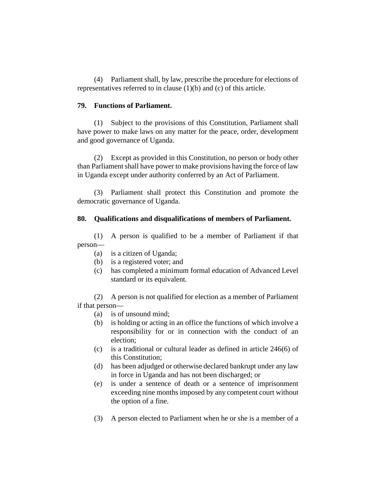(4) Parliament shall, by law, prescribe the procedure for elections of representatives referred to in clause (1)(b) and (c) of this article.

## **79. Functions of Parliament.**

(1) Subject to the provisions of this Constitution, Parliament shall have power to make laws on any matter for the peace, order, development and good governance of Uganda.

(2) Except as provided in this Constitution, no person or body other than Parliament shall have power to make provisions having the force of law in Uganda except under authority conferred by an Act of Parliament.

Parliament shall protect this Constitution and promote the democratic governance of Uganda.

# **80. Qualifications and disqualifications of members of Parliament.**

(1) A person is qualified to be a member of Parliament if that person—

- (a) is a citizen of Uganda;
- (b) is a registered voter; and
- (c) has completed a minimum formal education of Advanced Level standard or its equivalent.

(2) A person is not qualified for election as a member of Parliament if that person—

- (a) is of unsound mind;
- (b) is holding or acting in an office the functions of which involve a responsibility for or in connection with the conduct of an election;
- (c) is a traditional or cultural leader as defined in article 246(6) of this Constitution;
- (d) has been adjudged or otherwise declared bankrupt under any law in force in Uganda and has not been discharged; or
- (e) is under a sentence of death or a sentence of imprisonment exceeding nine months imposed by any competent court without the option of a fine.
- (3) A person elected to Parliament when he or she is a member of a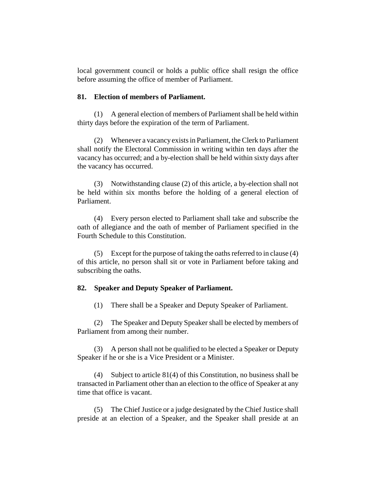local government council or holds a public office shall resign the office before assuming the office of member of Parliament.

#### **81. Election of members of Parliament.**

(1) A general election of members of Parliament shall be held within thirty days before the expiration of the term of Parliament.

(2) Whenever a vacancy exists in Parliament, the Clerk to Parliament shall notify the Electoral Commission in writing within ten days after the vacancy has occurred; and a by-election shall be held within sixty days after the vacancy has occurred.

(3) Notwithstanding clause (2) of this article, a by-election shall not be held within six months before the holding of a general election of Parliament.

(4) Every person elected to Parliament shall take and subscribe the oath of allegiance and the oath of member of Parliament specified in the Fourth Schedule to this Constitution.

(5) Except for the purpose of taking the oaths referred to in clause (4) of this article, no person shall sit or vote in Parliament before taking and subscribing the oaths.

#### **82. Speaker and Deputy Speaker of Parliament.**

(1) There shall be a Speaker and Deputy Speaker of Parliament.

(2) The Speaker and Deputy Speaker shall be elected by members of Parliament from among their number.

(3) A person shall not be qualified to be elected a Speaker or Deputy Speaker if he or she is a Vice President or a Minister.

(4) Subject to article 81(4) of this Constitution, no business shall be transacted in Parliament other than an election to the office of Speaker at any time that office is vacant.

(5) The Chief Justice or a judge designated by the Chief Justice shall preside at an election of a Speaker, and the Speaker shall preside at an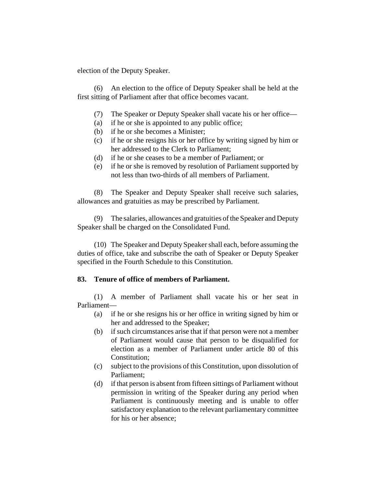election of the Deputy Speaker.

(6) An election to the office of Deputy Speaker shall be held at the first sitting of Parliament after that office becomes vacant.

- (7) The Speaker or Deputy Speaker shall vacate his or her office—
- (a) if he or she is appointed to any public office;
- (b) if he or she becomes a Minister;
- (c) if he or she resigns his or her office by writing signed by him or her addressed to the Clerk to Parliament;
- (d) if he or she ceases to be a member of Parliament; or
- (e) if he or she is removed by resolution of Parliament supported by not less than two-thirds of all members of Parliament.

(8) The Speaker and Deputy Speaker shall receive such salaries, allowances and gratuities as may be prescribed by Parliament.

(9) The salaries, allowances and gratuities of the Speaker and Deputy Speaker shall be charged on the Consolidated Fund.

(10) The Speaker and Deputy Speaker shall each, before assuming the duties of office, take and subscribe the oath of Speaker or Deputy Speaker specified in the Fourth Schedule to this Constitution.

# **83. Tenure of office of members of Parliament.**

(1) A member of Parliament shall vacate his or her seat in Parliament—

- (a) if he or she resigns his or her office in writing signed by him or her and addressed to the Speaker;
- (b) if such circumstances arise that if that person were not a member of Parliament would cause that person to be disqualified for election as a member of Parliament under article 80 of this Constitution;
- (c) subject to the provisions of this Constitution, upon dissolution of Parliament;
- (d) if that person is absent from fifteen sittings of Parliament without permission in writing of the Speaker during any period when Parliament is continuously meeting and is unable to offer satisfactory explanation to the relevant parliamentary committee for his or her absence;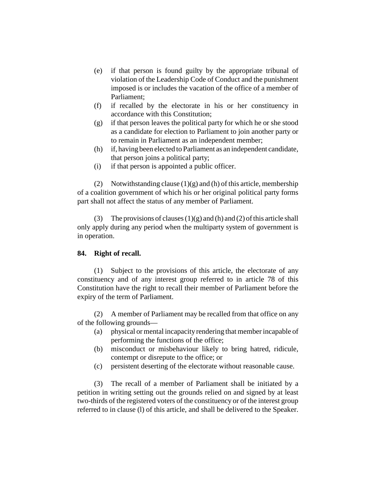- (e) if that person is found guilty by the appropriate tribunal of violation of the Leadership Code of Conduct and the punishment imposed is or includes the vacation of the office of a member of Parliament;
- (f) if recalled by the electorate in his or her constituency in accordance with this Constitution;
- (g) if that person leaves the political party for which he or she stood as a candidate for election to Parliament to join another party or to remain in Parliament as an independent member;
- (h) if, having been elected to Parliament as an independent candidate, that person joins a political party;
- (i) if that person is appointed a public officer.

(2) Notwithstanding clause  $(1)(g)$  and  $(h)$  of this article, membership of a coalition government of which his or her original political party forms part shall not affect the status of any member of Parliament.

(3) The provisions of clauses  $(1)(g)$  and  $(h)$  and  $(2)$  of this article shall only apply during any period when the multiparty system of government is in operation.

# **84. Right of recall.**

(1) Subject to the provisions of this article, the electorate of any constituency and of any interest group referred to in article 78 of this Constitution have the right to recall their member of Parliament before the expiry of the term of Parliament.

(2) A member of Parliament may be recalled from that office on any of the following grounds—

- (a) physical or mental incapacity rendering that member incapable of performing the functions of the office;
- (b) misconduct or misbehaviour likely to bring hatred, ridicule, contempt or disrepute to the office; or
- (c) persistent deserting of the electorate without reasonable cause.

(3) The recall of a member of Parliament shall be initiated by a petition in writing setting out the grounds relied on and signed by at least two-thirds of the registered voters of the constituency or of the interest group referred to in clause (l) of this article, and shall be delivered to the Speaker.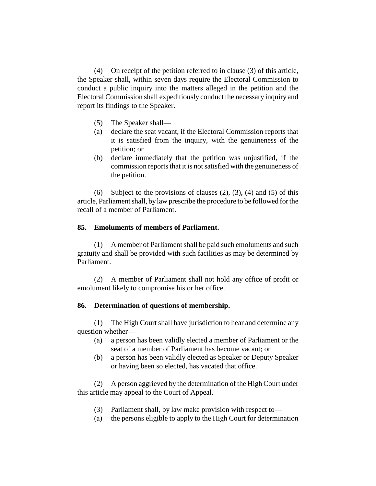(4) On receipt of the petition referred to in clause (3) of this article, the Speaker shall, within seven days require the Electoral Commission to conduct a public inquiry into the matters alleged in the petition and the Electoral Commission shall expeditiously conduct the necessary inquiry and report its findings to the Speaker.

- (5) The Speaker shall—
- (a) declare the seat vacant, if the Electoral Commission reports that it is satisfied from the inquiry, with the genuineness of the petition; or
- (b) declare immediately that the petition was unjustified, if the commission reports that it is not satisfied with the genuineness of the petition.

(6) Subject to the provisions of clauses  $(2)$ ,  $(3)$ ,  $(4)$  and  $(5)$  of this article, Parliament shall, by law prescribe the procedure to be followed for the recall of a member of Parliament.

#### **85. Emoluments of members of Parliament.**

(1) A member of Parliament shall be paid such emoluments and such gratuity and shall be provided with such facilities as may be determined by Parliament.

(2) A member of Parliament shall not hold any office of profit or emolument likely to compromise his or her office.

#### **86. Determination of questions of membership.**

(1) The High Court shall have jurisdiction to hear and determine any question whether—

- (a) a person has been validly elected a member of Parliament or the seat of a member of Parliament has become vacant; or
- (b) a person has been validly elected as Speaker or Deputy Speaker or having been so elected, has vacated that office.

(2) A person aggrieved by the determination of the High Court under this article may appeal to the Court of Appeal.

- (3) Parliament shall, by law make provision with respect to—
- (a) the persons eligible to apply to the High Court for determination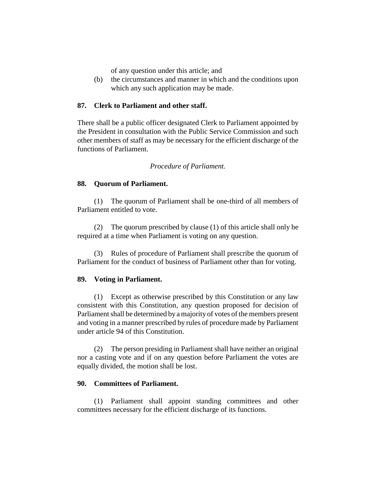of any question under this article; and

(b) the circumstances and manner in which and the conditions upon which any such application may be made.

# **87. Clerk to Parliament and other staff.**

There shall be a public officer designated Clerk to Parliament appointed by the President in consultation with the Public Service Commission and such other members of staff as may be necessary for the efficient discharge of the functions of Parliament.

### *Procedure of Parliament.*

### **88. Quorum of Parliament.**

(1) The quorum of Parliament shall be one-third of all members of Parliament entitled to vote.

(2) The quorum prescribed by clause (1) of this article shall only be required at a time when Parliament is voting on any question.

(3) Rules of procedure of Parliament shall prescribe the quorum of Parliament for the conduct of business of Parliament other than for voting.

#### **89. Voting in Parliament.**

(1) Except as otherwise prescribed by this Constitution or any law consistent with this Constitution, any question proposed for decision of Parliament shall be determined by a majority of votes of the members present and voting in a manner prescribed by rules of procedure made by Parliament under article 94 of this Constitution.

(2) The person presiding in Parliament shall have neither an original nor a casting vote and if on any question before Parliament the votes are equally divided, the motion shall be lost.

#### **90. Committees of Parliament.**

(1) Parliament shall appoint standing committees and other committees necessary for the efficient discharge of its functions.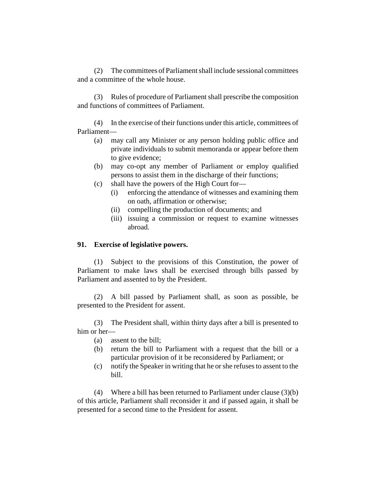(2) The committees of Parliament shall include sessional committees and a committee of the whole house.

(3) Rules of procedure of Parliament shall prescribe the composition and functions of committees of Parliament.

(4) In the exercise of their functions under this article, committees of Parliament—

- (a) may call any Minister or any person holding public office and private individuals to submit memoranda or appear before them to give evidence;
- (b) may co-opt any member of Parliament or employ qualified persons to assist them in the discharge of their functions;
- (c) shall have the powers of the High Court for—
	- (i) enforcing the attendance of witnesses and examining them on oath, affirmation or otherwise;
	- (ii) compelling the production of documents; and
	- (iii) issuing a commission or request to examine witnesses abroad.

#### **91. Exercise of legislative powers.**

(1) Subject to the provisions of this Constitution, the power of Parliament to make laws shall be exercised through bills passed by Parliament and assented to by the President.

(2) A bill passed by Parliament shall, as soon as possible, be presented to the President for assent.

(3) The President shall, within thirty days after a bill is presented to him or her—

- (a) assent to the bill;
- (b) return the bill to Parliament with a request that the bill or a particular provision of it be reconsidered by Parliament; or
- (c) notify the Speaker in writing that he or she refuses to assent to the bill.

(4) Where a bill has been returned to Parliament under clause (3)(b) of this article, Parliament shall reconsider it and if passed again, it shall be presented for a second time to the President for assent.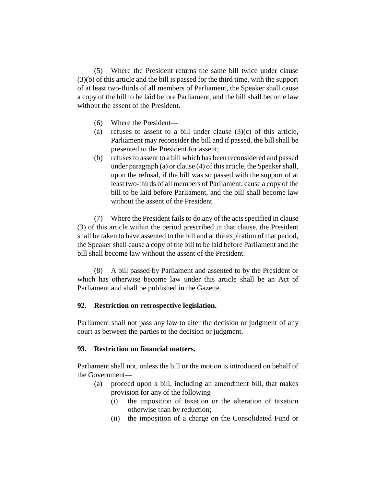(5) Where the President returns the same bill twice under clause (3)(b) of this article and the bill is passed for the third time, with the support of at least two-thirds of all members of Parliament, the Speaker shall cause a copy of the bill to be laid before Parliament, and the bill shall become law without the assent of the President.

- (6) Where the President—
- (a) refuses to assent to a bill under clause  $(3)(c)$  of this article, Parliament may reconsider the bill and if passed, the bill shall be presented to the President for assent;
- (b) refuses to assent to a bill which has been reconsidered and passed under paragraph (a) or clause (4) of this article, the Speaker shall, upon the refusal, if the bill was so passed with the support of at least two-thirds of all members of Parliament, cause a copy of the bill to be laid before Parliament, and the bill shall become law without the assent of the President.

(7) Where the President fails to do any of the acts specified in clause (3) of this article within the period prescribed in that clause, the President shall be taken to have assented to the bill and at the expiration of that period, the Speaker shall cause a copy of the bill to be laid before Parliament and the bill shall become law without the assent of the President.

(8) A bill passed by Parliament and assented to by the President or which has otherwise become law under this article shall be an Act of Parliament and shall be published in the Gazette.

#### **92. Restriction on retrospective legislation.**

Parliament shall not pass any law to alter the decision or judgment of any court as between the parties to the decision or judgment.

#### **93. Restriction on financial matters.**

Parliament shall not, unless the bill or the motion is introduced on behalf of the Government—

- (a) proceed upon a bill, including an amendment bill, that makes provision for any of the following—
	- (i) the imposition of taxation or the alteration of taxation otherwise than by reduction;
	- (ii) the imposition of a charge on the Consolidated Fund or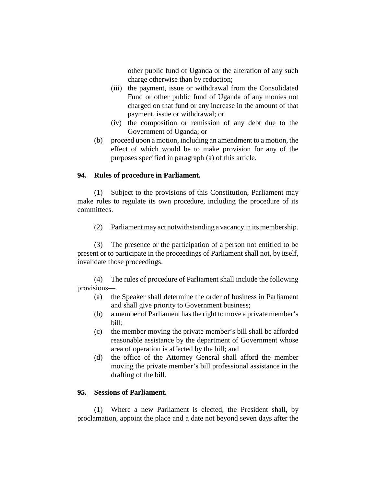other public fund of Uganda or the alteration of any such charge otherwise than by reduction;

- (iii) the payment, issue or withdrawal from the Consolidated Fund or other public fund of Uganda of any monies not charged on that fund or any increase in the amount of that payment, issue or withdrawal; or
- (iv) the composition or remission of any debt due to the Government of Uganda; or
- (b) proceed upon a motion, including an amendment to a motion, the effect of which would be to make provision for any of the purposes specified in paragraph (a) of this article.

#### **94. Rules of procedure in Parliament.**

Subject to the provisions of this Constitution, Parliament may make rules to regulate its own procedure, including the procedure of its committees.

(2) Parliament may act notwithstanding a vacancy in its membership.

(3) The presence or the participation of a person not entitled to be present or to participate in the proceedings of Parliament shall not, by itself, invalidate those proceedings.

(4) The rules of procedure of Parliament shall include the following provisions—

- (a) the Speaker shall determine the order of business in Parliament and shall give priority to Government business;
- (b) a member of Parliament has the right to move a private member's bill;
- (c) the member moving the private member's bill shall be afforded reasonable assistance by the department of Government whose area of operation is affected by the bill; and
- (d) the office of the Attorney General shall afford the member moving the private member's bill professional assistance in the drafting of the bill.

# **95. Sessions of Parliament.**

(1) Where a new Parliament is elected, the President shall, by proclamation, appoint the place and a date not beyond seven days after the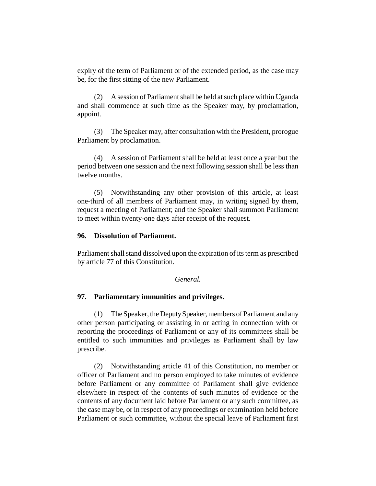expiry of the term of Parliament or of the extended period, as the case may be, for the first sitting of the new Parliament.

(2) A session of Parliament shall be held at such place within Uganda and shall commence at such time as the Speaker may, by proclamation, appoint.

(3) The Speaker may, after consultation with the President, prorogue Parliament by proclamation.

(4) A session of Parliament shall be held at least once a year but the period between one session and the next following session shall be less than twelve months.

(5) Notwithstanding any other provision of this article, at least one-third of all members of Parliament may, in writing signed by them, request a meeting of Parliament; and the Speaker shall summon Parliament to meet within twenty-one days after receipt of the request.

#### **96. Dissolution of Parliament.**

Parliament shall stand dissolved upon the expiration of its term as prescribed by article 77 of this Constitution.

#### *General.*

#### **97. Parliamentary immunities and privileges.**

(1) The Speaker, the Deputy Speaker, members of Parliament and any other person participating or assisting in or acting in connection with or reporting the proceedings of Parliament or any of its committees shall be entitled to such immunities and privileges as Parliament shall by law prescribe.

(2) Notwithstanding article 41 of this Constitution, no member or officer of Parliament and no person employed to take minutes of evidence before Parliament or any committee of Parliament shall give evidence elsewhere in respect of the contents of such minutes of evidence or the contents of any document laid before Parliament or any such committee, as the case may be, or in respect of any proceedings or examination held before Parliament or such committee, without the special leave of Parliament first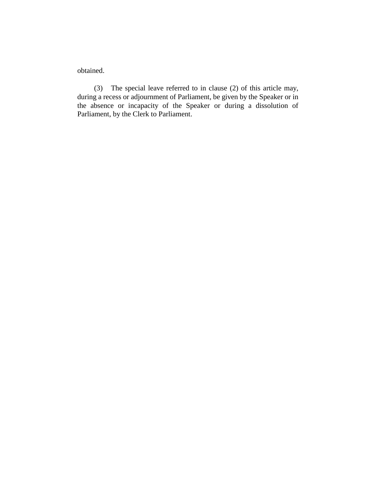obtained.

(3) The special leave referred to in clause (2) of this article may, during a recess or adjournment of Parliament, be given by the Speaker or in the absence or incapacity of the Speaker or during a dissolution of Parliament, by the Clerk to Parliament.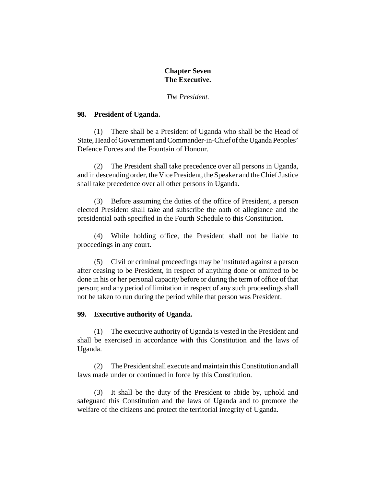## **Chapter Seven The Executive.**

### *The President.*

### **98. President of Uganda.**

(1) There shall be a President of Uganda who shall be the Head of State, Head of Government and Commander-in-Chief of the Uganda Peoples' Defence Forces and the Fountain of Honour.

(2) The President shall take precedence over all persons in Uganda, and in descending order, the Vice President, the Speaker and the Chief Justice shall take precedence over all other persons in Uganda.

(3) Before assuming the duties of the office of President, a person elected President shall take and subscribe the oath of allegiance and the presidential oath specified in the Fourth Schedule to this Constitution.

(4) While holding office, the President shall not be liable to proceedings in any court.

(5) Civil or criminal proceedings may be instituted against a person after ceasing to be President, in respect of anything done or omitted to be done in his or her personal capacity before or during the term of office of that person; and any period of limitation in respect of any such proceedings shall not be taken to run during the period while that person was President.

## **99. Executive authority of Uganda.**

(1) The executive authority of Uganda is vested in the President and shall be exercised in accordance with this Constitution and the laws of Uganda.

(2) The President shall execute and maintain this Constitution and all laws made under or continued in force by this Constitution.

(3) It shall be the duty of the President to abide by, uphold and safeguard this Constitution and the laws of Uganda and to promote the welfare of the citizens and protect the territorial integrity of Uganda.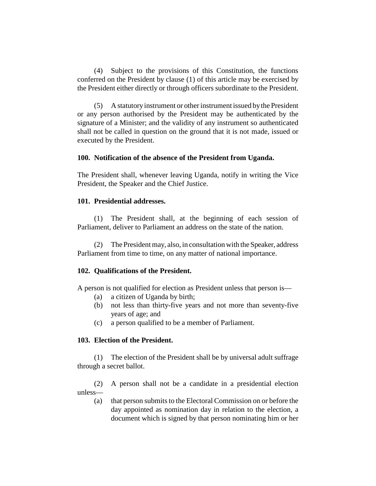(4) Subject to the provisions of this Constitution, the functions conferred on the President by clause (1) of this article may be exercised by the President either directly or through officers subordinate to the President.

(5) A statutory instrument or other instrument issued by the President or any person authorised by the President may be authenticated by the signature of a Minister; and the validity of any instrument so authenticated shall not be called in question on the ground that it is not made, issued or executed by the President.

### **100. Notification of the absence of the President from Uganda.**

The President shall, whenever leaving Uganda, notify in writing the Vice President, the Speaker and the Chief Justice.

### **101. Presidential addresses.**

(1) The President shall, at the beginning of each session of Parliament, deliver to Parliament an address on the state of the nation.

(2) The President may, also, in consultation with the Speaker, address Parliament from time to time, on any matter of national importance.

## **102. Qualifications of the President.**

A person is not qualified for election as President unless that person is—

- (a) a citizen of Uganda by birth;
- (b) not less than thirty-five years and not more than seventy-five years of age; and
- (c) a person qualified to be a member of Parliament.

## **103. Election of the President.**

(1) The election of the President shall be by universal adult suffrage through a secret ballot.

(2) A person shall not be a candidate in a presidential election unless—

(a) that person submits to the Electoral Commission on or before the day appointed as nomination day in relation to the election, a document which is signed by that person nominating him or her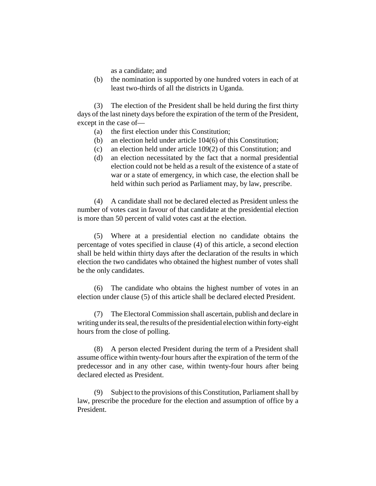as a candidate; and

(b) the nomination is supported by one hundred voters in each of at least two-thirds of all the districts in Uganda.

(3) The election of the President shall be held during the first thirty days of the last ninety days before the expiration of the term of the President, except in the case of—

- (a) the first election under this Constitution;
- (b) an election held under article 104(6) of this Constitution;
- (c) an election held under article 109(2) of this Constitution; and
- (d) an election necessitated by the fact that a normal presidential election could not be held as a result of the existence of a state of war or a state of emergency, in which case, the election shall be held within such period as Parliament may, by law, prescribe.

(4) A candidate shall not be declared elected as President unless the number of votes cast in favour of that candidate at the presidential election is more than 50 percent of valid votes cast at the election.

(5) Where at a presidential election no candidate obtains the percentage of votes specified in clause (4) of this article, a second election shall be held within thirty days after the declaration of the results in which election the two candidates who obtained the highest number of votes shall be the only candidates.

(6) The candidate who obtains the highest number of votes in an election under clause (5) of this article shall be declared elected President.

(7) The Electoral Commission shall ascertain, publish and declare in writing under its seal, the results of the presidential election within forty-eight hours from the close of polling.

(8) A person elected President during the term of a President shall assume office within twenty-four hours after the expiration of the term of the predecessor and in any other case, within twenty-four hours after being declared elected as President.

(9) Subject to the provisions of this Constitution, Parliament shall by law, prescribe the procedure for the election and assumption of office by a President.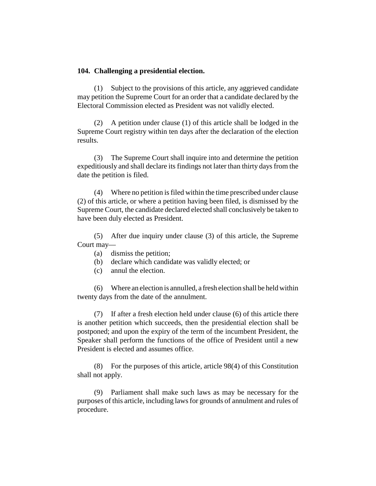#### **104. Challenging a presidential election.**

(1) Subject to the provisions of this article, any aggrieved candidate may petition the Supreme Court for an order that a candidate declared by the Electoral Commission elected as President was not validly elected.

(2) A petition under clause (1) of this article shall be lodged in the Supreme Court registry within ten days after the declaration of the election results.

(3) The Supreme Court shall inquire into and determine the petition expeditiously and shall declare its findings not later than thirty days from the date the petition is filed.

(4) Where no petition is filed within the time prescribed under clause (2) of this article, or where a petition having been filed, is dismissed by the Supreme Court, the candidate declared elected shall conclusively be taken to have been duly elected as President.

(5) After due inquiry under clause (3) of this article, the Supreme Court may—

- (a) dismiss the petition;
- (b) declare which candidate was validly elected; or
- (c) annul the election.

(6) Where an election is annulled, a fresh election shall be held within twenty days from the date of the annulment.

(7) If after a fresh election held under clause (6) of this article there is another petition which succeeds, then the presidential election shall be postponed; and upon the expiry of the term of the incumbent President, the Speaker shall perform the functions of the office of President until a new President is elected and assumes office.

(8) For the purposes of this article, article 98(4) of this Constitution shall not apply.

(9) Parliament shall make such laws as may be necessary for the purposes of this article, including laws for grounds of annulment and rules of procedure.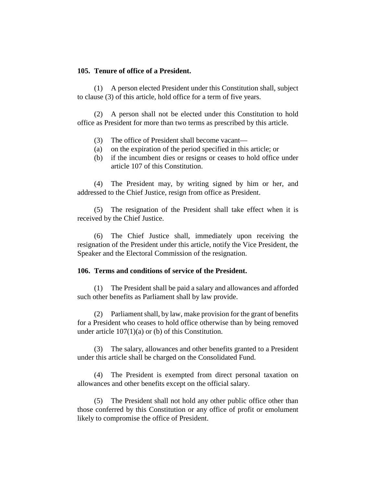### **105. Tenure of office of a President.**

(1) A person elected President under this Constitution shall, subject to clause (3) of this article, hold office for a term of five years.

(2) A person shall not be elected under this Constitution to hold office as President for more than two terms as prescribed by this article.

- (3) The office of President shall become vacant—
- (a) on the expiration of the period specified in this article; or
- (b) if the incumbent dies or resigns or ceases to hold office under article 107 of this Constitution.

(4) The President may, by writing signed by him or her, and addressed to the Chief Justice, resign from office as President.

(5) The resignation of the President shall take effect when it is received by the Chief Justice.

(6) The Chief Justice shall, immediately upon receiving the resignation of the President under this article, notify the Vice President, the Speaker and the Electoral Commission of the resignation.

#### **106. Terms and conditions of service of the President.**

(1) The President shall be paid a salary and allowances and afforded such other benefits as Parliament shall by law provide.

(2) Parliament shall, by law, make provision for the grant of benefits for a President who ceases to hold office otherwise than by being removed under article  $107(1)(a)$  or (b) of this Constitution.

(3) The salary, allowances and other benefits granted to a President under this article shall be charged on the Consolidated Fund.

(4) The President is exempted from direct personal taxation on allowances and other benefits except on the official salary.

(5) The President shall not hold any other public office other than those conferred by this Constitution or any office of profit or emolument likely to compromise the office of President.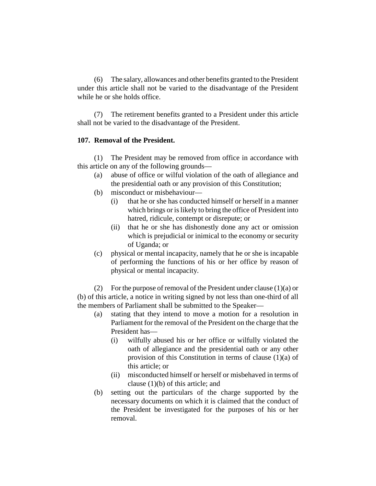(6) The salary, allowances and other benefits granted to the President under this article shall not be varied to the disadvantage of the President while he or she holds office.

(7) The retirement benefits granted to a President under this article shall not be varied to the disadvantage of the President.

## **107. Removal of the President.**

(1) The President may be removed from office in accordance with this article on any of the following grounds—

- (a) abuse of office or wilful violation of the oath of allegiance and the presidential oath or any provision of this Constitution;
- (b) misconduct or misbehaviour—
	- (i) that he or she has conducted himself or herself in a manner which brings or is likely to bring the office of President into hatred, ridicule, contempt or disrepute; or
	- (ii) that he or she has dishonestly done any act or omission which is prejudicial or inimical to the economy or security of Uganda; or
- (c) physical or mental incapacity, namely that he or she is incapable of performing the functions of his or her office by reason of physical or mental incapacity.

(2) For the purpose of removal of the President under clause  $(1)(a)$  or (b) of this article, a notice in writing signed by not less than one-third of all the members of Parliament shall be submitted to the Speaker—

- (a) stating that they intend to move a motion for a resolution in Parliament for the removal of the President on the charge that the President has—
	- (i) wilfully abused his or her office or wilfully violated the oath of allegiance and the presidential oath or any other provision of this Constitution in terms of clause (1)(a) of this article; or
	- (ii) misconducted himself or herself or misbehaved in terms of clause (1)(b) of this article; and
- (b) setting out the particulars of the charge supported by the necessary documents on which it is claimed that the conduct of the President be investigated for the purposes of his or her removal.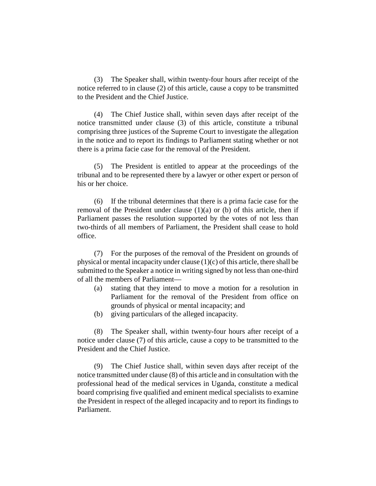(3) The Speaker shall, within twenty-four hours after receipt of the notice referred to in clause (2) of this article, cause a copy to be transmitted to the President and the Chief Justice.

(4) The Chief Justice shall, within seven days after receipt of the notice transmitted under clause (3) of this article, constitute a tribunal comprising three justices of the Supreme Court to investigate the allegation in the notice and to report its findings to Parliament stating whether or not there is a prima facie case for the removal of the President.

The President is entitled to appear at the proceedings of the tribunal and to be represented there by a lawyer or other expert or person of his or her choice.

(6) If the tribunal determines that there is a prima facie case for the removal of the President under clause  $(1)(a)$  or  $(b)$  of this article, then if Parliament passes the resolution supported by the votes of not less than two-thirds of all members of Parliament, the President shall cease to hold office.

(7) For the purposes of the removal of the President on grounds of physical or mental incapacity under clause (1)(c) of this article, there shall be submitted to the Speaker a notice in writing signed by not less than one-third of all the members of Parliament—

- (a) stating that they intend to move a motion for a resolution in Parliament for the removal of the President from office on grounds of physical or mental incapacity; and
- (b) giving particulars of the alleged incapacity.

(8) The Speaker shall, within twenty-four hours after receipt of a notice under clause (7) of this article, cause a copy to be transmitted to the President and the Chief Justice.

(9) The Chief Justice shall, within seven days after receipt of the notice transmitted under clause (8) of this article and in consultation with the professional head of the medical services in Uganda, constitute a medical board comprising five qualified and eminent medical specialists to examine the President in respect of the alleged incapacity and to report its findings to Parliament.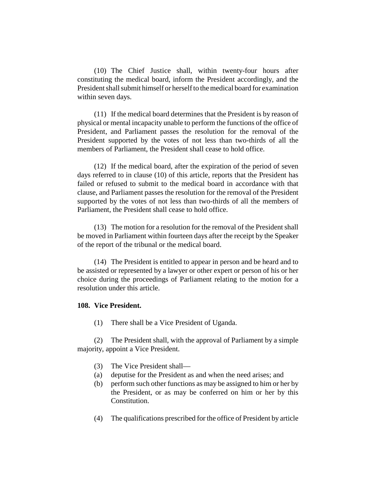(10) The Chief Justice shall, within twenty-four hours after constituting the medical board, inform the President accordingly, and the President shall submit himself or herself to the medical board for examination within seven days.

(11) If the medical board determines that the President is by reason of physical or mental incapacity unable to perform the functions of the office of President, and Parliament passes the resolution for the removal of the President supported by the votes of not less than two-thirds of all the members of Parliament, the President shall cease to hold office.

(12) If the medical board, after the expiration of the period of seven days referred to in clause (10) of this article, reports that the President has failed or refused to submit to the medical board in accordance with that clause, and Parliament passes the resolution for the removal of the President supported by the votes of not less than two-thirds of all the members of Parliament, the President shall cease to hold office.

(13) The motion for a resolution for the removal of the President shall be moved in Parliament within fourteen days after the receipt by the Speaker of the report of the tribunal or the medical board.

(14) The President is entitled to appear in person and be heard and to be assisted or represented by a lawyer or other expert or person of his or her choice during the proceedings of Parliament relating to the motion for a resolution under this article.

### **108. Vice President.**

(1) There shall be a Vice President of Uganda.

(2) The President shall, with the approval of Parliament by a simple majority, appoint a Vice President.

- (3) The Vice President shall—
- (a) deputise for the President as and when the need arises; and
- (b) perform such other functions as may be assigned to him or her by the President, or as may be conferred on him or her by this Constitution.
- (4) The qualifications prescribed for the office of President by article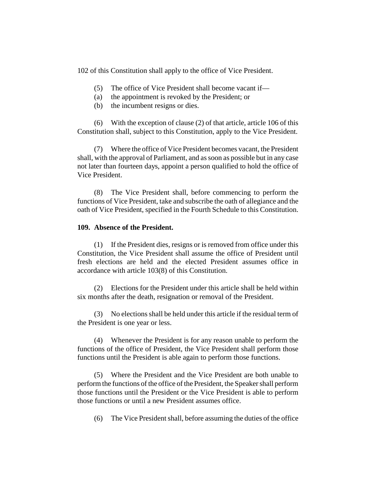102 of this Constitution shall apply to the office of Vice President.

- (5) The office of Vice President shall become vacant if—
- (a) the appointment is revoked by the President; or
- (b) the incumbent resigns or dies.

(6) With the exception of clause (2) of that article, article 106 of this Constitution shall, subject to this Constitution, apply to the Vice President.

(7) Where the office of Vice President becomes vacant, the President shall, with the approval of Parliament, and as soon as possible but in any case not later than fourteen days, appoint a person qualified to hold the office of Vice President.

(8) The Vice President shall, before commencing to perform the functions of Vice President, take and subscribe the oath of allegiance and the oath of Vice President, specified in the Fourth Schedule to this Constitution.

### **109. Absence of the President.**

(1) If the President dies, resigns or is removed from office under this Constitution, the Vice President shall assume the office of President until fresh elections are held and the elected President assumes office in accordance with article 103(8) of this Constitution.

(2) Elections for the President under this article shall be held within six months after the death, resignation or removal of the President.

(3) No elections shall be held under this article if the residual term of the President is one year or less.

(4) Whenever the President is for any reason unable to perform the functions of the office of President, the Vice President shall perform those functions until the President is able again to perform those functions.

(5) Where the President and the Vice President are both unable to perform the functions of the office of the President, the Speaker shall perform those functions until the President or the Vice President is able to perform those functions or until a new President assumes office.

(6) The Vice President shall, before assuming the duties of the office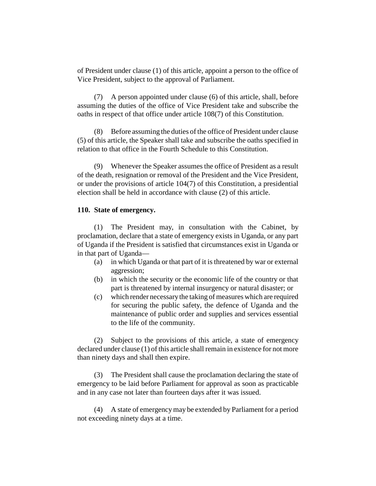of President under clause (1) of this article, appoint a person to the office of Vice President, subject to the approval of Parliament.

(7) A person appointed under clause (6) of this article, shall, before assuming the duties of the office of Vice President take and subscribe the oaths in respect of that office under article 108(7) of this Constitution.

(8) Before assuming the duties of the office of President under clause (5) of this article, the Speaker shall take and subscribe the oaths specified in relation to that office in the Fourth Schedule to this Constitution.

(9) Whenever the Speaker assumes the office of President as a result of the death, resignation or removal of the President and the Vice President, or under the provisions of article 104(7) of this Constitution, a presidential election shall be held in accordance with clause (2) of this article.

#### **110. State of emergency.**

(1) The President may, in consultation with the Cabinet, by proclamation, declare that a state of emergency exists in Uganda, or any part of Uganda if the President is satisfied that circumstances exist in Uganda or in that part of Uganda—

- (a) in which Uganda or that part of it is threatened by war or external aggression;
- (b) in which the security or the economic life of the country or that part is threatened by internal insurgency or natural disaster; or
- (c) which render necessary the taking of measures which are required for securing the public safety, the defence of Uganda and the maintenance of public order and supplies and services essential to the life of the community.

(2) Subject to the provisions of this article, a state of emergency declared under clause (1) of this article shall remain in existence for not more than ninety days and shall then expire.

(3) The President shall cause the proclamation declaring the state of emergency to be laid before Parliament for approval as soon as practicable and in any case not later than fourteen days after it was issued.

(4) A state of emergency may be extended by Parliament for a period not exceeding ninety days at a time.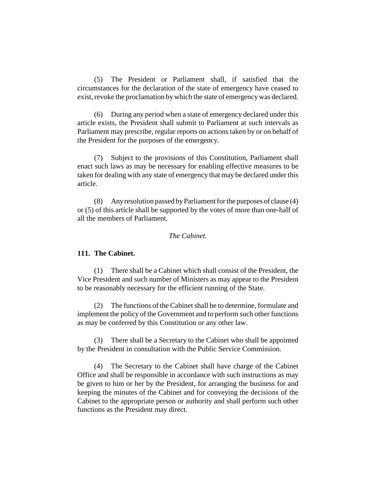(5) The President or Parliament shall, if satisfied that the circumstances for the declaration of the state of emergency have ceased to exist, revoke the proclamation by which the state of emergency was declared.

(6) During any period when a state of emergency declared under this article exists, the President shall submit to Parliament at such intervals as Parliament may prescribe, regular reports on actions taken by or on behalf of the President for the purposes of the emergency.

(7) Subject to the provisions of this Constitution, Parliament shall enact such laws as may be necessary for enabling effective measures to be taken for dealing with any state of emergency that may be declared under this article.

(8) Any resolution passed by Parliament for the purposes of clause (4) or (5) of this article shall be supported by the votes of more than one-half of all the members of Parliament.

#### *The Cabinet.*

### **111. The Cabinet.**

(1) There shall be a Cabinet which shall consist of the President, the Vice President and such number of Ministers as may appear to the President to be reasonably necessary for the efficient running of the State.

(2) The functions of the Cabinet shall be to determine, formulate and implement the policy of the Government and to perform such other functions as may be conferred by this Constitution or any other law.

(3) There shall be a Secretary to the Cabinet who shall be appointed by the President in consultation with the Public Service Commission.

(4) The Secretary to the Cabinet shall have charge of the Cabinet Office and shall be responsible in accordance with such instructions as may be given to him or her by the President, for arranging the business for and keeping the minutes of the Cabinet and for conveying the decisions of the Cabinet to the appropriate person or authority and shall perform such other functions as the President may direct.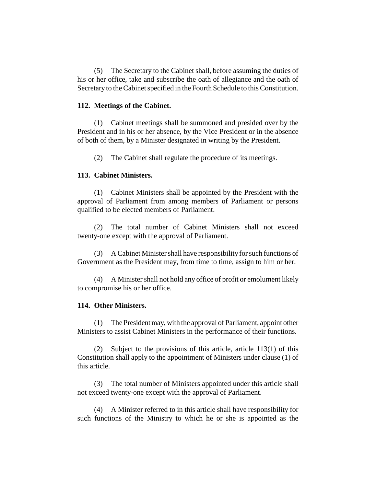(5) The Secretary to the Cabinet shall, before assuming the duties of his or her office, take and subscribe the oath of allegiance and the oath of Secretary to the Cabinet specified in the Fourth Schedule to this Constitution.

#### **112. Meetings of the Cabinet.**

(1) Cabinet meetings shall be summoned and presided over by the President and in his or her absence, by the Vice President or in the absence of both of them, by a Minister designated in writing by the President.

(2) The Cabinet shall regulate the procedure of its meetings.

#### **113. Cabinet Ministers.**

(1) Cabinet Ministers shall be appointed by the President with the approval of Parliament from among members of Parliament or persons qualified to be elected members of Parliament.

(2) The total number of Cabinet Ministers shall not exceed twenty-one except with the approval of Parliament.

(3) A Cabinet Minister shall have responsibility for such functions of Government as the President may, from time to time, assign to him or her.

(4) A Minister shall not hold any office of profit or emolument likely to compromise his or her office.

#### **114. Other Ministers.**

(1) The President may, with the approval of Parliament, appoint other Ministers to assist Cabinet Ministers in the performance of their functions.

(2) Subject to the provisions of this article, article 113(1) of this Constitution shall apply to the appointment of Ministers under clause (1) of this article.

(3) The total number of Ministers appointed under this article shall not exceed twenty-one except with the approval of Parliament.

(4) A Minister referred to in this article shall have responsibility for such functions of the Ministry to which he or she is appointed as the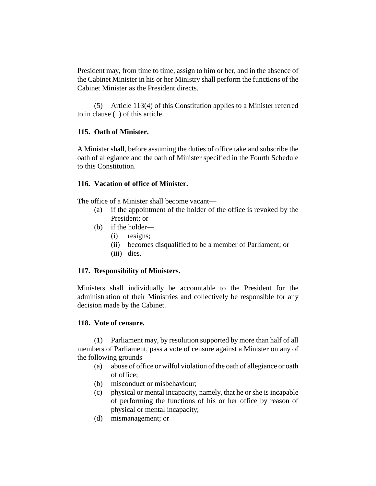President may, from time to time, assign to him or her, and in the absence of the Cabinet Minister in his or her Ministry shall perform the functions of the Cabinet Minister as the President directs.

(5) Article 113(4) of this Constitution applies to a Minister referred to in clause (1) of this article.

## **115. Oath of Minister.**

A Minister shall, before assuming the duties of office take and subscribe the oath of allegiance and the oath of Minister specified in the Fourth Schedule to this Constitution.

### **116. Vacation of office of Minister.**

The office of a Minister shall become vacant—

- (a) if the appointment of the holder of the office is revoked by the President; or
- (b) if the holder—
	- (i) resigns;
	- (ii) becomes disqualified to be a member of Parliament; or
	- (iii) dies.

#### **117. Responsibility of Ministers.**

Ministers shall individually be accountable to the President for the administration of their Ministries and collectively be responsible for any decision made by the Cabinet.

#### **118. Vote of censure.**

(1) Parliament may, by resolution supported by more than half of all members of Parliament, pass a vote of censure against a Minister on any of the following grounds—

- (a) abuse of office or wilful violation of the oath of allegiance or oath of office;
- (b) misconduct or misbehaviour;
- (c) physical or mental incapacity, namely, that he or she is incapable of performing the functions of his or her office by reason of physical or mental incapacity;
- (d) mismanagement; or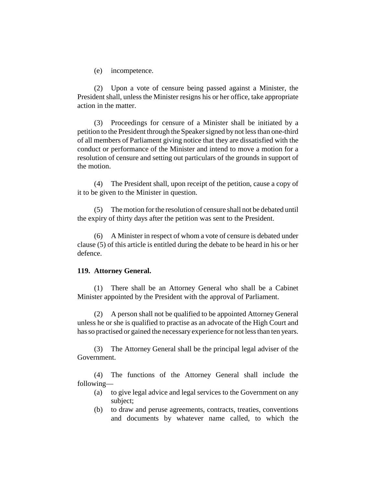(e) incompetence.

(2) Upon a vote of censure being passed against a Minister, the President shall, unless the Minister resigns his or her office, take appropriate action in the matter.

(3) Proceedings for censure of a Minister shall be initiated by a petition to the President through the Speaker signed by not less than one-third of all members of Parliament giving notice that they are dissatisfied with the conduct or performance of the Minister and intend to move a motion for a resolution of censure and setting out particulars of the grounds in support of the motion.

(4) The President shall, upon receipt of the petition, cause a copy of it to be given to the Minister in question.

(5) The motion for the resolution of censure shall not be debated until the expiry of thirty days after the petition was sent to the President.

(6) A Minister in respect of whom a vote of censure is debated under clause (5) of this article is entitled during the debate to be heard in his or her defence.

#### **119. Attorney General.**

(1) There shall be an Attorney General who shall be a Cabinet Minister appointed by the President with the approval of Parliament.

(2) A person shall not be qualified to be appointed Attorney General unless he or she is qualified to practise as an advocate of the High Court and has so practised or gained the necessary experience for not less than ten years.

(3) The Attorney General shall be the principal legal adviser of the Government.

(4) The functions of the Attorney General shall include the following—

- (a) to give legal advice and legal services to the Government on any subject;
- (b) to draw and peruse agreements, contracts, treaties, conventions and documents by whatever name called, to which the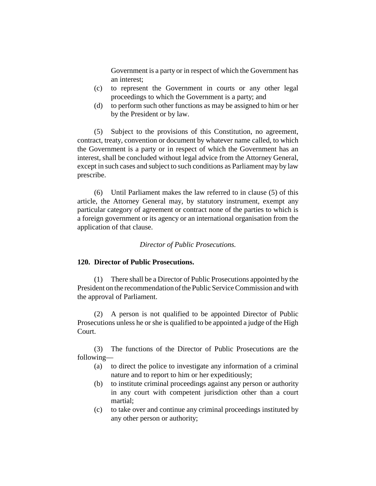Government is a party or in respect of which the Government has an interest;

- (c) to represent the Government in courts or any other legal proceedings to which the Government is a party; and
- (d) to perform such other functions as may be assigned to him or her by the President or by law.

(5) Subject to the provisions of this Constitution, no agreement, contract, treaty, convention or document by whatever name called, to which the Government is a party or in respect of which the Government has an interest, shall be concluded without legal advice from the Attorney General, except in such cases and subject to such conditions as Parliament may by law prescribe.

(6) Until Parliament makes the law referred to in clause (5) of this article, the Attorney General may, by statutory instrument, exempt any particular category of agreement or contract none of the parties to which is a foreign government or its agency or an international organisation from the application of that clause.

*Director of Public Prosecutions.*

## **120. Director of Public Prosecutions.**

(1) There shall be a Director of Public Prosecutions appointed by the President on the recommendation of the Public Service Commission and with the approval of Parliament.

(2) A person is not qualified to be appointed Director of Public Prosecutions unless he or she is qualified to be appointed a judge of the High Court.

(3) The functions of the Director of Public Prosecutions are the following—

- (a) to direct the police to investigate any information of a criminal nature and to report to him or her expeditiously;
- (b) to institute criminal proceedings against any person or authority in any court with competent jurisdiction other than a court martial;
- (c) to take over and continue any criminal proceedings instituted by any other person or authority;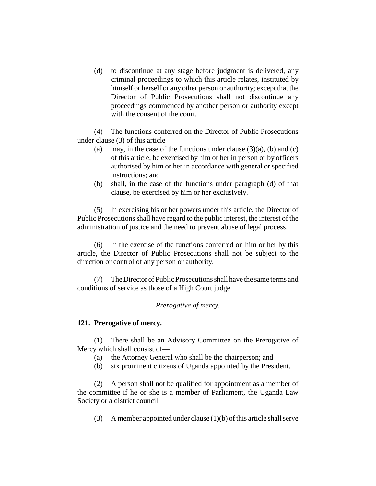(d) to discontinue at any stage before judgment is delivered, any criminal proceedings to which this article relates, instituted by himself or herself or any other person or authority; except that the Director of Public Prosecutions shall not discontinue any proceedings commenced by another person or authority except with the consent of the court.

(4) The functions conferred on the Director of Public Prosecutions under clause (3) of this article—

- (a) may, in the case of the functions under clause  $(3)(a)$ , (b) and (c) of this article, be exercised by him or her in person or by officers authorised by him or her in accordance with general or specified instructions; and
- (b) shall, in the case of the functions under paragraph (d) of that clause, be exercised by him or her exclusively.

(5) In exercising his or her powers under this article, the Director of Public Prosecutions shall have regard to the public interest, the interest of the administration of justice and the need to prevent abuse of legal process.

(6) In the exercise of the functions conferred on him or her by this article, the Director of Public Prosecutions shall not be subject to the direction or control of any person or authority.

(7) The Director of Public Prosecutions shall have the same terms and conditions of service as those of a High Court judge.

## *Prerogative of mercy.*

#### **121. Prerogative of mercy.**

(1) There shall be an Advisory Committee on the Prerogative of Mercy which shall consist of—

- (a) the Attorney General who shall be the chairperson; and
- (b) six prominent citizens of Uganda appointed by the President.

(2) A person shall not be qualified for appointment as a member of the committee if he or she is a member of Parliament, the Uganda Law Society or a district council.

(3) A member appointed under clause  $(1)(b)$  of this article shall serve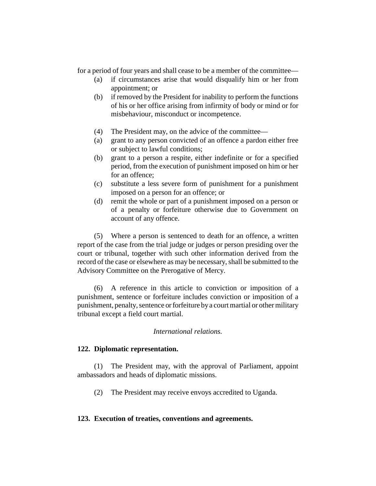for a period of four years and shall cease to be a member of the committee—

- (a) if circumstances arise that would disqualify him or her from appointment; or
- (b) if removed by the President for inability to perform the functions of his or her office arising from infirmity of body or mind or for misbehaviour, misconduct or incompetence.
- (4) The President may, on the advice of the committee—
- (a) grant to any person convicted of an offence a pardon either free or subject to lawful conditions;
- (b) grant to a person a respite, either indefinite or for a specified period, from the execution of punishment imposed on him or her for an offence;
- (c) substitute a less severe form of punishment for a punishment imposed on a person for an offence; or
- (d) remit the whole or part of a punishment imposed on a person or of a penalty or forfeiture otherwise due to Government on account of any offence.

(5) Where a person is sentenced to death for an offence, a written report of the case from the trial judge or judges or person presiding over the court or tribunal, together with such other information derived from the record of the case or elsewhere as may be necessary, shall be submitted to the Advisory Committee on the Prerogative of Mercy.

(6) A reference in this article to conviction or imposition of a punishment, sentence or forfeiture includes conviction or imposition of a punishment, penalty, sentence or forfeiture by a court martial or other military tribunal except a field court martial.

## *International relations.*

#### **122. Diplomatic representation.**

(1) The President may, with the approval of Parliament, appoint ambassadors and heads of diplomatic missions.

(2) The President may receive envoys accredited to Uganda.

#### **123. Execution of treaties, conventions and agreements.**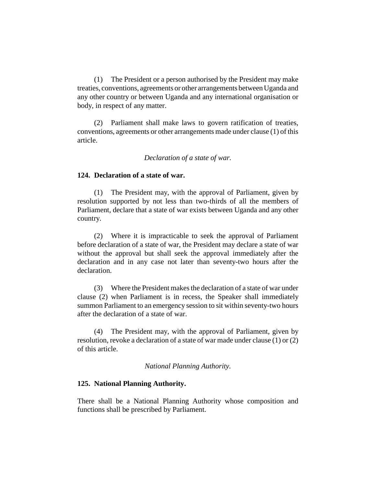(1) The President or a person authorised by the President may make treaties, conventions, agreements or other arrangements between Uganda and any other country or between Uganda and any international organisation or body, in respect of any matter.

(2) Parliament shall make laws to govern ratification of treaties, conventions, agreements or other arrangements made under clause (1) of this article.

#### *Declaration of a state of war.*

#### **124. Declaration of a state of war.**

(1) The President may, with the approval of Parliament, given by resolution supported by not less than two-thirds of all the members of Parliament, declare that a state of war exists between Uganda and any other country.

(2) Where it is impracticable to seek the approval of Parliament before declaration of a state of war, the President may declare a state of war without the approval but shall seek the approval immediately after the declaration and in any case not later than seventy-two hours after the declaration.

(3) Where the President makes the declaration of a state of war under clause (2) when Parliament is in recess, the Speaker shall immediately summon Parliament to an emergency session to sit within seventy-two hours after the declaration of a state of war.

(4) The President may, with the approval of Parliament, given by resolution, revoke a declaration of a state of war made under clause (1) or (2) of this article.

#### *National Planning Authority.*

#### **125. National Planning Authority.**

There shall be a National Planning Authority whose composition and functions shall be prescribed by Parliament.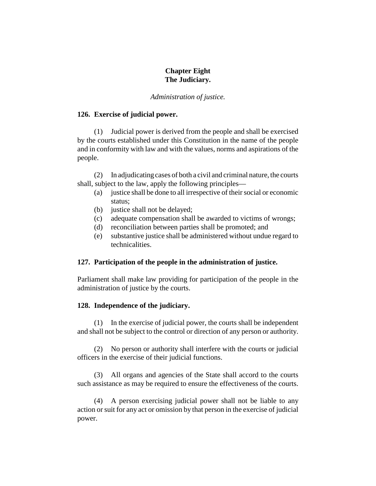# **Chapter Eight The Judiciary.**

### *Administration of justice.*

### **126. Exercise of judicial power.**

(1) Judicial power is derived from the people and shall be exercised by the courts established under this Constitution in the name of the people and in conformity with law and with the values, norms and aspirations of the people.

(2) In adjudicating cases of both a civil and criminal nature, the courts shall, subject to the law, apply the following principles—

- (a) justice shall be done to all irrespective of their social or economic status;
- (b) justice shall not be delayed;
- (c) adequate compensation shall be awarded to victims of wrongs;
- (d) reconciliation between parties shall be promoted; and
- (e) substantive justice shall be administered without undue regard to technicalities.

## **127. Participation of the people in the administration of justice.**

Parliament shall make law providing for participation of the people in the administration of justice by the courts.

## **128. Independence of the judiciary.**

(1) In the exercise of judicial power, the courts shall be independent and shall not be subject to the control or direction of any person or authority.

(2) No person or authority shall interfere with the courts or judicial officers in the exercise of their judicial functions.

(3) All organs and agencies of the State shall accord to the courts such assistance as may be required to ensure the effectiveness of the courts.

(4) A person exercising judicial power shall not be liable to any action or suit for any act or omission by that person in the exercise of judicial power.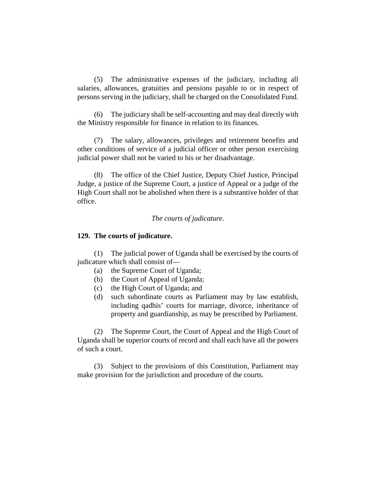(5) The administrative expenses of the judiciary, including all salaries, allowances, gratuities and pensions payable to or in respect of persons serving in the judiciary, shall be charged on the Consolidated Fund.

(6) The judiciary shall be self-accounting and may deal directly with the Ministry responsible for finance in relation to its finances.

(7) The salary, allowances, privileges and retirement benefits and other conditions of service of a judicial officer or other person exercising judicial power shall not be varied to his or her disadvantage.

(8) The office of the Chief Justice, Deputy Chief Justice, Principal Judge, a justice of the Supreme Court, a justice of Appeal or a judge of the High Court shall not be abolished when there is a substantive holder of that office.

#### *The courts of judicature.*

#### **129. The courts of judicature.**

(1) The judicial power of Uganda shall be exercised by the courts of judicature which shall consist of—

- (a) the Supreme Court of Uganda;
- (b) the Court of Appeal of Uganda;
- (c) the High Court of Uganda; and
- (d) such subordinate courts as Parliament may by law establish, including qadhis' courts for marriage, divorce, inheritance of property and guardianship, as may be prescribed by Parliament.

(2) The Supreme Court, the Court of Appeal and the High Court of Uganda shall be superior courts of record and shall each have all the powers of such a court.

(3) Subject to the provisions of this Constitution, Parliament may make provision for the jurisdiction and procedure of the courts.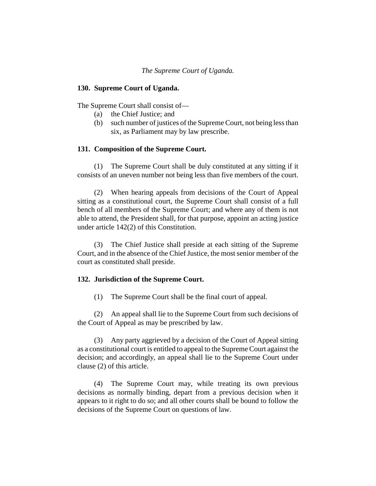### *The Supreme Court of Uganda.*

#### **130. Supreme Court of Uganda.**

The Supreme Court shall consist of—

- (a) the Chief Justice; and
- (b) such number of justices of the Supreme Court, not being less than six, as Parliament may by law prescribe.

#### **131. Composition of the Supreme Court.**

(1) The Supreme Court shall be duly constituted at any sitting if it consists of an uneven number not being less than five members of the court.

(2) When hearing appeals from decisions of the Court of Appeal sitting as a constitutional court, the Supreme Court shall consist of a full bench of all members of the Supreme Court; and where any of them is not able to attend, the President shall, for that purpose, appoint an acting justice under article 142(2) of this Constitution.

(3) The Chief Justice shall preside at each sitting of the Supreme Court, and in the absence of the Chief Justice, the most senior member of the court as constituted shall preside.

#### **132. Jurisdiction of the Supreme Court.**

(1) The Supreme Court shall be the final court of appeal.

(2) An appeal shall lie to the Supreme Court from such decisions of the Court of Appeal as may be prescribed by law.

(3) Any party aggrieved by a decision of the Court of Appeal sitting as a constitutional court is entitled to appeal to the Supreme Court against the decision; and accordingly, an appeal shall lie to the Supreme Court under clause (2) of this article.

(4) The Supreme Court may, while treating its own previous decisions as normally binding, depart from a previous decision when it appears to it right to do so; and all other courts shall be bound to follow the decisions of the Supreme Court on questions of law.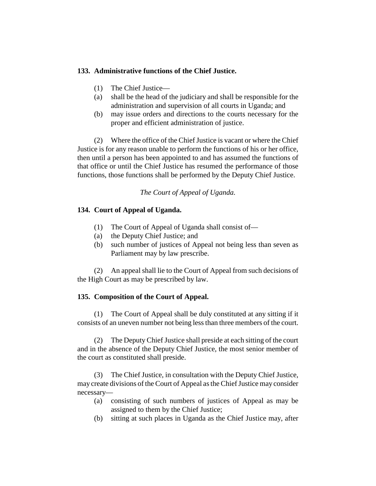## **133. Administrative functions of the Chief Justice.**

- (1) The Chief Justice—
- (a) shall be the head of the judiciary and shall be responsible for the administration and supervision of all courts in Uganda; and
- (b) may issue orders and directions to the courts necessary for the proper and efficient administration of justice.

(2) Where the office of the Chief Justice is vacant or where the Chief Justice is for any reason unable to perform the functions of his or her office, then until a person has been appointed to and has assumed the functions of that office or until the Chief Justice has resumed the performance of those functions, those functions shall be performed by the Deputy Chief Justice.

*The Court of Appeal of Uganda.*

## **134. Court of Appeal of Uganda.**

- (1) The Court of Appeal of Uganda shall consist of—
- (a) the Deputy Chief Justice; and
- (b) such number of justices of Appeal not being less than seven as Parliament may by law prescribe.

(2) An appeal shall lie to the Court of Appeal from such decisions of the High Court as may be prescribed by law.

## **135. Composition of the Court of Appeal.**

(1) The Court of Appeal shall be duly constituted at any sitting if it consists of an uneven number not being less than three members of the court.

(2) The Deputy Chief Justice shall preside at each sitting of the court and in the absence of the Deputy Chief Justice, the most senior member of the court as constituted shall preside.

(3) The Chief Justice, in consultation with the Deputy Chief Justice, may create divisions of the Court of Appeal as the Chief Justice may consider necessary—

- (a) consisting of such numbers of justices of Appeal as may be assigned to them by the Chief Justice;
- (b) sitting at such places in Uganda as the Chief Justice may, after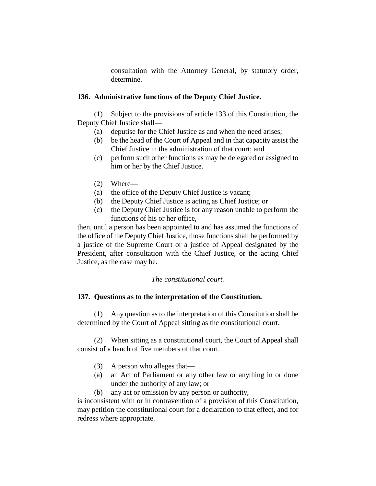consultation with the Attorney General, by statutory order, determine.

## **136. Administrative functions of the Deputy Chief Justice.**

(1) Subject to the provisions of article 133 of this Constitution, the Deputy Chief Justice shall—

- (a) deputise for the Chief Justice as and when the need arises;
- (b) be the head of the Court of Appeal and in that capacity assist the Chief Justice in the administration of that court; and
- (c) perform such other functions as may be delegated or assigned to him or her by the Chief Justice.
- (2) Where—
- (a) the office of the Deputy Chief Justice is vacant;
- (b) the Deputy Chief Justice is acting as Chief Justice; or
- (c) the Deputy Chief Justice is for any reason unable to perform the functions of his or her office,

then, until a person has been appointed to and has assumed the functions of the office of the Deputy Chief Justice, those functions shall be performed by a justice of the Supreme Court or a justice of Appeal designated by the President, after consultation with the Chief Justice, or the acting Chief Justice, as the case may be.

# *The constitutional court.*

# **137. Questions as to the interpretation of the Constitution.**

(1) Any question as to the interpretation of this Constitution shall be determined by the Court of Appeal sitting as the constitutional court.

(2) When sitting as a constitutional court, the Court of Appeal shall consist of a bench of five members of that court.

- (3) A person who alleges that—
- (a) an Act of Parliament or any other law or anything in or done under the authority of any law; or
- (b) any act or omission by any person or authority,

is inconsistent with or in contravention of a provision of this Constitution, may petition the constitutional court for a declaration to that effect, and for redress where appropriate.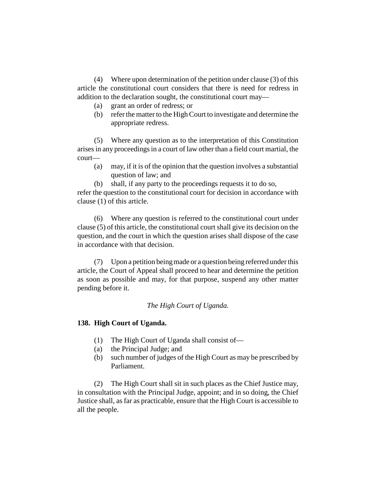(4) Where upon determination of the petition under clause (3) of this article the constitutional court considers that there is need for redress in addition to the declaration sought, the constitutional court may—

- (a) grant an order of redress; or
- (b) refer the matter to the High Court to investigate and determine the appropriate redress.

(5) Where any question as to the interpretation of this Constitution arises in any proceedings in a court of law other than a field court martial, the court—

- (a) may, if it is of the opinion that the question involves a substantial question of law; and
- (b) shall, if any party to the proceedings requests it to do so,

refer the question to the constitutional court for decision in accordance with clause (1) of this article.

(6) Where any question is referred to the constitutional court under clause (5) of this article, the constitutional court shall give its decision on the question, and the court in which the question arises shall dispose of the case in accordance with that decision.

(7) Upon a petition being made or a question being referred under this article, the Court of Appeal shall proceed to hear and determine the petition as soon as possible and may, for that purpose, suspend any other matter pending before it.

## *The High Court of Uganda.*

## **138. High Court of Uganda.**

- (1) The High Court of Uganda shall consist of—
- (a) the Principal Judge; and
- (b) such number of judges of the High Court as may be prescribed by Parliament.

(2) The High Court shall sit in such places as the Chief Justice may, in consultation with the Principal Judge, appoint; and in so doing, the Chief Justice shall, as far as practicable, ensure that the High Court is accessible to all the people.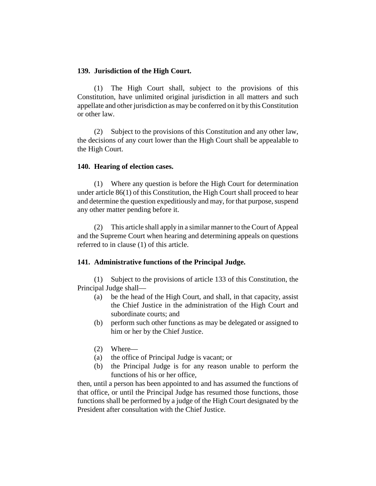### **139. Jurisdiction of the High Court.**

(1) The High Court shall, subject to the provisions of this Constitution, have unlimited original jurisdiction in all matters and such appellate and other jurisdiction as may be conferred on it by this Constitution or other law.

(2) Subject to the provisions of this Constitution and any other law, the decisions of any court lower than the High Court shall be appealable to the High Court.

#### **140. Hearing of election cases.**

(1) Where any question is before the High Court for determination under article 86(1) of this Constitution, the High Court shall proceed to hear and determine the question expeditiously and may, for that purpose, suspend any other matter pending before it.

(2) This article shall apply in a similar manner to the Court of Appeal and the Supreme Court when hearing and determining appeals on questions referred to in clause (1) of this article.

## **141. Administrative functions of the Principal Judge.**

(1) Subject to the provisions of article 133 of this Constitution, the Principal Judge shall—

- (a) be the head of the High Court, and shall, in that capacity, assist the Chief Justice in the administration of the High Court and subordinate courts; and
- (b) perform such other functions as may be delegated or assigned to him or her by the Chief Justice.
- (2) Where—
- (a) the office of Principal Judge is vacant; or
- (b) the Principal Judge is for any reason unable to perform the functions of his or her office,

then, until a person has been appointed to and has assumed the functions of that office, or until the Principal Judge has resumed those functions, those functions shall be performed by a judge of the High Court designated by the President after consultation with the Chief Justice.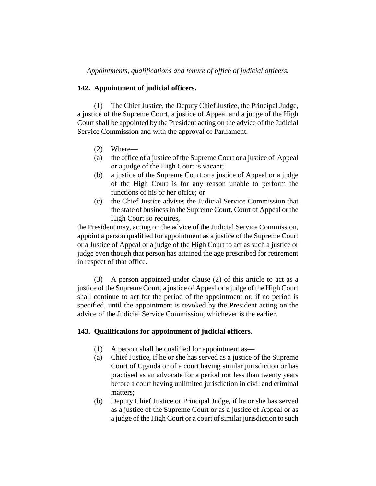*Appointments, qualifications and tenure of office of judicial officers.*

### **142. Appointment of judicial officers.**

(1) The Chief Justice, the Deputy Chief Justice, the Principal Judge, a justice of the Supreme Court, a justice of Appeal and a judge of the High Court shall be appointed by the President acting on the advice of the Judicial Service Commission and with the approval of Parliament.

- (2) Where—
- (a) the office of a justice of the Supreme Court or a justice of Appeal or a judge of the High Court is vacant;
- (b) a justice of the Supreme Court or a justice of Appeal or a judge of the High Court is for any reason unable to perform the functions of his or her office; or
- (c) the Chief Justice advises the Judicial Service Commission that the state of business in the Supreme Court, Court of Appeal or the High Court so requires,

the President may, acting on the advice of the Judicial Service Commission, appoint a person qualified for appointment as a justice of the Supreme Court or a Justice of Appeal or a judge of the High Court to act as such a justice or judge even though that person has attained the age prescribed for retirement in respect of that office.

(3) A person appointed under clause (2) of this article to act as a justice of the Supreme Court, a justice of Appeal or a judge of the High Court shall continue to act for the period of the appointment or, if no period is specified, until the appointment is revoked by the President acting on the advice of the Judicial Service Commission, whichever is the earlier.

## **143. Qualifications for appointment of judicial officers.**

- (1) A person shall be qualified for appointment as—
- (a) Chief Justice, if he or she has served as a justice of the Supreme Court of Uganda or of a court having similar jurisdiction or has practised as an advocate for a period not less than twenty years before a court having unlimited jurisdiction in civil and criminal matters;
- (b) Deputy Chief Justice or Principal Judge, if he or she has served as a justice of the Supreme Court or as a justice of Appeal or as a judge of the High Court or a court of similar jurisdiction to such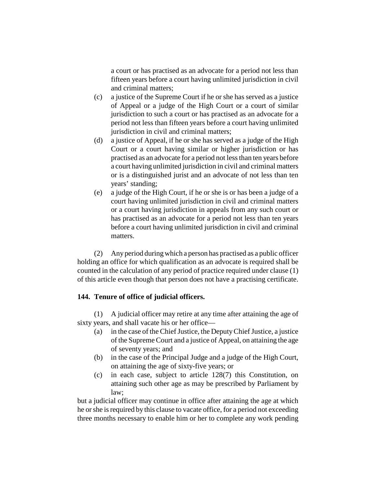a court or has practised as an advocate for a period not less than fifteen years before a court having unlimited jurisdiction in civil and criminal matters;

- (c) a justice of the Supreme Court if he or she has served as a justice of Appeal or a judge of the High Court or a court of similar jurisdiction to such a court or has practised as an advocate for a period not less than fifteen years before a court having unlimited jurisdiction in civil and criminal matters;
- (d) a justice of Appeal, if he or she has served as a judge of the High Court or a court having similar or higher jurisdiction or has practised as an advocate for a period not less than ten years before a court having unlimited jurisdiction in civil and criminal matters or is a distinguished jurist and an advocate of not less than ten years' standing;
- (e) a judge of the High Court, if he or she is or has been a judge of a court having unlimited jurisdiction in civil and criminal matters or a court having jurisdiction in appeals from any such court or has practised as an advocate for a period not less than ten years before a court having unlimited jurisdiction in civil and criminal matters.

(2) Any period during which a person has practised as a public officer holding an office for which qualification as an advocate is required shall be counted in the calculation of any period of practice required under clause (1) of this article even though that person does not have a practising certificate.

## **144. Tenure of office of judicial officers.**

(1) A judicial officer may retire at any time after attaining the age of sixty years, and shall vacate his or her office—

- (a) in the case of the Chief Justice, the Deputy Chief Justice, a justice of the Supreme Court and a justice of Appeal, on attaining the age of seventy years; and
- (b) in the case of the Principal Judge and a judge of the High Court, on attaining the age of sixty-five years; or
- (c) in each case, subject to article 128(7) this Constitution, on attaining such other age as may be prescribed by Parliament by law;

but a judicial officer may continue in office after attaining the age at which he or she is required by this clause to vacate office, for a period not exceeding three months necessary to enable him or her to complete any work pending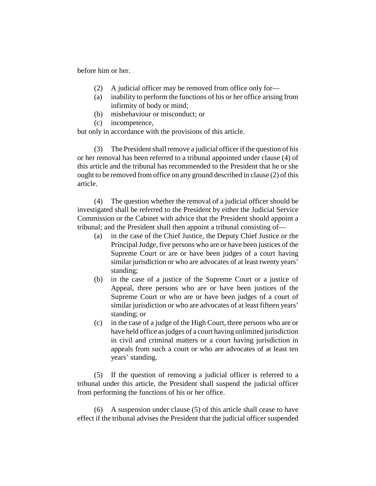before him or her.

- (2) A judicial officer may be removed from office only for—
- (a) inability to perform the functions of his or her office arising from infirmity of body or mind;
- (b) misbehaviour or misconduct; or
- (c) incompetence,

but only in accordance with the provisions of this article.

(3) The President shall remove a judicial officer if the question of his or her removal has been referred to a tribunal appointed under clause (4) of this article and the tribunal has recommended to the President that he or she ought to be removed from office on any ground described in clause (2) of this article.

(4) The question whether the removal of a judicial officer should be investigated shall be referred to the President by either the Judicial Service Commission or the Cabinet with advice that the President should appoint a tribunal; and the President shall then appoint a tribunal consisting of—

- (a) in the case of the Chief Justice, the Deputy Chief Justice or the Principal Judge, five persons who are or have been justices of the Supreme Court or are or have been judges of a court having similar jurisdiction or who are advocates of at least twenty years' standing;
- (b) in the case of a justice of the Supreme Court or a justice of Appeal, three persons who are or have been justices of the Supreme Court or who are or have been judges of a court of similar jurisdiction or who are advocates of at least fifteen years' standing; or
- (c) in the case of a judge of the High Court, three persons who are or have held office as judges of a court having unlimited jurisdiction in civil and criminal matters or a court having jurisdiction in appeals from such a court or who are advocates of at least ten years' standing.

(5) If the question of removing a judicial officer is referred to a tribunal under this article, the President shall suspend the judicial officer from performing the functions of his or her office.

(6) A suspension under clause (5) of this article shall cease to have effect if the tribunal advises the President that the judicial officer suspended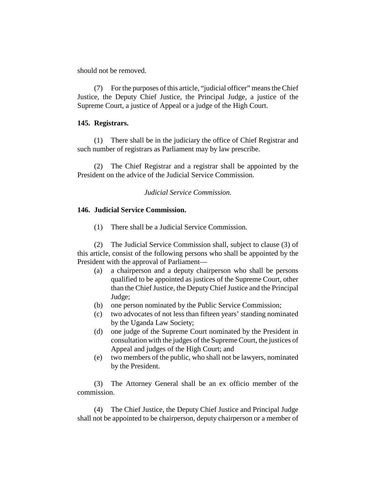should not be removed.

(7) For the purposes of this article, "judicial officer" means the Chief Justice, the Deputy Chief Justice, the Principal Judge, a justice of the Supreme Court, a justice of Appeal or a judge of the High Court.

#### **145. Registrars.**

(1) There shall be in the judiciary the office of Chief Registrar and such number of registrars as Parliament may by law prescribe.

(2) The Chief Registrar and a registrar shall be appointed by the President on the advice of the Judicial Service Commission.

*Judicial Service Commission.*

### **146. Judicial Service Commission.**

(1) There shall be a Judicial Service Commission.

(2) The Judicial Service Commission shall, subject to clause (3) of this article, consist of the following persons who shall be appointed by the President with the approval of Parliament—

- (a) a chairperson and a deputy chairperson who shall be persons qualified to be appointed as justices of the Supreme Court, other than the Chief Justice, the Deputy Chief Justice and the Principal Judge;
- (b) one person nominated by the Public Service Commission;
- (c) two advocates of not less than fifteen years' standing nominated by the Uganda Law Society;
- (d) one judge of the Supreme Court nominated by the President in consultation with the judges of the Supreme Court, the justices of Appeal and judges of the High Court; and
- (e) two members of the public, who shall not be lawyers, nominated by the President.

(3) The Attorney General shall be an ex officio member of the commission.

(4) The Chief Justice, the Deputy Chief Justice and Principal Judge shall not be appointed to be chairperson, deputy chairperson or a member of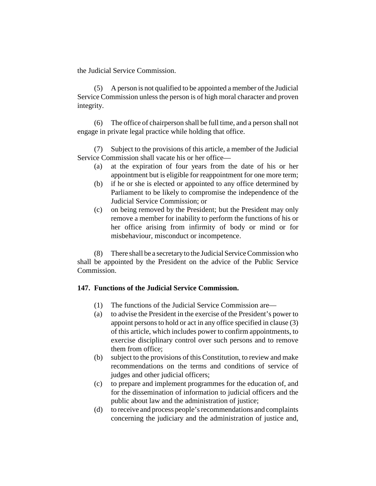the Judicial Service Commission.

(5) A person is not qualified to be appointed a member of the Judicial Service Commission unless the person is of high moral character and proven integrity.

(6) The office of chairperson shall be full time, and a person shall not engage in private legal practice while holding that office.

(7) Subject to the provisions of this article, a member of the Judicial Service Commission shall vacate his or her office—

- (a) at the expiration of four years from the date of his or her appointment but is eligible for reappointment for one more term;
- (b) if he or she is elected or appointed to any office determined by Parliament to be likely to compromise the independence of the Judicial Service Commission; or
- (c) on being removed by the President; but the President may only remove a member for inability to perform the functions of his or her office arising from infirmity of body or mind or for misbehaviour, misconduct or incompetence.

(8) There shall be a secretary to the Judicial Service Commission who shall be appointed by the President on the advice of the Public Service Commission.

## **147. Functions of the Judicial Service Commission.**

- (1) The functions of the Judicial Service Commission are—
- (a) to advise the President in the exercise of the President's power to appoint persons to hold or act in any office specified in clause (3) of this article, which includes power to confirm appointments, to exercise disciplinary control over such persons and to remove them from office;
- (b) subject to the provisions of this Constitution, to review and make recommendations on the terms and conditions of service of judges and other judicial officers;
- (c) to prepare and implement programmes for the education of, and for the dissemination of information to judicial officers and the public about law and the administration of justice;
- (d) to receive and process people's recommendations and complaints concerning the judiciary and the administration of justice and,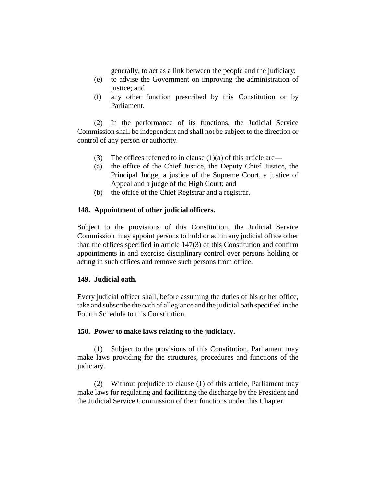generally, to act as a link between the people and the judiciary;

- (e) to advise the Government on improving the administration of justice; and
- (f) any other function prescribed by this Constitution or by Parliament.

(2) In the performance of its functions, the Judicial Service Commission shall be independent and shall not be subject to the direction or control of any person or authority.

- (3) The offices referred to in clause  $(1)(a)$  of this article are—
- (a) the office of the Chief Justice, the Deputy Chief Justice, the Principal Judge, a justice of the Supreme Court, a justice of Appeal and a judge of the High Court; and
- (b) the office of the Chief Registrar and a registrar.

## **148. Appointment of other judicial officers.**

Subject to the provisions of this Constitution, the Judicial Service Commission may appoint persons to hold or act in any judicial office other than the offices specified in article 147(3) of this Constitution and confirm appointments in and exercise disciplinary control over persons holding or acting in such offices and remove such persons from office.

## **149. Judicial oath.**

Every judicial officer shall, before assuming the duties of his or her office, take and subscribe the oath of allegiance and the judicial oath specified in the Fourth Schedule to this Constitution.

## **150. Power to make laws relating to the judiciary.**

(1) Subject to the provisions of this Constitution, Parliament may make laws providing for the structures, procedures and functions of the judiciary.

(2) Without prejudice to clause (1) of this article, Parliament may make laws for regulating and facilitating the discharge by the President and the Judicial Service Commission of their functions under this Chapter.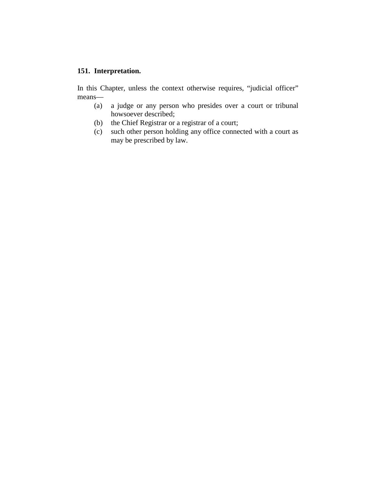# **151. Interpretation.**

In this Chapter, unless the context otherwise requires, "judicial officer" means—

- (a) a judge or any person who presides over a court or tribunal howsoever described;
- (b) the Chief Registrar or a registrar of a court;
- (c) such other person holding any office connected with a court as may be prescribed by law.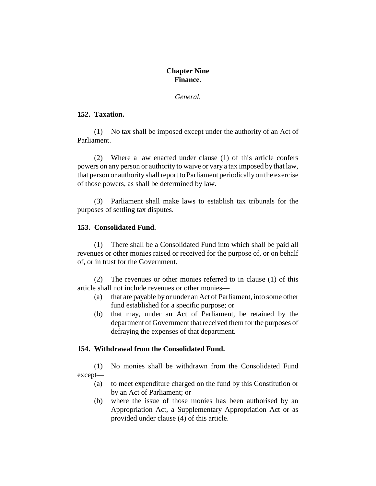# **Chapter Nine Finance.**

*General.*

## **152. Taxation.**

(1) No tax shall be imposed except under the authority of an Act of Parliament.

(2) Where a law enacted under clause (1) of this article confers powers on any person or authority to waive or vary a tax imposed by that law, that person or authority shall report to Parliament periodically on the exercise of those powers, as shall be determined by law.

(3) Parliament shall make laws to establish tax tribunals for the purposes of settling tax disputes.

# **153. Consolidated Fund.**

(1) There shall be a Consolidated Fund into which shall be paid all revenues or other monies raised or received for the purpose of, or on behalf of, or in trust for the Government.

(2) The revenues or other monies referred to in clause (1) of this article shall not include revenues or other monies—

- (a) that are payable by or under an Act of Parliament, into some other fund established for a specific purpose; or
- (b) that may, under an Act of Parliament, be retained by the department of Government that received them for the purposes of defraying the expenses of that department.

# **154. Withdrawal from the Consolidated Fund.**

(1) No monies shall be withdrawn from the Consolidated Fund except—

- (a) to meet expenditure charged on the fund by this Constitution or by an Act of Parliament; or
- (b) where the issue of those monies has been authorised by an Appropriation Act, a Supplementary Appropriation Act or as provided under clause (4) of this article.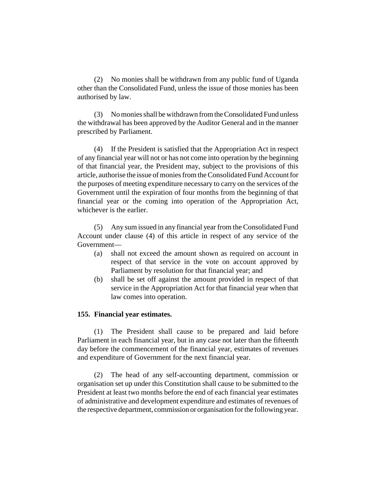(2) No monies shall be withdrawn from any public fund of Uganda other than the Consolidated Fund, unless the issue of those monies has been authorised by law.

(3) No monies shall be withdrawn from the Consolidated Fund unless the withdrawal has been approved by the Auditor General and in the manner prescribed by Parliament.

(4) If the President is satisfied that the Appropriation Act in respect of any financial year will not or has not come into operation by the beginning of that financial year, the President may, subject to the provisions of this article, authorise the issue of monies from the Consolidated Fund Account for the purposes of meeting expenditure necessary to carry on the services of the Government until the expiration of four months from the beginning of that financial year or the coming into operation of the Appropriation Act, whichever is the earlier.

(5) Any sum issued in any financial year from the Consolidated Fund Account under clause (4) of this article in respect of any service of the Government—

- (a) shall not exceed the amount shown as required on account in respect of that service in the vote on account approved by Parliament by resolution for that financial year; and
- (b) shall be set off against the amount provided in respect of that service in the Appropriation Act for that financial year when that law comes into operation.

#### **155. Financial year estimates.**

(1) The President shall cause to be prepared and laid before Parliament in each financial year, but in any case not later than the fifteenth day before the commencement of the financial year, estimates of revenues and expenditure of Government for the next financial year.

(2) The head of any self-accounting department, commission or organisation set up under this Constitution shall cause to be submitted to the President at least two months before the end of each financial year estimates of administrative and development expenditure and estimates of revenues of the respective department, commission or organisation for the following year.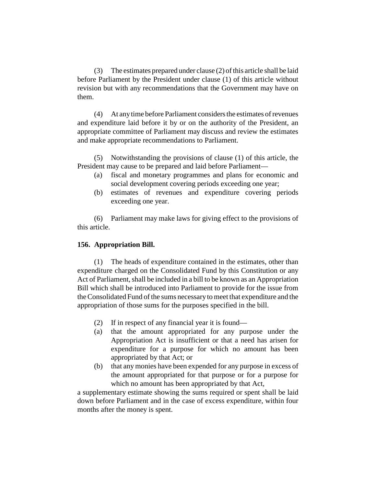(3) The estimates prepared under clause (2) of this article shall be laid before Parliament by the President under clause (1) of this article without revision but with any recommendations that the Government may have on them.

(4) At any time before Parliament considers the estimates of revenues and expenditure laid before it by or on the authority of the President, an appropriate committee of Parliament may discuss and review the estimates and make appropriate recommendations to Parliament.

(5) Notwithstanding the provisions of clause (1) of this article, the President may cause to be prepared and laid before Parliament—

- (a) fiscal and monetary programmes and plans for economic and social development covering periods exceeding one year;
- (b) estimates of revenues and expenditure covering periods exceeding one year.

(6) Parliament may make laws for giving effect to the provisions of this article.

## **156. Appropriation Bill.**

(1) The heads of expenditure contained in the estimates, other than expenditure charged on the Consolidated Fund by this Constitution or any Act of Parliament, shall be included in a bill to be known as an Appropriation Bill which shall be introduced into Parliament to provide for the issue from the Consolidated Fund of the sums necessary to meet that expenditure and the appropriation of those sums for the purposes specified in the bill.

- (2) If in respect of any financial year it is found—
- (a) that the amount appropriated for any purpose under the Appropriation Act is insufficient or that a need has arisen for expenditure for a purpose for which no amount has been appropriated by that Act; or
- (b) that any monies have been expended for any purpose in excess of the amount appropriated for that purpose or for a purpose for which no amount has been appropriated by that Act,

a supplementary estimate showing the sums required or spent shall be laid down before Parliament and in the case of excess expenditure, within four months after the money is spent.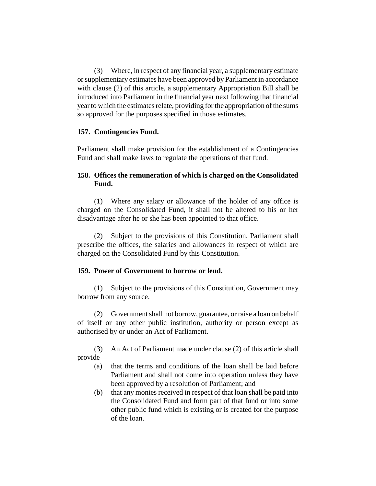(3) Where, in respect of any financial year, a supplementary estimate or supplementary estimates have been approved by Parliament in accordance with clause (2) of this article, a supplementary Appropriation Bill shall be introduced into Parliament in the financial year next following that financial year to which the estimates relate, providing for the appropriation of the sums so approved for the purposes specified in those estimates.

## **157. Contingencies Fund.**

Parliament shall make provision for the establishment of a Contingencies Fund and shall make laws to regulate the operations of that fund.

## **158. Offices the remuneration of which is charged on the Consolidated Fund.**

(1) Where any salary or allowance of the holder of any office is charged on the Consolidated Fund, it shall not be altered to his or her disadvantage after he or she has been appointed to that office.

(2) Subject to the provisions of this Constitution, Parliament shall prescribe the offices, the salaries and allowances in respect of which are charged on the Consolidated Fund by this Constitution.

## **159. Power of Government to borrow or lend.**

(1) Subject to the provisions of this Constitution, Government may borrow from any source.

(2) Government shall not borrow, guarantee, or raise a loan on behalf of itself or any other public institution, authority or person except as authorised by or under an Act of Parliament.

(3) An Act of Parliament made under clause (2) of this article shall provide—

- (a) that the terms and conditions of the loan shall be laid before Parliament and shall not come into operation unless they have been approved by a resolution of Parliament; and
- (b) that any monies received in respect of that loan shall be paid into the Consolidated Fund and form part of that fund or into some other public fund which is existing or is created for the purpose of the loan.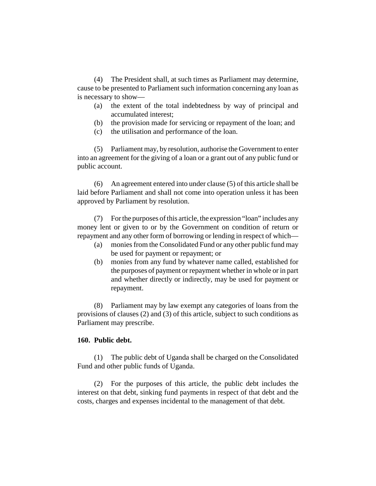(4) The President shall, at such times as Parliament may determine, cause to be presented to Parliament such information concerning any loan as is necessary to show—

- (a) the extent of the total indebtedness by way of principal and accumulated interest;
- (b) the provision made for servicing or repayment of the loan; and
- (c) the utilisation and performance of the loan.

(5) Parliament may, by resolution, authorise the Government to enter into an agreement for the giving of a loan or a grant out of any public fund or public account.

(6) An agreement entered into under clause (5) of this article shall be laid before Parliament and shall not come into operation unless it has been approved by Parliament by resolution.

(7) For the purposes of this article, the expression "loan" includes any money lent or given to or by the Government on condition of return or repayment and any other form of borrowing or lending in respect of which—

- (a) monies from the Consolidated Fund or any other public fund may be used for payment or repayment; or
- (b) monies from any fund by whatever name called, established for the purposes of payment or repayment whether in whole or in part and whether directly or indirectly, may be used for payment or repayment.

(8) Parliament may by law exempt any categories of loans from the provisions of clauses (2) and (3) of this article, subject to such conditions as Parliament may prescribe.

### **160. Public debt.**

(1) The public debt of Uganda shall be charged on the Consolidated Fund and other public funds of Uganda.

(2) For the purposes of this article, the public debt includes the interest on that debt, sinking fund payments in respect of that debt and the costs, charges and expenses incidental to the management of that debt.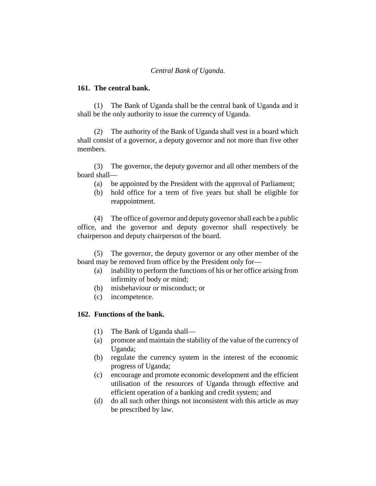## *Central Bank of Uganda.*

### **161. The central bank.**

(1) The Bank of Uganda shall be the central bank of Uganda and it shall be the only authority to issue the currency of Uganda.

(2) The authority of the Bank of Uganda shall vest in a board which shall consist of a governor, a deputy governor and not more than five other members.

(3) The governor, the deputy governor and all other members of the board shall—

- (a) be appointed by the President with the approval of Parliament;
- (b) hold office for a term of five years but shall be eligible for reappointment.

(4) The office of governor and deputy governor shall each be a public office, and the governor and deputy governor shall respectively be chairperson and deputy chairperson of the board.

(5) The governor, the deputy governor or any other member of the board may be removed from office by the President only for—

- (a) inability to perform the functions of his or her office arising from infirmity of body or mind;
- (b) misbehaviour or misconduct; or
- (c) incompetence.

## **162. Functions of the bank.**

- (1) The Bank of Uganda shall—
- (a) promote and maintain the stability of the value of the currency of Uganda;
- (b) regulate the currency system in the interest of the economic progress of Uganda;
- (c) encourage and promote economic development and the efficient utilisation of the resources of Uganda through effective and efficient operation of a banking and credit system; and
- (d) do all such other things not inconsistent with this article as may be prescribed by law.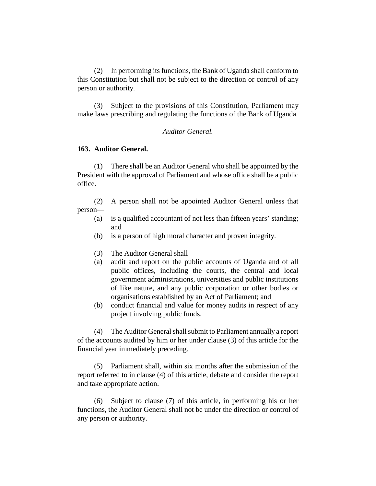(2) In performing its functions, the Bank of Uganda shall conform to this Constitution but shall not be subject to the direction or control of any person or authority.

(3) Subject to the provisions of this Constitution, Parliament may make laws prescribing and regulating the functions of the Bank of Uganda.

#### *Auditor General.*

### **163. Auditor General.**

(1) There shall be an Auditor General who shall be appointed by the President with the approval of Parliament and whose office shall be a public office.

(2) A person shall not be appointed Auditor General unless that person—

- (a) is a qualified accountant of not less than fifteen years' standing; and
- (b) is a person of high moral character and proven integrity.
- (3) The Auditor General shall—
- (a) audit and report on the public accounts of Uganda and of all public offices, including the courts, the central and local government administrations, universities and public institutions of like nature, and any public corporation or other bodies or organisations established by an Act of Parliament; and
- (b) conduct financial and value for money audits in respect of any project involving public funds.

(4) The Auditor General shall submit to Parliament annually a report of the accounts audited by him or her under clause (3) of this article for the financial year immediately preceding.

(5) Parliament shall, within six months after the submission of the report referred to in clause (4) of this article, debate and consider the report and take appropriate action.

(6) Subject to clause (7) of this article, in performing his or her functions, the Auditor General shall not be under the direction or control of any person or authority.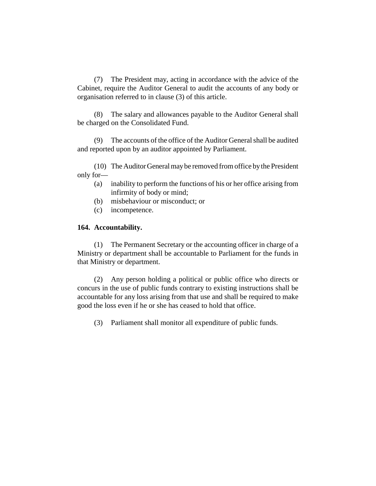(7) The President may, acting in accordance with the advice of the Cabinet, require the Auditor General to audit the accounts of any body or organisation referred to in clause (3) of this article.

(8) The salary and allowances payable to the Auditor General shall be charged on the Consolidated Fund.

(9) The accounts of the office of the Auditor General shall be audited and reported upon by an auditor appointed by Parliament.

(10) The Auditor General may be removed from office by the President only for—

- (a) inability to perform the functions of his or her office arising from infirmity of body or mind;
- (b) misbehaviour or misconduct; or
- (c) incompetence.

## **164. Accountability.**

(1) The Permanent Secretary or the accounting officer in charge of a Ministry or department shall be accountable to Parliament for the funds in that Ministry or department.

(2) Any person holding a political or public office who directs or concurs in the use of public funds contrary to existing instructions shall be accountable for any loss arising from that use and shall be required to make good the loss even if he or she has ceased to hold that office.

(3) Parliament shall monitor all expenditure of public funds.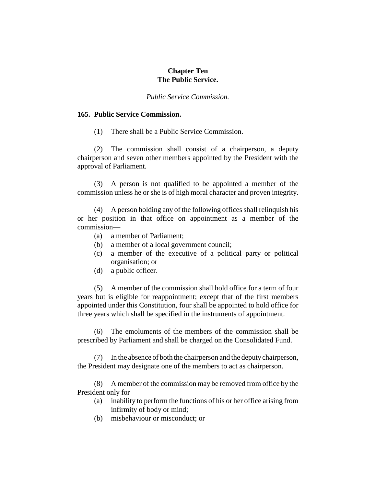# **Chapter Ten The Public Service.**

#### *Public Service Commission.*

#### **165. Public Service Commission.**

(1) There shall be a Public Service Commission.

(2) The commission shall consist of a chairperson, a deputy chairperson and seven other members appointed by the President with the approval of Parliament.

(3) A person is not qualified to be appointed a member of the commission unless he or she is of high moral character and proven integrity.

(4) A person holding any of the following offices shall relinquish his or her position in that office on appointment as a member of the commission—

- (a) a member of Parliament;
- (b) a member of a local government council;
- (c) a member of the executive of a political party or political organisation; or
- (d) a public officer.

(5) A member of the commission shall hold office for a term of four years but is eligible for reappointment; except that of the first members appointed under this Constitution, four shall be appointed to hold office for three years which shall be specified in the instruments of appointment.

(6) The emoluments of the members of the commission shall be prescribed by Parliament and shall be charged on the Consolidated Fund.

(7) In the absence of both the chairperson and the deputy chairperson, the President may designate one of the members to act as chairperson.

(8) A member of the commission may be removed from office by the President only for—

- (a) inability to perform the functions of his or her office arising from infirmity of body or mind;
- (b) misbehaviour or misconduct; or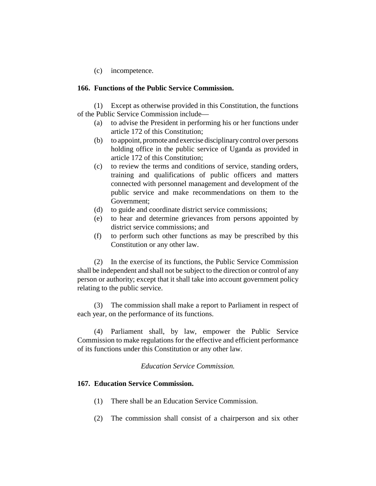(c) incompetence.

## **166. Functions of the Public Service Commission.**

(1) Except as otherwise provided in this Constitution, the functions of the Public Service Commission include—

- (a) to advise the President in performing his or her functions under article 172 of this Constitution;
- (b) to appoint, promote and exercise disciplinary control over persons holding office in the public service of Uganda as provided in article 172 of this Constitution;
- (c) to review the terms and conditions of service, standing orders, training and qualifications of public officers and matters connected with personnel management and development of the public service and make recommendations on them to the Government;
- (d) to guide and coordinate district service commissions;
- (e) to hear and determine grievances from persons appointed by district service commissions; and
- (f) to perform such other functions as may be prescribed by this Constitution or any other law.

(2) In the exercise of its functions, the Public Service Commission shall be independent and shall not be subject to the direction or control of any person or authority; except that it shall take into account government policy relating to the public service.

(3) The commission shall make a report to Parliament in respect of each year, on the performance of its functions.

(4) Parliament shall, by law, empower the Public Service Commission to make regulations for the effective and efficient performance of its functions under this Constitution or any other law.

## *Education Service Commission.*

### **167. Education Service Commission.**

- (1) There shall be an Education Service Commission.
- (2) The commission shall consist of a chairperson and six other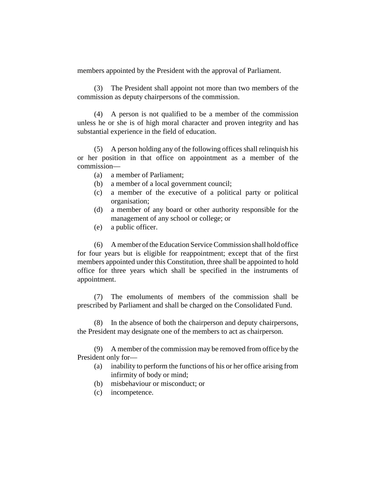members appointed by the President with the approval of Parliament.

(3) The President shall appoint not more than two members of the commission as deputy chairpersons of the commission.

(4) A person is not qualified to be a member of the commission unless he or she is of high moral character and proven integrity and has substantial experience in the field of education.

(5) A person holding any of the following offices shall relinquish his or her position in that office on appointment as a member of the commission—

- (a) a member of Parliament;
- (b) a member of a local government council;
- (c) a member of the executive of a political party or political organisation;
- (d) a member of any board or other authority responsible for the management of any school or college; or
- (e) a public officer.

(6) A member of the Education Service Commission shall hold office for four years but is eligible for reappointment; except that of the first members appointed under this Constitution, three shall be appointed to hold office for three years which shall be specified in the instruments of appointment.

(7) The emoluments of members of the commission shall be prescribed by Parliament and shall be charged on the Consolidated Fund.

(8) In the absence of both the chairperson and deputy chairpersons, the President may designate one of the members to act as chairperson.

(9) A member of the commission may be removed from office by the President only for—

- (a) inability to perform the functions of his or her office arising from infirmity of body or mind;
- (b) misbehaviour or misconduct; or
- (c) incompetence.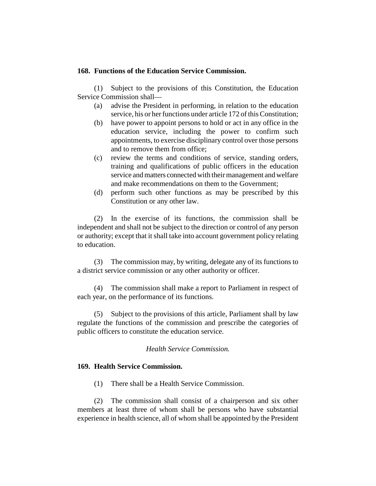## **168. Functions of the Education Service Commission.**

(1) Subject to the provisions of this Constitution, the Education Service Commission shall—

- (a) advise the President in performing, in relation to the education service, his or her functions under article 172 of this Constitution;
- (b) have power to appoint persons to hold or act in any office in the education service, including the power to confirm such appointments, to exercise disciplinary control over those persons and to remove them from office;
- (c) review the terms and conditions of service, standing orders, training and qualifications of public officers in the education service and matters connected with their management and welfare and make recommendations on them to the Government;
- (d) perform such other functions as may be prescribed by this Constitution or any other law.

(2) In the exercise of its functions, the commission shall be independent and shall not be subject to the direction or control of any person or authority; except that it shall take into account government policy relating to education.

(3) The commission may, by writing, delegate any of its functions to a district service commission or any other authority or officer.

(4) The commission shall make a report to Parliament in respect of each year, on the performance of its functions.

(5) Subject to the provisions of this article, Parliament shall by law regulate the functions of the commission and prescribe the categories of public officers to constitute the education service.

#### *Health Service Commission.*

### **169. Health Service Commission.**

(1) There shall be a Health Service Commission.

(2) The commission shall consist of a chairperson and six other members at least three of whom shall be persons who have substantial experience in health science, all of whom shall be appointed by the President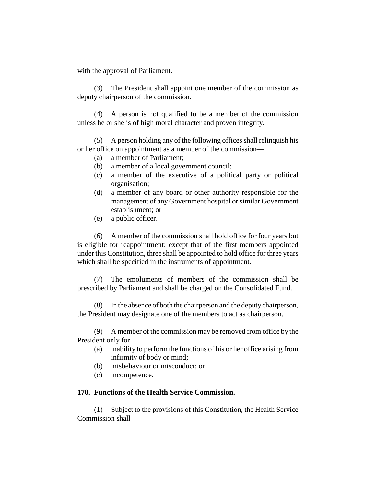with the approval of Parliament.

(3) The President shall appoint one member of the commission as deputy chairperson of the commission.

(4) A person is not qualified to be a member of the commission unless he or she is of high moral character and proven integrity.

(5) A person holding any of the following offices shall relinquish his or her office on appointment as a member of the commission—

- (a) a member of Parliament;
- (b) a member of a local government council;
- (c) a member of the executive of a political party or political organisation;
- (d) a member of any board or other authority responsible for the management of any Government hospital or similar Government establishment; or
- (e) a public officer.

(6) A member of the commission shall hold office for four years but is eligible for reappointment; except that of the first members appointed under this Constitution, three shall be appointed to hold office for three years which shall be specified in the instruments of appointment.

(7) The emoluments of members of the commission shall be prescribed by Parliament and shall be charged on the Consolidated Fund.

(8) In the absence of both the chairperson and the deputy chairperson, the President may designate one of the members to act as chairperson.

(9) A member of the commission may be removed from office by the President only for—

- (a) inability to perform the functions of his or her office arising from infirmity of body or mind;
- (b) misbehaviour or misconduct; or
- (c) incompetence.

# **170. Functions of the Health Service Commission.**

(1) Subject to the provisions of this Constitution, the Health Service Commission shall—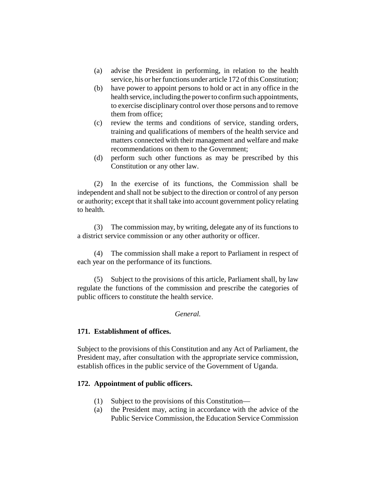- (a) advise the President in performing, in relation to the health service, his or her functions under article 172 of this Constitution;
- (b) have power to appoint persons to hold or act in any office in the health service, including the power to confirm such appointments, to exercise disciplinary control over those persons and to remove them from office;
- (c) review the terms and conditions of service, standing orders, training and qualifications of members of the health service and matters connected with their management and welfare and make recommendations on them to the Government;
- (d) perform such other functions as may be prescribed by this Constitution or any other law.

(2) In the exercise of its functions, the Commission shall be independent and shall not be subject to the direction or control of any person or authority; except that it shall take into account government policy relating to health.

(3) The commission may, by writing, delegate any of its functions to a district service commission or any other authority or officer.

(4) The commission shall make a report to Parliament in respect of each year on the performance of its functions.

(5) Subject to the provisions of this article, Parliament shall, by law regulate the functions of the commission and prescribe the categories of public officers to constitute the health service.

*General.*

# **171. Establishment of offices.**

Subject to the provisions of this Constitution and any Act of Parliament, the President may, after consultation with the appropriate service commission, establish offices in the public service of the Government of Uganda.

# **172. Appointment of public officers.**

- (1) Subject to the provisions of this Constitution—
- (a) the President may, acting in accordance with the advice of the Public Service Commission, the Education Service Commission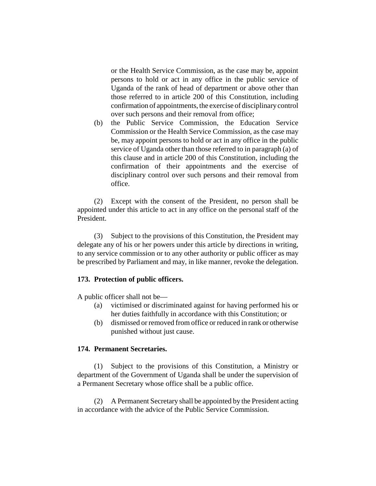or the Health Service Commission, as the case may be, appoint persons to hold or act in any office in the public service of Uganda of the rank of head of department or above other than those referred to in article 200 of this Constitution, including confirmation of appointments, the exercise of disciplinary control over such persons and their removal from office;

(b) the Public Service Commission, the Education Service Commission or the Health Service Commission, as the case may be, may appoint persons to hold or act in any office in the public service of Uganda other than those referred to in paragraph (a) of this clause and in article 200 of this Constitution, including the confirmation of their appointments and the exercise of disciplinary control over such persons and their removal from office.

(2) Except with the consent of the President, no person shall be appointed under this article to act in any office on the personal staff of the President.

(3) Subject to the provisions of this Constitution, the President may delegate any of his or her powers under this article by directions in writing, to any service commission or to any other authority or public officer as may be prescribed by Parliament and may, in like manner, revoke the delegation.

### **173. Protection of public officers.**

A public officer shall not be—

- (a) victimised or discriminated against for having performed his or her duties faithfully in accordance with this Constitution; or
- (b) dismissed or removed from office or reduced in rank or otherwise punished without just cause.

### **174. Permanent Secretaries.**

(1) Subject to the provisions of this Constitution, a Ministry or department of the Government of Uganda shall be under the supervision of a Permanent Secretary whose office shall be a public office.

(2) A Permanent Secretary shall be appointed by the President acting in accordance with the advice of the Public Service Commission.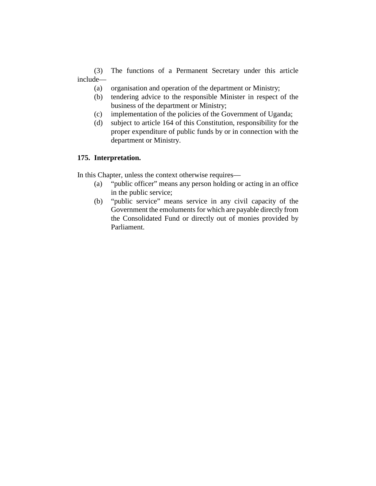(3) The functions of a Permanent Secretary under this article include—

- (a) organisation and operation of the department or Ministry;
- (b) tendering advice to the responsible Minister in respect of the business of the department or Ministry;
- (c) implementation of the policies of the Government of Uganda;
- (d) subject to article 164 of this Constitution, responsibility for the proper expenditure of public funds by or in connection with the department or Ministry.

# **175. Interpretation.**

In this Chapter, unless the context otherwise requires—

- (a) "public officer" means any person holding or acting in an office in the public service;
- (b) "public service" means service in any civil capacity of the Government the emoluments for which are payable directly from the Consolidated Fund or directly out of monies provided by Parliament.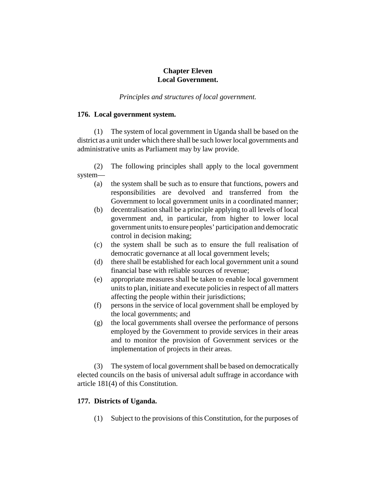# **Chapter Eleven Local Government.**

## *Principles and structures of local government.*

### **176. Local government system.**

(1) The system of local government in Uganda shall be based on the district as a unit under which there shall be such lower local governments and administrative units as Parliament may by law provide.

(2) The following principles shall apply to the local government system—

- (a) the system shall be such as to ensure that functions, powers and responsibilities are devolved and transferred from the Government to local government units in a coordinated manner;
- (b) decentralisation shall be a principle applying to all levels of local government and, in particular, from higher to lower local government units to ensure peoples' participation and democratic control in decision making;
- (c) the system shall be such as to ensure the full realisation of democratic governance at all local government levels;
- (d) there shall be established for each local government unit a sound financial base with reliable sources of revenue;
- (e) appropriate measures shall be taken to enable local government units to plan, initiate and execute policies in respect of all matters affecting the people within their jurisdictions;
- (f) persons in the service of local government shall be employed by the local governments; and
- (g) the local governments shall oversee the performance of persons employed by the Government to provide services in their areas and to monitor the provision of Government services or the implementation of projects in their areas.

(3) The system of local government shall be based on democratically elected councils on the basis of universal adult suffrage in accordance with article 181(4) of this Constitution.

# **177. Districts of Uganda.**

(1) Subject to the provisions of this Constitution, for the purposes of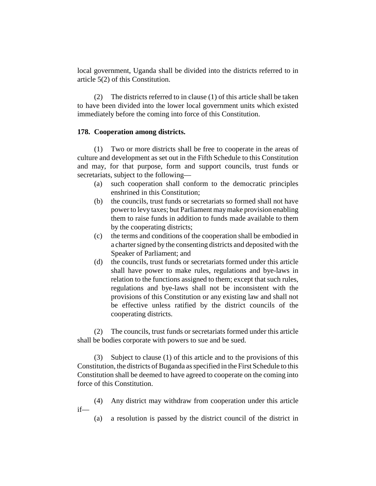local government, Uganda shall be divided into the districts referred to in article 5(2) of this Constitution.

(2) The districts referred to in clause (1) of this article shall be taken to have been divided into the lower local government units which existed immediately before the coming into force of this Constitution.

# **178. Cooperation among districts.**

(1) Two or more districts shall be free to cooperate in the areas of culture and development as set out in the Fifth Schedule to this Constitution and may, for that purpose, form and support councils, trust funds or secretariats, subject to the following—

- (a) such cooperation shall conform to the democratic principles enshrined in this Constitution;
- (b) the councils, trust funds or secretariats so formed shall not have power to levy taxes; but Parliament may make provision enabling them to raise funds in addition to funds made available to them by the cooperating districts;
- (c) the terms and conditions of the cooperation shall be embodied in a charter signed by the consenting districts and deposited with the Speaker of Parliament; and
- (d) the councils, trust funds or secretariats formed under this article shall have power to make rules, regulations and bye-laws in relation to the functions assigned to them; except that such rules, regulations and bye-laws shall not be inconsistent with the provisions of this Constitution or any existing law and shall not be effective unless ratified by the district councils of the cooperating districts.

(2) The councils, trust funds or secretariats formed under this article shall be bodies corporate with powers to sue and be sued.

(3) Subject to clause (1) of this article and to the provisions of this Constitution, the districts of Buganda as specified in the First Schedule to this Constitution shall be deemed to have agreed to cooperate on the coming into force of this Constitution.

(4) Any district may withdraw from cooperation under this article if—

(a) a resolution is passed by the district council of the district in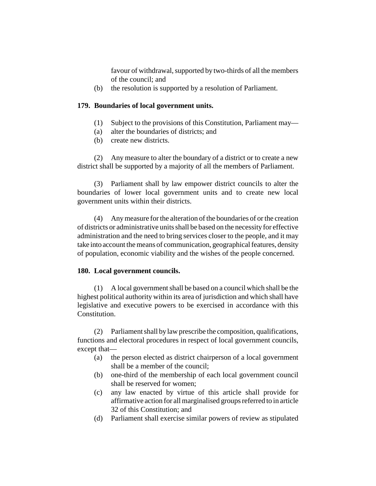favour of withdrawal, supported by two-thirds of all the members of the council; and

(b) the resolution is supported by a resolution of Parliament.

# **179. Boundaries of local government units.**

- (1) Subject to the provisions of this Constitution, Parliament may—
- (a) alter the boundaries of districts; and
- (b) create new districts.

(2) Any measure to alter the boundary of a district or to create a new district shall be supported by a majority of all the members of Parliament.

(3) Parliament shall by law empower district councils to alter the boundaries of lower local government units and to create new local government units within their districts.

(4) Any measure for the alteration of the boundaries of or the creation of districts or administrative units shall be based on the necessity for effective administration and the need to bring services closer to the people, and it may take into account the means of communication, geographical features, density of population, economic viability and the wishes of the people concerned.

# **180. Local government councils.**

(1) A local government shall be based on a council which shall be the highest political authority within its area of jurisdiction and which shall have legislative and executive powers to be exercised in accordance with this Constitution.

(2) Parliament shall by law prescribe the composition, qualifications, functions and electoral procedures in respect of local government councils, except that—

- (a) the person elected as district chairperson of a local government shall be a member of the council;
- (b) one-third of the membership of each local government council shall be reserved for women;
- (c) any law enacted by virtue of this article shall provide for affirmative action for all marginalised groups referred to in article 32 of this Constitution; and
- (d) Parliament shall exercise similar powers of review as stipulated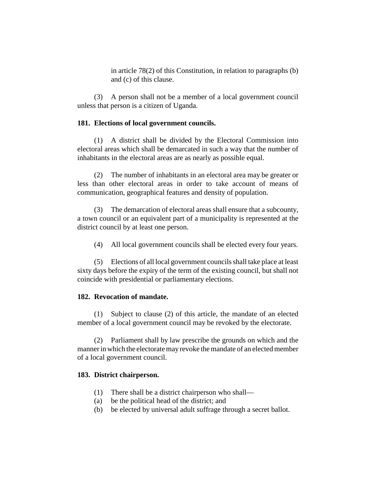in article 78(2) of this Constitution, in relation to paragraphs (b) and (c) of this clause.

(3) A person shall not be a member of a local government council unless that person is a citizen of Uganda.

## **181. Elections of local government councils.**

(1) A district shall be divided by the Electoral Commission into electoral areas which shall be demarcated in such a way that the number of inhabitants in the electoral areas are as nearly as possible equal.

(2) The number of inhabitants in an electoral area may be greater or less than other electoral areas in order to take account of means of communication, geographical features and density of population.

(3) The demarcation of electoral areas shall ensure that a subcounty, a town council or an equivalent part of a municipality is represented at the district council by at least one person.

(4) All local government councils shall be elected every four years.

(5) Elections of all local government councils shall take place at least sixty days before the expiry of the term of the existing council, but shall not coincide with presidential or parliamentary elections.

### **182. Revocation of mandate.**

(1) Subject to clause (2) of this article, the mandate of an elected member of a local government council may be revoked by the electorate.

(2) Parliament shall by law prescribe the grounds on which and the manner in which the electorate may revoke the mandate of an elected member of a local government council.

### **183. District chairperson.**

- (1) There shall be a district chairperson who shall—
- (a) be the political head of the district; and
- (b) be elected by universal adult suffrage through a secret ballot.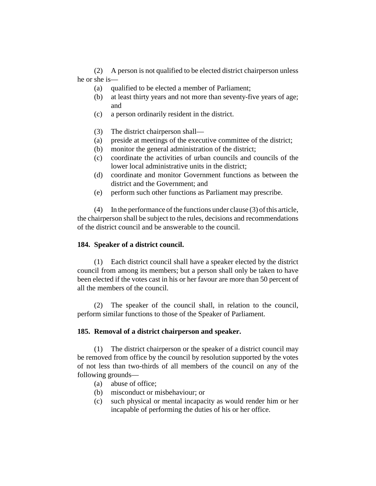(2) A person is not qualified to be elected district chairperson unless he or she is—

- (a) qualified to be elected a member of Parliament;
- (b) at least thirty years and not more than seventy-five years of age; and
- (c) a person ordinarily resident in the district.
- (3) The district chairperson shall—
- (a) preside at meetings of the executive committee of the district;
- (b) monitor the general administration of the district;
- (c) coordinate the activities of urban councils and councils of the lower local administrative units in the district;
- (d) coordinate and monitor Government functions as between the district and the Government; and
- (e) perform such other functions as Parliament may prescribe.

(4) In the performance of the functions under clause (3) of this article, the chairperson shall be subject to the rules, decisions and recommendations of the district council and be answerable to the council.

# **184. Speaker of a district council.**

(1) Each district council shall have a speaker elected by the district council from among its members; but a person shall only be taken to have been elected if the votes cast in his or her favour are more than 50 percent of all the members of the council.

(2) The speaker of the council shall, in relation to the council, perform similar functions to those of the Speaker of Parliament.

# **185. Removal of a district chairperson and speaker.**

(1) The district chairperson or the speaker of a district council may be removed from office by the council by resolution supported by the votes of not less than two-thirds of all members of the council on any of the following grounds—

- (a) abuse of office;
- (b) misconduct or misbehaviour; or
- (c) such physical or mental incapacity as would render him or her incapable of performing the duties of his or her office.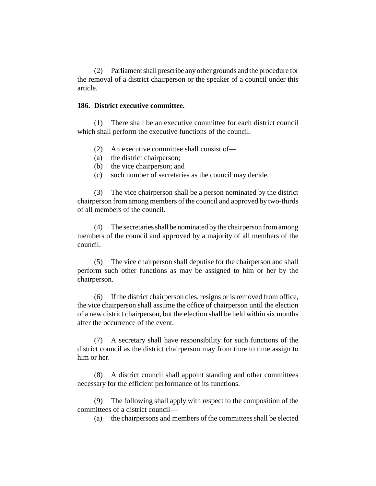(2) Parliament shall prescribe any other grounds and the procedure for the removal of a district chairperson or the speaker of a council under this article.

### **186. District executive committee.**

(1) There shall be an executive committee for each district council which shall perform the executive functions of the council.

- (2) An executive committee shall consist of—
- (a) the district chairperson;
- (b) the vice chairperson; and
- (c) such number of secretaries as the council may decide.

(3) The vice chairperson shall be a person nominated by the district chairperson from among members of the council and approved by two-thirds of all members of the council.

(4) The secretaries shall be nominated by the chairperson from among members of the council and approved by a majority of all members of the council.

(5) The vice chairperson shall deputise for the chairperson and shall perform such other functions as may be assigned to him or her by the chairperson.

(6) If the district chairperson dies, resigns or is removed from office, the vice chairperson shall assume the office of chairperson until the election of a new district chairperson, but the election shall be held within six months after the occurrence of the event.

(7) A secretary shall have responsibility for such functions of the district council as the district chairperson may from time to time assign to him or her.

(8) A district council shall appoint standing and other committees necessary for the efficient performance of its functions.

(9) The following shall apply with respect to the composition of the committees of a district council—

(a) the chairpersons and members of the committees shall be elected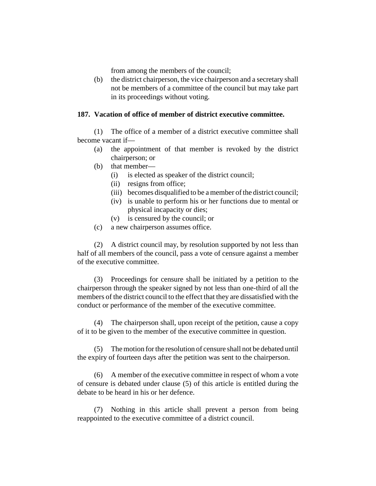from among the members of the council;

(b) the district chairperson, the vice chairperson and a secretary shall not be members of a committee of the council but may take part in its proceedings without voting.

## **187. Vacation of office of member of district executive committee.**

(1) The office of a member of a district executive committee shall become vacant if—

- (a) the appointment of that member is revoked by the district chairperson; or
- (b) that member—
	- (i) is elected as speaker of the district council;
	- (ii) resigns from office;
	- (iii) becomes disqualified to be a member of the district council;
	- (iv) is unable to perform his or her functions due to mental or physical incapacity or dies;
	- (v) is censured by the council; or
- (c) a new chairperson assumes office.

(2) A district council may, by resolution supported by not less than half of all members of the council, pass a vote of censure against a member of the executive committee.

(3) Proceedings for censure shall be initiated by a petition to the chairperson through the speaker signed by not less than one-third of all the members of the district council to the effect that they are dissatisfied with the conduct or performance of the member of the executive committee.

(4) The chairperson shall, upon receipt of the petition, cause a copy of it to be given to the member of the executive committee in question.

(5) The motion for the resolution of censure shall not be debated until the expiry of fourteen days after the petition was sent to the chairperson.

(6) A member of the executive committee in respect of whom a vote of censure is debated under clause (5) of this article is entitled during the debate to be heard in his or her defence.

(7) Nothing in this article shall prevent a person from being reappointed to the executive committee of a district council.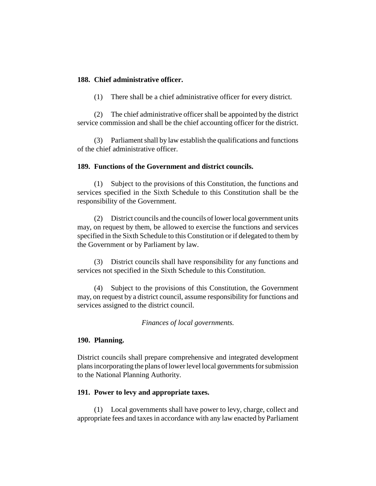## **188. Chief administrative officer.**

(1) There shall be a chief administrative officer for every district.

(2) The chief administrative officer shall be appointed by the district service commission and shall be the chief accounting officer for the district.

(3) Parliament shall by law establish the qualifications and functions of the chief administrative officer.

## **189. Functions of the Government and district councils.**

(1) Subject to the provisions of this Constitution, the functions and services specified in the Sixth Schedule to this Constitution shall be the responsibility of the Government.

(2) District councils and the councils of lower local government units may, on request by them, be allowed to exercise the functions and services specified in the Sixth Schedule to this Constitution or if delegated to them by the Government or by Parliament by law.

(3) District councils shall have responsibility for any functions and services not specified in the Sixth Schedule to this Constitution.

(4) Subject to the provisions of this Constitution, the Government may, on request by a district council, assume responsibility for functions and services assigned to the district council.

*Finances of local governments.*

### **190. Planning.**

District councils shall prepare comprehensive and integrated development plans incorporating the plans of lower level local governments for submission to the National Planning Authority.

# **191. Power to levy and appropriate taxes.**

(1) Local governments shall have power to levy, charge, collect and appropriate fees and taxes in accordance with any law enacted by Parliament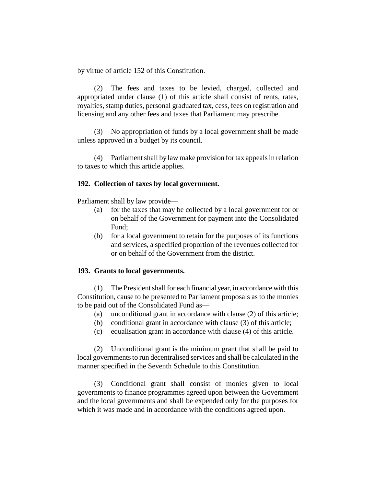by virtue of article 152 of this Constitution.

(2) The fees and taxes to be levied, charged, collected and appropriated under clause (1) of this article shall consist of rents, rates, royalties, stamp duties, personal graduated tax, cess, fees on registration and licensing and any other fees and taxes that Parliament may prescribe.

(3) No appropriation of funds by a local government shall be made unless approved in a budget by its council.

(4) Parliament shall by law make provision for tax appeals in relation to taxes to which this article applies.

## **192. Collection of taxes by local government.**

Parliament shall by law provide—

- (a) for the taxes that may be collected by a local government for or on behalf of the Government for payment into the Consolidated Fund;
- (b) for a local government to retain for the purposes of its functions and services, a specified proportion of the revenues collected for or on behalf of the Government from the district.

## **193. Grants to local governments.**

(1) The President shall for each financial year, in accordance with this Constitution, cause to be presented to Parliament proposals as to the monies to be paid out of the Consolidated Fund as—

- (a) unconditional grant in accordance with clause (2) of this article;
- (b) conditional grant in accordance with clause (3) of this article;
- (c) equalisation grant in accordance with clause (4) of this article.

(2) Unconditional grant is the minimum grant that shall be paid to local governments to run decentralised services and shall be calculated in the manner specified in the Seventh Schedule to this Constitution.

(3) Conditional grant shall consist of monies given to local governments to finance programmes agreed upon between the Government and the local governments and shall be expended only for the purposes for which it was made and in accordance with the conditions agreed upon.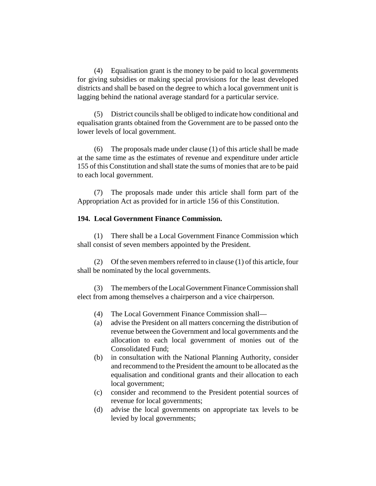(4) Equalisation grant is the money to be paid to local governments for giving subsidies or making special provisions for the least developed districts and shall be based on the degree to which a local government unit is lagging behind the national average standard for a particular service.

(5) District councils shall be obliged to indicate how conditional and equalisation grants obtained from the Government are to be passed onto the lower levels of local government.

(6) The proposals made under clause (1) of this article shall be made at the same time as the estimates of revenue and expenditure under article 155 of this Constitution and shall state the sums of monies that are to be paid to each local government.

(7) The proposals made under this article shall form part of the Appropriation Act as provided for in article 156 of this Constitution.

## **194. Local Government Finance Commission.**

(1) There shall be a Local Government Finance Commission which shall consist of seven members appointed by the President.

(2) Of the seven members referred to in clause (1) of this article, four shall be nominated by the local governments.

(3) The members of the Local Government Finance Commission shall elect from among themselves a chairperson and a vice chairperson.

- (4) The Local Government Finance Commission shall—
- (a) advise the President on all matters concerning the distribution of revenue between the Government and local governments and the allocation to each local government of monies out of the Consolidated Fund;
- (b) in consultation with the National Planning Authority, consider and recommend to the President the amount to be allocated as the equalisation and conditional grants and their allocation to each local government;
- (c) consider and recommend to the President potential sources of revenue for local governments;
- (d) advise the local governments on appropriate tax levels to be levied by local governments;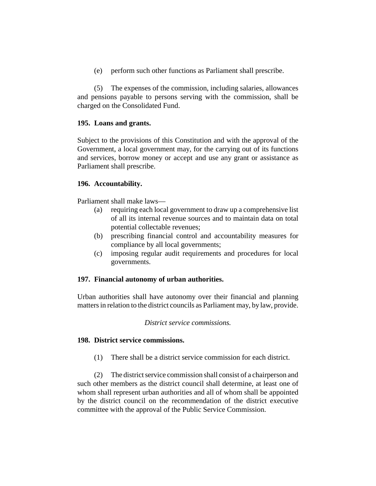(e) perform such other functions as Parliament shall prescribe.

(5) The expenses of the commission, including salaries, allowances and pensions payable to persons serving with the commission, shall be charged on the Consolidated Fund.

# **195. Loans and grants.**

Subject to the provisions of this Constitution and with the approval of the Government, a local government may, for the carrying out of its functions and services, borrow money or accept and use any grant or assistance as Parliament shall prescribe.

# **196. Accountability.**

Parliament shall make laws—

- (a) requiring each local government to draw up a comprehensive list of all its internal revenue sources and to maintain data on total potential collectable revenues;
- (b) prescribing financial control and accountability measures for compliance by all local governments;
- (c) imposing regular audit requirements and procedures for local governments.

# **197. Financial autonomy of urban authorities.**

Urban authorities shall have autonomy over their financial and planning matters in relation to the district councils as Parliament may, by law, provide.

*District service commissions.*

# **198. District service commissions.**

(1) There shall be a district service commission for each district.

(2) The district service commission shall consist of a chairperson and such other members as the district council shall determine, at least one of whom shall represent urban authorities and all of whom shall be appointed by the district council on the recommendation of the district executive committee with the approval of the Public Service Commission.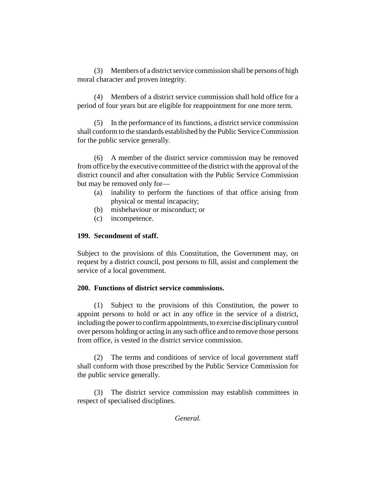(3) Members of a district service commission shall be persons of high moral character and proven integrity.

(4) Members of a district service commission shall hold office for a period of four years but are eligible for reappointment for one more term.

(5) In the performance of its functions, a district service commission shall conform to the standards established by the Public Service Commission for the public service generally.

(6) A member of the district service commission may be removed from office by the executive committee of the district with the approval of the district council and after consultation with the Public Service Commission but may be removed only for—

- (a) inability to perform the functions of that office arising from physical or mental incapacity;
- (b) misbehaviour or misconduct; or
- (c) incompetence.

# **199. Secondment of staff.**

Subject to the provisions of this Constitution, the Government may, on request by a district council, post persons to fill, assist and complement the service of a local government.

# **200. Functions of district service commissions.**

(1) Subject to the provisions of this Constitution, the power to appoint persons to hold or act in any office in the service of a district, including the power to confirm appointments, to exercise disciplinary control over persons holding or acting in any such office and to remove those persons from office, is vested in the district service commission.

(2) The terms and conditions of service of local government staff shall conform with those prescribed by the Public Service Commission for the public service generally.

(3) The district service commission may establish committees in respect of specialised disciplines.

*General.*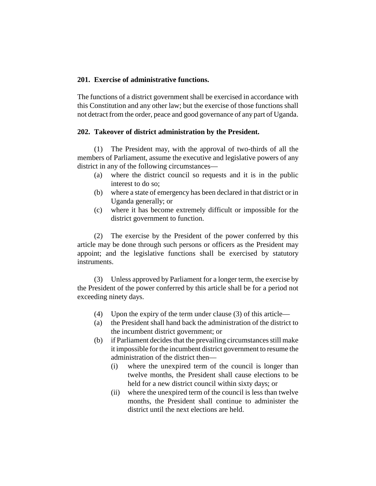# **201. Exercise of administrative functions.**

The functions of a district government shall be exercised in accordance with this Constitution and any other law; but the exercise of those functions shall not detract from the order, peace and good governance of any part of Uganda.

## **202. Takeover of district administration by the President.**

(1) The President may, with the approval of two-thirds of all the members of Parliament, assume the executive and legislative powers of any district in any of the following circumstances—

- (a) where the district council so requests and it is in the public interest to do so;
- (b) where a state of emergency has been declared in that district or in Uganda generally; or
- (c) where it has become extremely difficult or impossible for the district government to function.

(2) The exercise by the President of the power conferred by this article may be done through such persons or officers as the President may appoint; and the legislative functions shall be exercised by statutory instruments.

(3) Unless approved by Parliament for a longer term, the exercise by the President of the power conferred by this article shall be for a period not exceeding ninety days.

- (4) Upon the expiry of the term under clause (3) of this article—
- (a) the President shall hand back the administration of the district to the incumbent district government; or
- (b) if Parliament decides that the prevailing circumstances still make it impossible for the incumbent district government to resume the administration of the district then—
	- (i) where the unexpired term of the council is longer than twelve months, the President shall cause elections to be held for a new district council within sixty days; or
	- (ii) where the unexpired term of the council is less than twelve months, the President shall continue to administer the district until the next elections are held.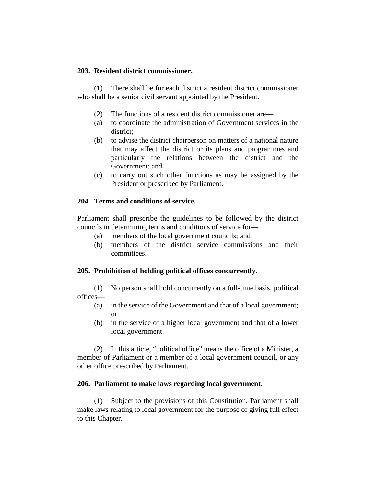## **203. Resident district commissioner.**

(1) There shall be for each district a resident district commissioner who shall be a senior civil servant appointed by the President.

- (2) The functions of a resident district commissioner are—
- (a) to coordinate the administration of Government services in the district;
- (b) to advise the district chairperson on matters of a national nature that may affect the district or its plans and programmes and particularly the relations between the district and the Government; and
- (c) to carry out such other functions as may be assigned by the President or prescribed by Parliament.

# **204. Terms and conditions of service.**

Parliament shall prescribe the guidelines to be followed by the district councils in determining terms and conditions of service for—

- (a) members of the local government councils; and
- (b) members of the district service commissions and their committees.

# **205. Prohibition of holding political offices concurrently.**

(1) No person shall hold concurrently on a full-time basis, political offices—

- (a) in the service of the Government and that of a local government; or
- (b) in the service of a higher local government and that of a lower local government.

(2) In this article, "political office" means the office of a Minister, a member of Parliament or a member of a local government council, or any other office prescribed by Parliament.

# **206. Parliament to make laws regarding local government.**

(1) Subject to the provisions of this Constitution, Parliament shall make laws relating to local government for the purpose of giving full effect to this Chapter.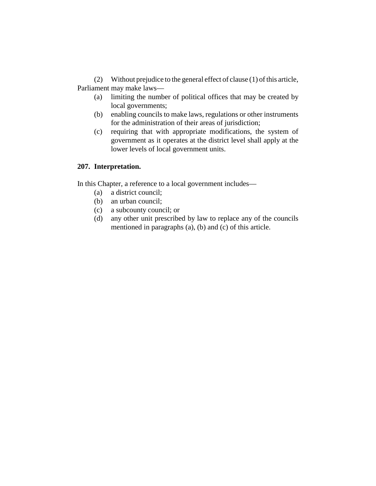(2) Without prejudice to the general effect of clause (1) of this article, Parliament may make laws—

- (a) limiting the number of political offices that may be created by local governments;
- (b) enabling councils to make laws, regulations or other instruments for the administration of their areas of jurisdiction;
- (c) requiring that with appropriate modifications, the system of government as it operates at the district level shall apply at the lower levels of local government units.

# **207. Interpretation.**

In this Chapter, a reference to a local government includes—

- (a) a district council;
- (b) an urban council;
- (c) a subcounty council; or
- (d) any other unit prescribed by law to replace any of the councils mentioned in paragraphs (a), (b) and (c) of this article.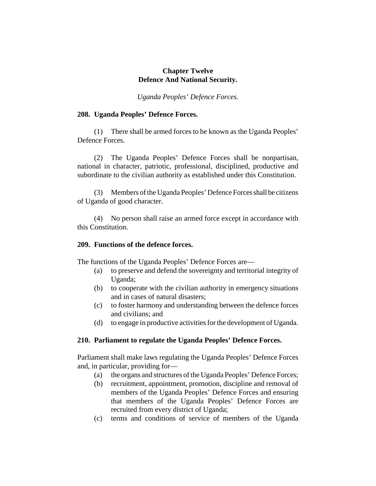# **Chapter Twelve Defence And National Security.**

*Uganda Peoples' Defence Forces.*

### **208. Uganda Peoples' Defence Forces.**

(1) There shall be armed forces to be known as the Uganda Peoples' Defence Forces.

(2) The Uganda Peoples' Defence Forces shall be nonpartisan, national in character, patriotic, professional, disciplined, productive and subordinate to the civilian authority as established under this Constitution.

(3) Members of the Uganda Peoples' Defence Forces shall be citizens of Uganda of good character.

(4) No person shall raise an armed force except in accordance with this Constitution.

### **209. Functions of the defence forces.**

The functions of the Uganda Peoples' Defence Forces are—

- (a) to preserve and defend the sovereignty and territorial integrity of Uganda;
- (b) to cooperate with the civilian authority in emergency situations and in cases of natural disasters;
- (c) to foster harmony and understanding between the defence forces and civilians; and
- (d) to engage in productive activities for the development of Uganda.

# **210. Parliament to regulate the Uganda Peoples' Defence Forces.**

Parliament shall make laws regulating the Uganda Peoples' Defence Forces and, in particular, providing for—

- (a) the organs and structures of the Uganda Peoples' Defence Forces;
- (b) recruitment, appointment, promotion, discipline and removal of members of the Uganda Peoples' Defence Forces and ensuring that members of the Uganda Peoples' Defence Forces are recruited from every district of Uganda;
- (c) terms and conditions of service of members of the Uganda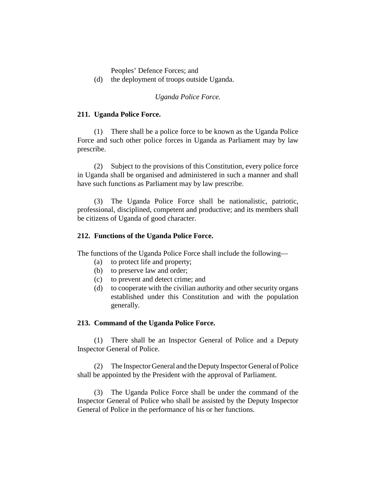Peoples' Defence Forces; and

(d) the deployment of troops outside Uganda.

### *Uganda Police Force.*

### **211. Uganda Police Force.**

(1) There shall be a police force to be known as the Uganda Police Force and such other police forces in Uganda as Parliament may by law prescribe.

(2) Subject to the provisions of this Constitution, every police force in Uganda shall be organised and administered in such a manner and shall have such functions as Parliament may by law prescribe.

(3) The Uganda Police Force shall be nationalistic, patriotic, professional, disciplined, competent and productive; and its members shall be citizens of Uganda of good character.

## **212. Functions of the Uganda Police Force.**

The functions of the Uganda Police Force shall include the following—

- (a) to protect life and property;
- (b) to preserve law and order;
- (c) to prevent and detect crime; and
- (d) to cooperate with the civilian authority and other security organs established under this Constitution and with the population generally.

### **213. Command of the Uganda Police Force.**

(1) There shall be an Inspector General of Police and a Deputy Inspector General of Police.

(2) The Inspector General and the Deputy Inspector General of Police shall be appointed by the President with the approval of Parliament.

(3) The Uganda Police Force shall be under the command of the Inspector General of Police who shall be assisted by the Deputy Inspector General of Police in the performance of his or her functions.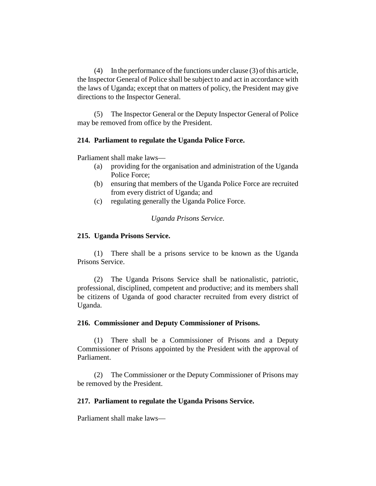(4) In the performance of the functions under clause (3) of this article, the Inspector General of Police shall be subject to and act in accordance with the laws of Uganda; except that on matters of policy, the President may give directions to the Inspector General.

(5) The Inspector General or the Deputy Inspector General of Police may be removed from office by the President.

# **214. Parliament to regulate the Uganda Police Force.**

Parliament shall make laws—

- (a) providing for the organisation and administration of the Uganda Police Force;
- (b) ensuring that members of the Uganda Police Force are recruited from every district of Uganda; and
- (c) regulating generally the Uganda Police Force.

# *Uganda Prisons Service.*

## **215. Uganda Prisons Service.**

(1) There shall be a prisons service to be known as the Uganda Prisons Service.

(2) The Uganda Prisons Service shall be nationalistic, patriotic, professional, disciplined, competent and productive; and its members shall be citizens of Uganda of good character recruited from every district of Uganda.

# **216. Commissioner and Deputy Commissioner of Prisons.**

(1) There shall be a Commissioner of Prisons and a Deputy Commissioner of Prisons appointed by the President with the approval of Parliament.

(2) The Commissioner or the Deputy Commissioner of Prisons may be removed by the President.

# **217. Parliament to regulate the Uganda Prisons Service.**

Parliament shall make laws—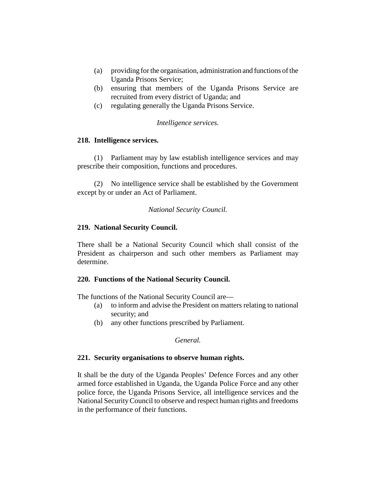- (a) providing for the organisation, administration and functions of the Uganda Prisons Service;
- (b) ensuring that members of the Uganda Prisons Service are recruited from every district of Uganda; and
- (c) regulating generally the Uganda Prisons Service.

## *Intelligence services.*

# **218. Intelligence services.**

(1) Parliament may by law establish intelligence services and may prescribe their composition, functions and procedures.

(2) No intelligence service shall be established by the Government except by or under an Act of Parliament.

# *National Security Council.*

# **219. National Security Council.**

There shall be a National Security Council which shall consist of the President as chairperson and such other members as Parliament may determine.

# **220. Functions of the National Security Council.**

The functions of the National Security Council are—

- (a) to inform and advise the President on matters relating to national security; and
- (b) any other functions prescribed by Parliament.

*General.*

# **221. Security organisations to observe human rights.**

It shall be the duty of the Uganda Peoples' Defence Forces and any other armed force established in Uganda, the Uganda Police Force and any other police force, the Uganda Prisons Service, all intelligence services and the National Security Council to observe and respect human rights and freedoms in the performance of their functions.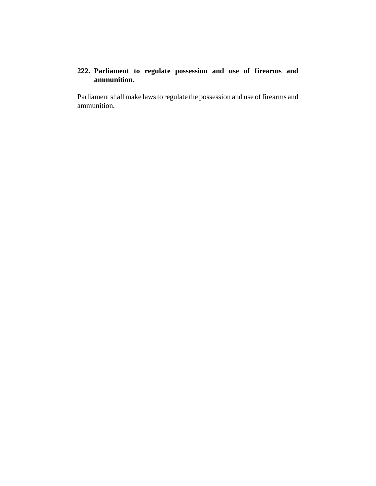# **222. Parliament to regulate possession and use of firearms and ammunition.**

Parliament shall make laws to regulate the possession and use of firearms and ammunition.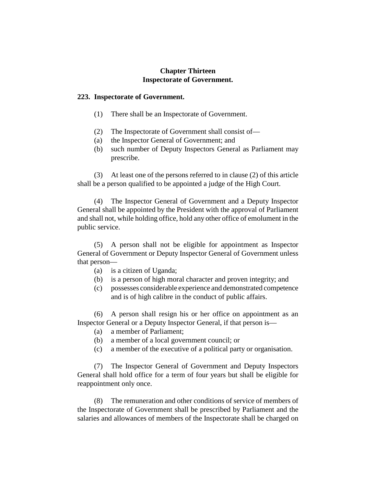## **Chapter Thirteen Inspectorate of Government.**

### **223. Inspectorate of Government.**

- (1) There shall be an Inspectorate of Government.
- (2) The Inspectorate of Government shall consist of—
- (a) the Inspector General of Government; and
- (b) such number of Deputy Inspectors General as Parliament may prescribe.

(3) At least one of the persons referred to in clause (2) of this article shall be a person qualified to be appointed a judge of the High Court.

(4) The Inspector General of Government and a Deputy Inspector General shall be appointed by the President with the approval of Parliament and shall not, while holding office, hold any other office of emolument in the public service.

(5) A person shall not be eligible for appointment as Inspector General of Government or Deputy Inspector General of Government unless that person—

- (a) is a citizen of Uganda;
- (b) is a person of high moral character and proven integrity; and
- (c) possesses considerable experience and demonstrated competence and is of high calibre in the conduct of public affairs.

(6) A person shall resign his or her office on appointment as an Inspector General or a Deputy Inspector General, if that person is—

- (a) a member of Parliament;
- (b) a member of a local government council; or
- (c) a member of the executive of a political party or organisation.

(7) The Inspector General of Government and Deputy Inspectors General shall hold office for a term of four years but shall be eligible for reappointment only once.

(8) The remuneration and other conditions of service of members of the Inspectorate of Government shall be prescribed by Parliament and the salaries and allowances of members of the Inspectorate shall be charged on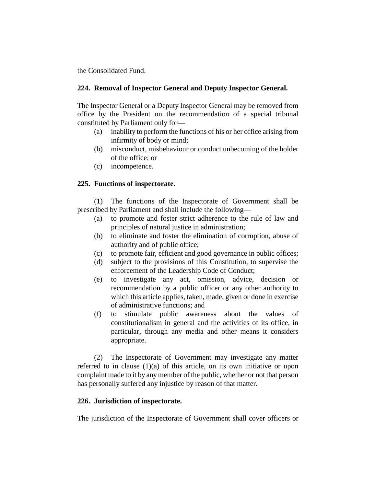the Consolidated Fund.

# **224. Removal of Inspector General and Deputy Inspector General.**

The Inspector General or a Deputy Inspector General may be removed from office by the President on the recommendation of a special tribunal constituted by Parliament only for—

- (a) inability to perform the functions of his or her office arising from infirmity of body or mind;
- (b) misconduct, misbehaviour or conduct unbecoming of the holder of the office; or
- (c) incompetence.

# **225. Functions of inspectorate.**

(1) The functions of the Inspectorate of Government shall be prescribed by Parliament and shall include the following—

- (a) to promote and foster strict adherence to the rule of law and principles of natural justice in administration;
- (b) to eliminate and foster the elimination of corruption, abuse of authority and of public office;
- (c) to promote fair, efficient and good governance in public offices;
- (d) subject to the provisions of this Constitution, to supervise the enforcement of the Leadership Code of Conduct;
- (e) to investigate any act, omission, advice, decision or recommendation by a public officer or any other authority to which this article applies, taken, made, given or done in exercise of administrative functions; and
- (f) to stimulate public awareness about the values of constitutionalism in general and the activities of its office, in particular, through any media and other means it considers appropriate.

(2) The Inspectorate of Government may investigate any matter referred to in clause  $(1)(a)$  of this article, on its own initiative or upon complaint made to it by any member of the public, whether or not that person has personally suffered any injustice by reason of that matter.

# **226. Jurisdiction of inspectorate.**

The jurisdiction of the Inspectorate of Government shall cover officers or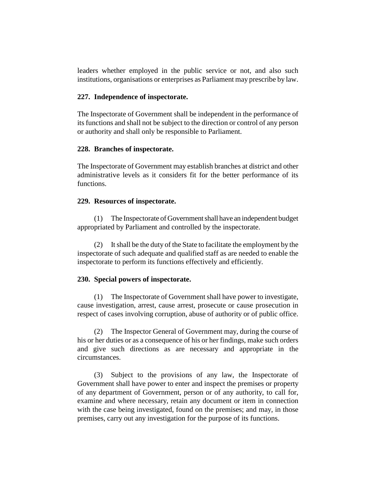leaders whether employed in the public service or not, and also such institutions, organisations or enterprises as Parliament may prescribe by law.

## **227. Independence of inspectorate.**

The Inspectorate of Government shall be independent in the performance of its functions and shall not be subject to the direction or control of any person or authority and shall only be responsible to Parliament.

## **228. Branches of inspectorate.**

The Inspectorate of Government may establish branches at district and other administrative levels as it considers fit for the better performance of its functions.

## **229. Resources of inspectorate.**

(1) The Inspectorate of Government shall have an independent budget appropriated by Parliament and controlled by the inspectorate.

(2) It shall be the duty of the State to facilitate the employment by the inspectorate of such adequate and qualified staff as are needed to enable the inspectorate to perform its functions effectively and efficiently.

# **230. Special powers of inspectorate.**

(1) The Inspectorate of Government shall have power to investigate, cause investigation, arrest, cause arrest, prosecute or cause prosecution in respect of cases involving corruption, abuse of authority or of public office.

(2) The Inspector General of Government may, during the course of his or her duties or as a consequence of his or her findings, make such orders and give such directions as are necessary and appropriate in the circumstances.

(3) Subject to the provisions of any law, the Inspectorate of Government shall have power to enter and inspect the premises or property of any department of Government, person or of any authority, to call for, examine and where necessary, retain any document or item in connection with the case being investigated, found on the premises; and may, in those premises, carry out any investigation for the purpose of its functions.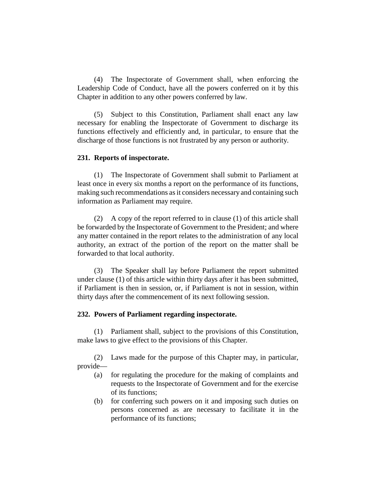(4) The Inspectorate of Government shall, when enforcing the Leadership Code of Conduct, have all the powers conferred on it by this Chapter in addition to any other powers conferred by law.

(5) Subject to this Constitution, Parliament shall enact any law necessary for enabling the Inspectorate of Government to discharge its functions effectively and efficiently and, in particular, to ensure that the discharge of those functions is not frustrated by any person or authority.

### **231. Reports of inspectorate.**

(1) The Inspectorate of Government shall submit to Parliament at least once in every six months a report on the performance of its functions, making such recommendations as it considers necessary and containing such information as Parliament may require.

(2) A copy of the report referred to in clause (1) of this article shall be forwarded by the Inspectorate of Government to the President; and where any matter contained in the report relates to the administration of any local authority, an extract of the portion of the report on the matter shall be forwarded to that local authority.

(3) The Speaker shall lay before Parliament the report submitted under clause (1) of this article within thirty days after it has been submitted, if Parliament is then in session, or, if Parliament is not in session, within thirty days after the commencement of its next following session.

### **232. Powers of Parliament regarding inspectorate.**

(1) Parliament shall, subject to the provisions of this Constitution, make laws to give effect to the provisions of this Chapter.

(2) Laws made for the purpose of this Chapter may, in particular, provide—

- (a) for regulating the procedure for the making of complaints and requests to the Inspectorate of Government and for the exercise of its functions;
- (b) for conferring such powers on it and imposing such duties on persons concerned as are necessary to facilitate it in the performance of its functions;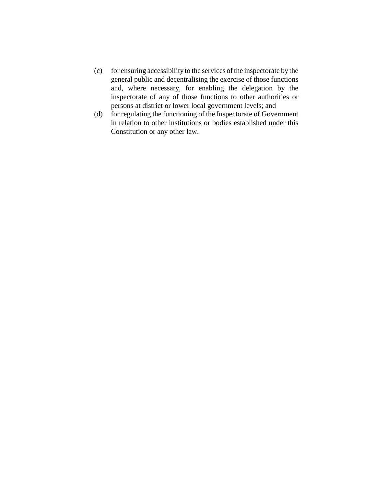- (c) for ensuring accessibility to the services of the inspectorate by the general public and decentralising the exercise of those functions and, where necessary, for enabling the delegation by the inspectorate of any of those functions to other authorities or persons at district or lower local government levels; and
- (d) for regulating the functioning of the Inspectorate of Government in relation to other institutions or bodies established under this Constitution or any other law.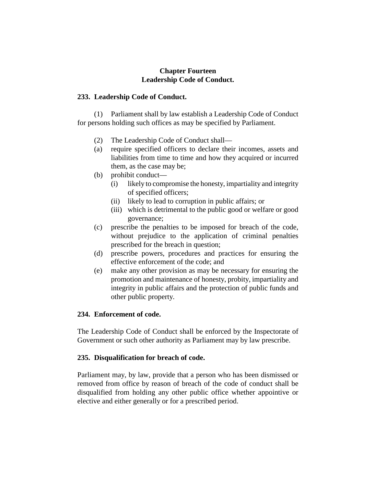# **Chapter Fourteen Leadership Code of Conduct.**

## **233. Leadership Code of Conduct.**

(1) Parliament shall by law establish a Leadership Code of Conduct for persons holding such offices as may be specified by Parliament.

- (2) The Leadership Code of Conduct shall—
- (a) require specified officers to declare their incomes, assets and liabilities from time to time and how they acquired or incurred them, as the case may be;
- (b) prohibit conduct—
	- (i) likely to compromise the honesty, impartiality and integrity of specified officers;
	- (ii) likely to lead to corruption in public affairs; or
	- (iii) which is detrimental to the public good or welfare or good governance;
- (c) prescribe the penalties to be imposed for breach of the code, without prejudice to the application of criminal penalties prescribed for the breach in question;
- (d) prescribe powers, procedures and practices for ensuring the effective enforcement of the code; and
- (e) make any other provision as may be necessary for ensuring the promotion and maintenance of honesty, probity, impartiality and integrity in public affairs and the protection of public funds and other public property.

## **234. Enforcement of code.**

The Leadership Code of Conduct shall be enforced by the Inspectorate of Government or such other authority as Parliament may by law prescribe.

## **235. Disqualification for breach of code.**

Parliament may, by law, provide that a person who has been dismissed or removed from office by reason of breach of the code of conduct shall be disqualified from holding any other public office whether appointive or elective and either generally or for a prescribed period.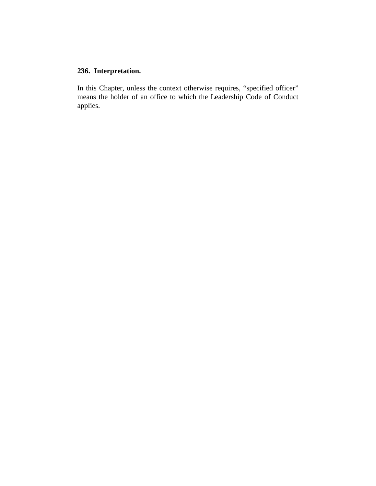# **236. Interpretation.**

In this Chapter, unless the context otherwise requires, "specified officer" means the holder of an office to which the Leadership Code of Conduct applies.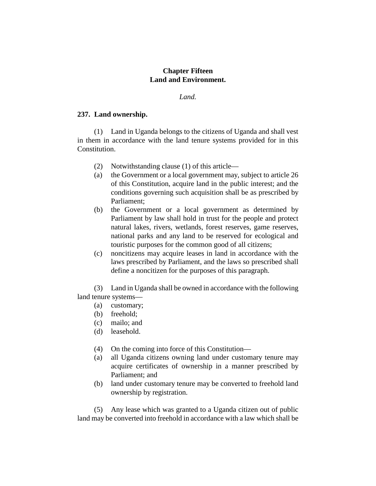# **Chapter Fifteen Land and Environment.**

#### *Land.*

#### **237. Land ownership.**

(1) Land in Uganda belongs to the citizens of Uganda and shall vest in them in accordance with the land tenure systems provided for in this Constitution.

- (2) Notwithstanding clause (1) of this article—
- (a) the Government or a local government may, subject to article 26 of this Constitution, acquire land in the public interest; and the conditions governing such acquisition shall be as prescribed by Parliament;
- (b) the Government or a local government as determined by Parliament by law shall hold in trust for the people and protect natural lakes, rivers, wetlands, forest reserves, game reserves, national parks and any land to be reserved for ecological and touristic purposes for the common good of all citizens;
- (c) noncitizens may acquire leases in land in accordance with the laws prescribed by Parliament, and the laws so prescribed shall define a noncitizen for the purposes of this paragraph.

(3) Land in Uganda shall be owned in accordance with the following land tenure systems—

- (a) customary;
- (b) freehold;
- (c) mailo; and
- (d) leasehold.
- (4) On the coming into force of this Constitution—
- (a) all Uganda citizens owning land under customary tenure may acquire certificates of ownership in a manner prescribed by Parliament; and
- (b) land under customary tenure may be converted to freehold land ownership by registration.

(5) Any lease which was granted to a Uganda citizen out of public land may be converted into freehold in accordance with a law which shall be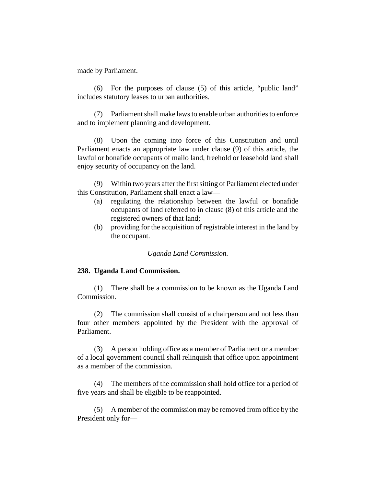made by Parliament.

(6) For the purposes of clause (5) of this article, "public land" includes statutory leases to urban authorities.

(7) Parliament shall make laws to enable urban authorities to enforce and to implement planning and development.

(8) Upon the coming into force of this Constitution and until Parliament enacts an appropriate law under clause (9) of this article, the lawful or bonafide occupants of mailo land, freehold or leasehold land shall enjoy security of occupancy on the land.

(9) Within two years after the first sitting of Parliament elected under this Constitution, Parliament shall enact a law—

- (a) regulating the relationship between the lawful or bonafide occupants of land referred to in clause (8) of this article and the registered owners of that land;
- (b) providing for the acquisition of registrable interest in the land by the occupant.

*Uganda Land Commission.*

#### **238. Uganda Land Commission.**

(1) There shall be a commission to be known as the Uganda Land Commission.

(2) The commission shall consist of a chairperson and not less than four other members appointed by the President with the approval of Parliament.

(3) A person holding office as a member of Parliament or a member of a local government council shall relinquish that office upon appointment as a member of the commission.

(4) The members of the commission shall hold office for a period of five years and shall be eligible to be reappointed.

(5) A member of the commission may be removed from office by the President only for—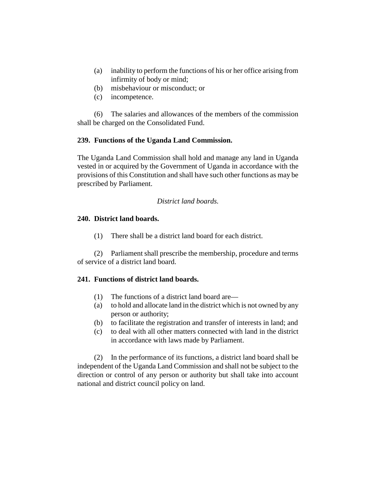- (a) inability to perform the functions of his or her office arising from infirmity of body or mind;
- (b) misbehaviour or misconduct; or
- (c) incompetence.

(6) The salaries and allowances of the members of the commission shall be charged on the Consolidated Fund.

# **239. Functions of the Uganda Land Commission.**

The Uganda Land Commission shall hold and manage any land in Uganda vested in or acquired by the Government of Uganda in accordance with the provisions of this Constitution and shall have such other functions as may be prescribed by Parliament.

## *District land boards.*

# **240. District land boards.**

(1) There shall be a district land board for each district.

(2) Parliament shall prescribe the membership, procedure and terms of service of a district land board.

## **241. Functions of district land boards.**

- (1) The functions of a district land board are—
- (a) to hold and allocate land in the district which is not owned by any person or authority;
- (b) to facilitate the registration and transfer of interests in land; and
- (c) to deal with all other matters connected with land in the district in accordance with laws made by Parliament.

(2) In the performance of its functions, a district land board shall be independent of the Uganda Land Commission and shall not be subject to the direction or control of any person or authority but shall take into account national and district council policy on land.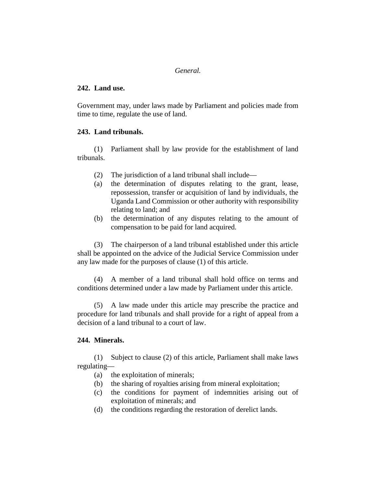## *General.*

#### **242. Land use.**

Government may, under laws made by Parliament and policies made from time to time, regulate the use of land.

## **243. Land tribunals.**

(1) Parliament shall by law provide for the establishment of land tribunals.

- (2) The jurisdiction of a land tribunal shall include—
- (a) the determination of disputes relating to the grant, lease, repossession, transfer or acquisition of land by individuals, the Uganda Land Commission or other authority with responsibility relating to land; and
- (b) the determination of any disputes relating to the amount of compensation to be paid for land acquired.

(3) The chairperson of a land tribunal established under this article shall be appointed on the advice of the Judicial Service Commission under any law made for the purposes of clause (1) of this article.

(4) A member of a land tribunal shall hold office on terms and conditions determined under a law made by Parliament under this article.

(5) A law made under this article may prescribe the practice and procedure for land tribunals and shall provide for a right of appeal from a decision of a land tribunal to a court of law.

#### **244. Minerals.**

(1) Subject to clause (2) of this article, Parliament shall make laws regulating—

- (a) the exploitation of minerals;
- (b) the sharing of royalties arising from mineral exploitation;
- (c) the conditions for payment of indemnities arising out of exploitation of minerals; and
- (d) the conditions regarding the restoration of derelict lands.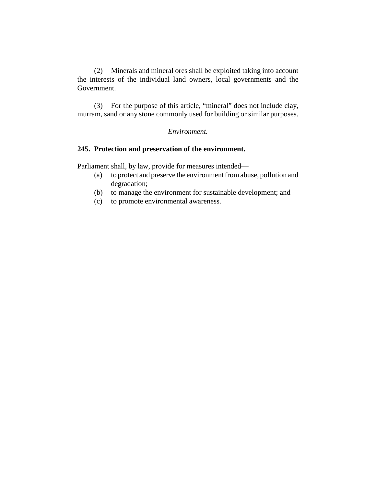(2) Minerals and mineral ores shall be exploited taking into account the interests of the individual land owners, local governments and the Government.

(3) For the purpose of this article, "mineral" does not include clay, murram, sand or any stone commonly used for building or similar purposes.

### *Environment.*

### **245. Protection and preservation of the environment.**

Parliament shall, by law, provide for measures intended—

- (a) to protect and preserve the environment from abuse, pollution and degradation;
- (b) to manage the environment for sustainable development; and
- (c) to promote environmental awareness.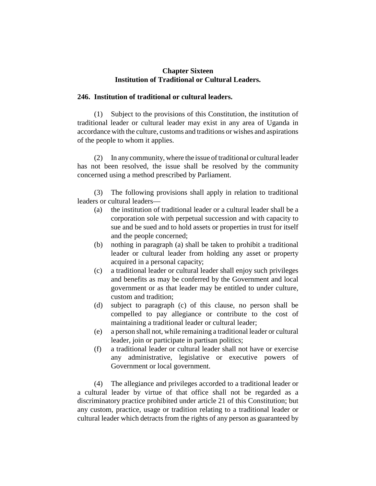## **Chapter Sixteen Institution of Traditional or Cultural Leaders.**

### **246. Institution of traditional or cultural leaders.**

(1) Subject to the provisions of this Constitution, the institution of traditional leader or cultural leader may exist in any area of Uganda in accordance with the culture, customs and traditions or wishes and aspirations of the people to whom it applies.

(2) In any community, where the issue of traditional or cultural leader has not been resolved, the issue shall be resolved by the community concerned using a method prescribed by Parliament.

(3) The following provisions shall apply in relation to traditional leaders or cultural leaders—

- (a) the institution of traditional leader or a cultural leader shall be a corporation sole with perpetual succession and with capacity to sue and be sued and to hold assets or properties in trust for itself and the people concerned;
- (b) nothing in paragraph (a) shall be taken to prohibit a traditional leader or cultural leader from holding any asset or property acquired in a personal capacity;
- (c) a traditional leader or cultural leader shall enjoy such privileges and benefits as may be conferred by the Government and local government or as that leader may be entitled to under culture, custom and tradition;
- (d) subject to paragraph (c) of this clause, no person shall be compelled to pay allegiance or contribute to the cost of maintaining a traditional leader or cultural leader;
- (e) a person shall not, while remaining a traditional leader or cultural leader, join or participate in partisan politics;
- (f) a traditional leader or cultural leader shall not have or exercise any administrative, legislative or executive powers of Government or local government.

(4) The allegiance and privileges accorded to a traditional leader or a cultural leader by virtue of that office shall not be regarded as a discriminatory practice prohibited under article 21 of this Constitution; but any custom, practice, usage or tradition relating to a traditional leader or cultural leader which detracts from the rights of any person as guaranteed by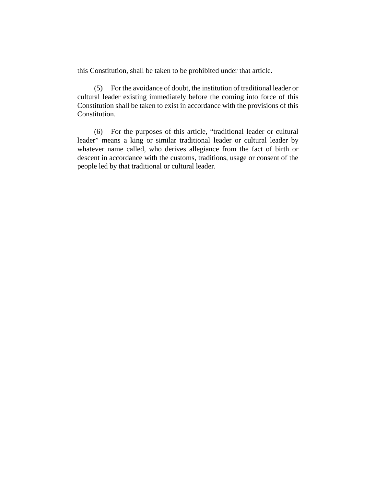this Constitution, shall be taken to be prohibited under that article.

(5) For the avoidance of doubt, the institution of traditional leader or cultural leader existing immediately before the coming into force of this Constitution shall be taken to exist in accordance with the provisions of this Constitution.

(6) For the purposes of this article, "traditional leader or cultural leader" means a king or similar traditional leader or cultural leader by whatever name called, who derives allegiance from the fact of birth or descent in accordance with the customs, traditions, usage or consent of the people led by that traditional or cultural leader.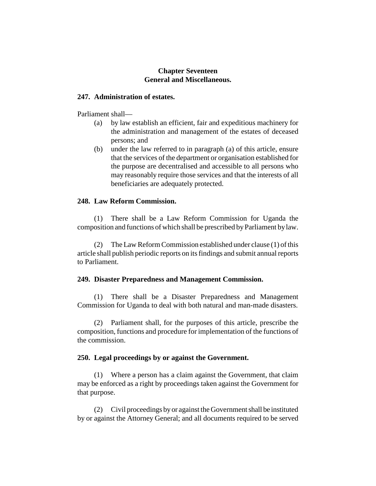## **Chapter Seventeen General and Miscellaneous.**

### **247. Administration of estates.**

Parliament shall—

- (a) by law establish an efficient, fair and expeditious machinery for the administration and management of the estates of deceased persons; and
- (b) under the law referred to in paragraph (a) of this article, ensure that the services of the department or organisation established for the purpose are decentralised and accessible to all persons who may reasonably require those services and that the interests of all beneficiaries are adequately protected.

## **248. Law Reform Commission.**

(1) There shall be a Law Reform Commission for Uganda the composition and functions of which shall be prescribed by Parliament by law.

(2) The Law Reform Commission established under clause (1) of this article shall publish periodic reports on its findings and submit annual reports to Parliament.

## **249. Disaster Preparedness and Management Commission.**

(1) There shall be a Disaster Preparedness and Management Commission for Uganda to deal with both natural and man-made disasters.

(2) Parliament shall, for the purposes of this article, prescribe the composition, functions and procedure for implementation of the functions of the commission.

## **250. Legal proceedings by or against the Government.**

(1) Where a person has a claim against the Government, that claim may be enforced as a right by proceedings taken against the Government for that purpose.

(2) Civil proceedings by or against the Government shall be instituted by or against the Attorney General; and all documents required to be served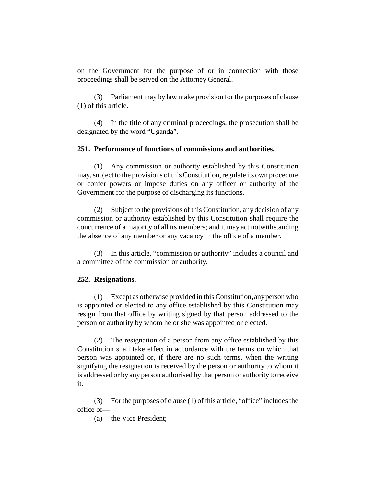on the Government for the purpose of or in connection with those proceedings shall be served on the Attorney General.

(3) Parliament may by law make provision for the purposes of clause (1) of this article.

(4) In the title of any criminal proceedings, the prosecution shall be designated by the word "Uganda".

### **251. Performance of functions of commissions and authorities.**

(1) Any commission or authority established by this Constitution may, subject to the provisions of this Constitution, regulate its own procedure or confer powers or impose duties on any officer or authority of the Government for the purpose of discharging its functions.

(2) Subject to the provisions of this Constitution, any decision of any commission or authority established by this Constitution shall require the concurrence of a majority of all its members; and it may act notwithstanding the absence of any member or any vacancy in the office of a member.

(3) In this article, "commission or authority" includes a council and a committee of the commission or authority.

## **252. Resignations.**

(1) Except as otherwise provided in this Constitution, any person who is appointed or elected to any office established by this Constitution may resign from that office by writing signed by that person addressed to the person or authority by whom he or she was appointed or elected.

(2) The resignation of a person from any office established by this Constitution shall take effect in accordance with the terms on which that person was appointed or, if there are no such terms, when the writing signifying the resignation is received by the person or authority to whom it is addressed or by any person authorised by that person or authority to receive it.

(3) For the purposes of clause (1) of this article, "office" includes the office of—

(a) the Vice President;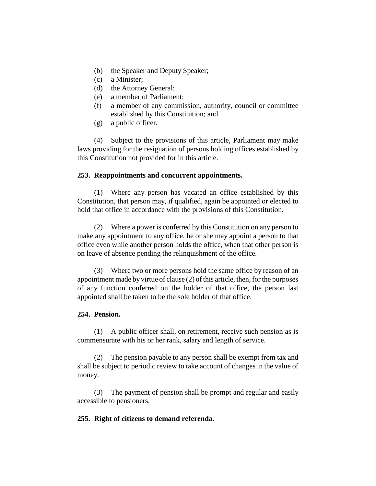- (b) the Speaker and Deputy Speaker;
- (c) a Minister;
- (d) the Attorney General;
- (e) a member of Parliament;
- (f) a member of any commission, authority, council or committee established by this Constitution; and
- (g) a public officer.

(4) Subject to the provisions of this article, Parliament may make laws providing for the resignation of persons holding offices established by this Constitution not provided for in this article.

#### **253. Reappointments and concurrent appointments.**

(1) Where any person has vacated an office established by this Constitution, that person may, if qualified, again be appointed or elected to hold that office in accordance with the provisions of this Constitution.

(2) Where a power is conferred by this Constitution on any person to make any appointment to any office, he or she may appoint a person to that office even while another person holds the office, when that other person is on leave of absence pending the relinquishment of the office.

(3) Where two or more persons hold the same office by reason of an appointment made by virtue of clause (2) of this article, then, for the purposes of any function conferred on the holder of that office, the person last appointed shall be taken to be the sole holder of that office.

#### **254. Pension.**

(1) A public officer shall, on retirement, receive such pension as is commensurate with his or her rank, salary and length of service.

(2) The pension payable to any person shall be exempt from tax and shall be subject to periodic review to take account of changes in the value of money.

(3) The payment of pension shall be prompt and regular and easily accessible to pensioners.

## **255. Right of citizens to demand referenda.**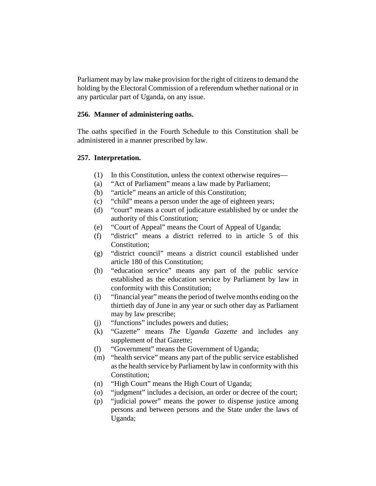Parliament may by law make provision for the right of citizens to demand the holding by the Electoral Commission of a referendum whether national or in any particular part of Uganda, on any issue.

## **256. Manner of administering oaths.**

The oaths specified in the Fourth Schedule to this Constitution shall be administered in a manner prescribed by law.

# **257. Interpretation.**

- (1) In this Constitution, unless the context otherwise requires—
- (a) "Act of Parliament" means a law made by Parliament;
- (b) "article" means an article of this Constitution;
- (c) "child" means a person under the age of eighteen years;
- (d) "court" means a court of judicature established by or under the authority of this Constitution;
- (e) "Court of Appeal" means the Court of Appeal of Uganda;
- (f) "district" means a district referred to in article 5 of this Constitution;
- (g) "district council" means a district council established under article 180 of this Constitution;
- (h) "education service" means any part of the public service established as the education service by Parliament by law in conformity with this Constitution;
- (i) "financial year" means the period of twelve months ending on the thirtieth day of June in any year or such other day as Parliament may by law prescribe;
- (j) "functions" includes powers and duties;
- (k) "Gazette" means *The Uganda Gazette* and includes any supplement of that Gazette;
- (l) "Government" means the Government of Uganda;
- (m) "health service" means any part of the public service established as the health service by Parliament by law in conformity with this Constitution;
- (n) "High Court" means the High Court of Uganda;
- (o) "judgment" includes a decision, an order or decree of the court;
- (p) "judicial power" means the power to dispense justice among persons and between persons and the State under the laws of Uganda;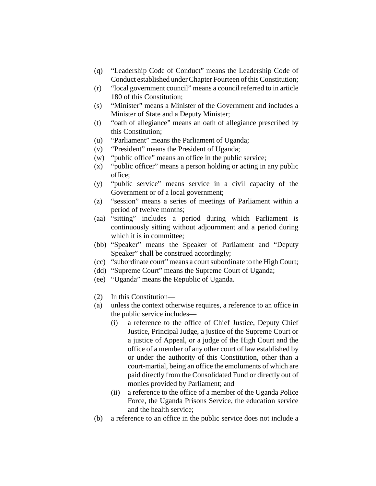- (q) "Leadership Code of Conduct" means the Leadership Code of Conduct established under Chapter Fourteen of this Constitution;
- (r) "local government council" means a council referred to in article 180 of this Constitution;
- (s) "Minister" means a Minister of the Government and includes a Minister of State and a Deputy Minister;
- (t) "oath of allegiance" means an oath of allegiance prescribed by this Constitution;
- (u) "Parliament" means the Parliament of Uganda;
- (v) "President" means the President of Uganda;
- (w) "public office" means an office in the public service;
- (x) "public officer" means a person holding or acting in any public office;
- (y) "public service" means service in a civil capacity of the Government or of a local government;
- (z) "session" means a series of meetings of Parliament within a period of twelve months;
- (aa) "sitting" includes a period during which Parliament is continuously sitting without adjournment and a period during which it is in committee;
- (bb) "Speaker" means the Speaker of Parliament and "Deputy Speaker" shall be construed accordingly;
- (cc) "subordinate court" means a court subordinate to the High Court;
- (dd) "Supreme Court" means the Supreme Court of Uganda;
- (ee) "Uganda" means the Republic of Uganda.
- (2) In this Constitution—
- (a) unless the context otherwise requires, a reference to an office in the public service includes—
	- (i) a reference to the office of Chief Justice, Deputy Chief Justice, Principal Judge, a justice of the Supreme Court or a justice of Appeal, or a judge of the High Court and the office of a member of any other court of law established by or under the authority of this Constitution, other than a court-martial, being an office the emoluments of which are paid directly from the Consolidated Fund or directly out of monies provided by Parliament; and
	- (ii) a reference to the office of a member of the Uganda Police Force, the Uganda Prisons Service, the education service and the health service;
- (b) a reference to an office in the public service does not include a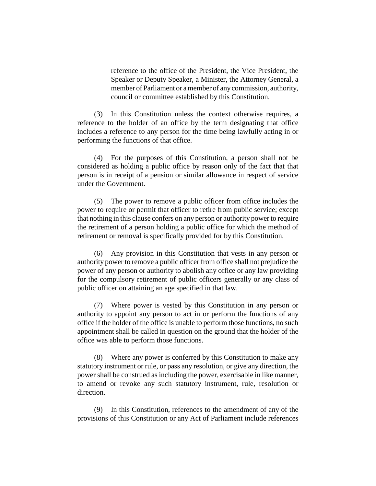reference to the office of the President, the Vice President, the Speaker or Deputy Speaker, a Minister, the Attorney General, a member of Parliament or a member of any commission, authority, council or committee established by this Constitution.

(3) In this Constitution unless the context otherwise requires, a reference to the holder of an office by the term designating that office includes a reference to any person for the time being lawfully acting in or performing the functions of that office.

(4) For the purposes of this Constitution, a person shall not be considered as holding a public office by reason only of the fact that that person is in receipt of a pension or similar allowance in respect of service under the Government.

(5) The power to remove a public officer from office includes the power to require or permit that officer to retire from public service; except that nothing in this clause confers on any person or authority power to require the retirement of a person holding a public office for which the method of retirement or removal is specifically provided for by this Constitution.

(6) Any provision in this Constitution that vests in any person or authority power to remove a public officer from office shall not prejudice the power of any person or authority to abolish any office or any law providing for the compulsory retirement of public officers generally or any class of public officer on attaining an age specified in that law.

(7) Where power is vested by this Constitution in any person or authority to appoint any person to act in or perform the functions of any office if the holder of the office is unable to perform those functions, no such appointment shall be called in question on the ground that the holder of the office was able to perform those functions.

(8) Where any power is conferred by this Constitution to make any statutory instrument or rule, or pass any resolution, or give any direction, the power shall be construed as including the power, exercisable in like manner, to amend or revoke any such statutory instrument, rule, resolution or direction.

(9) In this Constitution, references to the amendment of any of the provisions of this Constitution or any Act of Parliament include references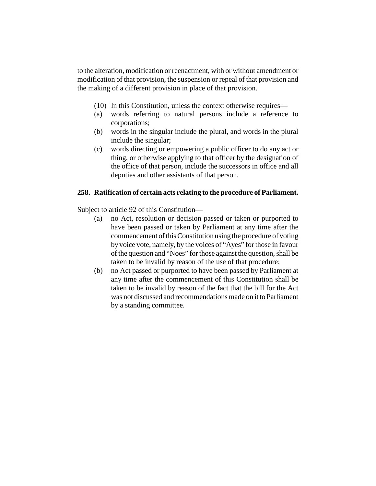to the alteration, modification or reenactment, with or without amendment or modification of that provision, the suspension or repeal of that provision and the making of a different provision in place of that provision.

- (10) In this Constitution, unless the context otherwise requires—
- (a) words referring to natural persons include a reference to corporations;
- (b) words in the singular include the plural, and words in the plural include the singular;
- (c) words directing or empowering a public officer to do any act or thing, or otherwise applying to that officer by the designation of the office of that person, include the successors in office and all deputies and other assistants of that person.

### **258. Ratification of certain acts relating to the procedure of Parliament.**

Subject to article 92 of this Constitution—

- (a) no Act, resolution or decision passed or taken or purported to have been passed or taken by Parliament at any time after the commencement of this Constitution using the procedure of voting by voice vote, namely, by the voices of "Ayes" for those in favour of the question and "Noes" for those against the question, shall be taken to be invalid by reason of the use of that procedure;
- (b) no Act passed or purported to have been passed by Parliament at any time after the commencement of this Constitution shall be taken to be invalid by reason of the fact that the bill for the Act was not discussed and recommendations made on it to Parliament by a standing committee.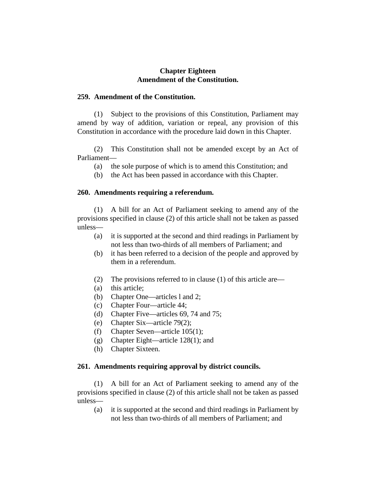### **Chapter Eighteen Amendment of the Constitution.**

#### **259. Amendment of the Constitution.**

(1) Subject to the provisions of this Constitution, Parliament may amend by way of addition, variation or repeal, any provision of this Constitution in accordance with the procedure laid down in this Chapter.

(2) This Constitution shall not be amended except by an Act of Parliament—

- (a) the sole purpose of which is to amend this Constitution; and
- (b) the Act has been passed in accordance with this Chapter.

### **260. Amendments requiring a referendum.**

(1) A bill for an Act of Parliament seeking to amend any of the provisions specified in clause (2) of this article shall not be taken as passed unless—

- (a) it is supported at the second and third readings in Parliament by not less than two-thirds of all members of Parliament; and
- (b) it has been referred to a decision of the people and approved by them in a referendum.
- (2) The provisions referred to in clause (1) of this article are—
- (a) this article;
- (b) Chapter One—articles l and 2;
- (c) Chapter Four—article 44;
- (d) Chapter Five—articles 69, 74 and 75;
- (e) Chapter Six—article 79(2);
- (f) Chapter Seven—article 105(1);
- (g) Chapter Eight—article 128(1); and
- (h) Chapter Sixteen.

#### **261. Amendments requiring approval by district councils.**

(1) A bill for an Act of Parliament seeking to amend any of the provisions specified in clause (2) of this article shall not be taken as passed unless—

(a) it is supported at the second and third readings in Parliament by not less than two-thirds of all members of Parliament; and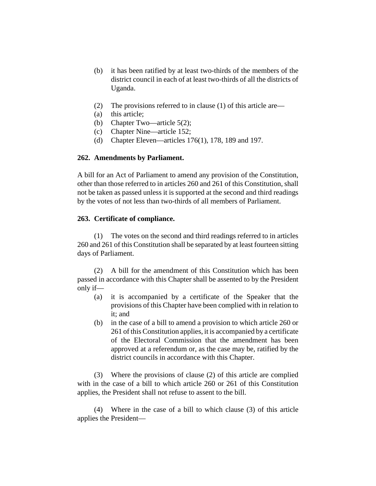- (b) it has been ratified by at least two-thirds of the members of the district council in each of at least two-thirds of all the districts of Uganda.
- (2) The provisions referred to in clause (1) of this article are—
- (a) this article;
- (b) Chapter Two—article 5(2);
- (c) Chapter Nine—article 152;
- (d) Chapter Eleven—articles 176(1), 178, 189 and 197.

#### **262. Amendments by Parliament.**

A bill for an Act of Parliament to amend any provision of the Constitution, other than those referred to in articles 260 and 261 of this Constitution, shall not be taken as passed unless it is supported at the second and third readings by the votes of not less than two-thirds of all members of Parliament.

#### **263. Certificate of compliance.**

(1) The votes on the second and third readings referred to in articles 260 and 261 of this Constitution shall be separated by at least fourteen sitting days of Parliament.

(2) A bill for the amendment of this Constitution which has been passed in accordance with this Chapter shall be assented to by the President only if—

- (a) it is accompanied by a certificate of the Speaker that the provisions of this Chapter have been complied with in relation to it; and
- (b) in the case of a bill to amend a provision to which article 260 or 261 of this Constitution applies, it is accompanied by a certificate of the Electoral Commission that the amendment has been approved at a referendum or, as the case may be, ratified by the district councils in accordance with this Chapter.

(3) Where the provisions of clause (2) of this article are complied with in the case of a bill to which article 260 or 261 of this Constitution applies, the President shall not refuse to assent to the bill.

(4) Where in the case of a bill to which clause (3) of this article applies the President—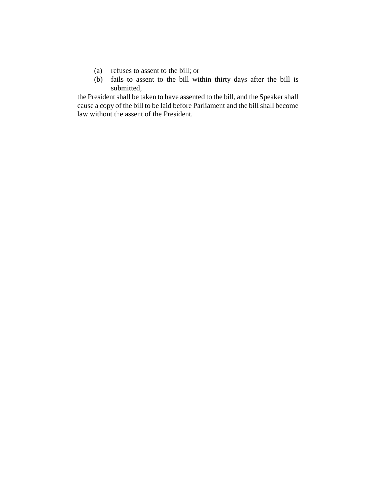- (a) refuses to assent to the bill; or
- (b) fails to assent to the bill within thirty days after the bill is submitted,

the President shall be taken to have assented to the bill, and the Speaker shall cause a copy of the bill to be laid before Parliament and the bill shall become law without the assent of the President.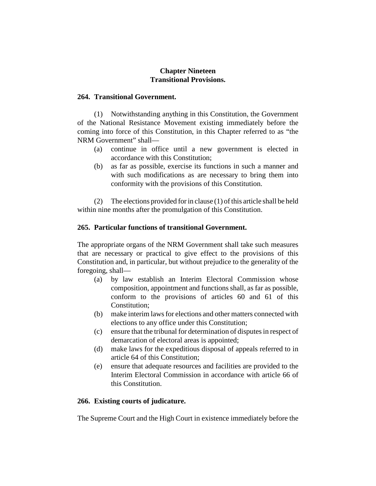# **Chapter Nineteen Transitional Provisions.**

### **264. Transitional Government.**

(1) Notwithstanding anything in this Constitution, the Government of the National Resistance Movement existing immediately before the coming into force of this Constitution, in this Chapter referred to as "the NRM Government" shall—

- (a) continue in office until a new government is elected in accordance with this Constitution;
- (b) as far as possible, exercise its functions in such a manner and with such modifications as are necessary to bring them into conformity with the provisions of this Constitution.

(2) The elections provided for in clause (1) of this article shall be held within nine months after the promulgation of this Constitution.

# **265. Particular functions of transitional Government.**

The appropriate organs of the NRM Government shall take such measures that are necessary or practical to give effect to the provisions of this Constitution and, in particular, but without prejudice to the generality of the foregoing, shall—

- (a) by law establish an Interim Electoral Commission whose composition, appointment and functions shall, as far as possible, conform to the provisions of articles 60 and 61 of this Constitution;
- (b) make interim laws for elections and other matters connected with elections to any office under this Constitution;
- (c) ensure that the tribunal for determination of disputes in respect of demarcation of electoral areas is appointed;
- (d) make laws for the expeditious disposal of appeals referred to in article 64 of this Constitution;
- (e) ensure that adequate resources and facilities are provided to the Interim Electoral Commission in accordance with article 66 of this Constitution.

## **266. Existing courts of judicature.**

The Supreme Court and the High Court in existence immediately before the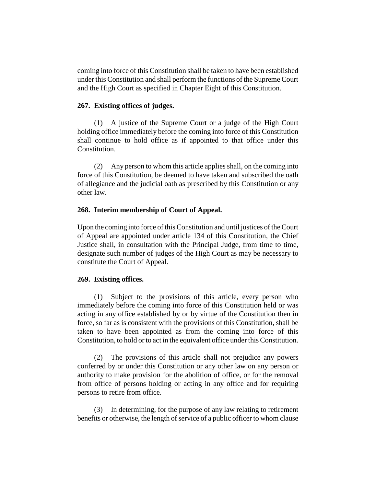coming into force of this Constitution shall be taken to have been established under this Constitution and shall perform the functions of the Supreme Court and the High Court as specified in Chapter Eight of this Constitution.

### **267. Existing offices of judges.**

(1) A justice of the Supreme Court or a judge of the High Court holding office immediately before the coming into force of this Constitution shall continue to hold office as if appointed to that office under this Constitution.

(2) Any person to whom this article applies shall, on the coming into force of this Constitution, be deemed to have taken and subscribed the oath of allegiance and the judicial oath as prescribed by this Constitution or any other law.

### **268. Interim membership of Court of Appeal.**

Upon the coming into force of this Constitution and until justices of the Court of Appeal are appointed under article 134 of this Constitution, the Chief Justice shall, in consultation with the Principal Judge, from time to time, designate such number of judges of the High Court as may be necessary to constitute the Court of Appeal.

## **269. Existing offices.**

(1) Subject to the provisions of this article, every person who immediately before the coming into force of this Constitution held or was acting in any office established by or by virtue of the Constitution then in force, so far as is consistent with the provisions of this Constitution, shall be taken to have been appointed as from the coming into force of this Constitution, to hold or to act in the equivalent office under this Constitution.

(2) The provisions of this article shall not prejudice any powers conferred by or under this Constitution or any other law on any person or authority to make provision for the abolition of office, or for the removal from office of persons holding or acting in any office and for requiring persons to retire from office.

(3) In determining, for the purpose of any law relating to retirement benefits or otherwise, the length of service of a public officer to whom clause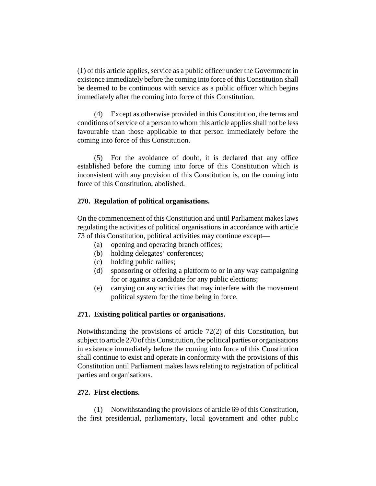(1) of this article applies, service as a public officer under the Government in existence immediately before the coming into force of this Constitution shall be deemed to be continuous with service as a public officer which begins immediately after the coming into force of this Constitution.

(4) Except as otherwise provided in this Constitution, the terms and conditions of service of a person to whom this article applies shall not be less favourable than those applicable to that person immediately before the coming into force of this Constitution.

(5) For the avoidance of doubt, it is declared that any office established before the coming into force of this Constitution which is inconsistent with any provision of this Constitution is, on the coming into force of this Constitution, abolished.

## **270. Regulation of political organisations.**

On the commencement of this Constitution and until Parliament makes laws regulating the activities of political organisations in accordance with article 73 of this Constitution, political activities may continue except—

- (a) opening and operating branch offices;
- (b) holding delegates' conferences;
- (c) holding public rallies;
- (d) sponsoring or offering a platform to or in any way campaigning for or against a candidate for any public elections;
- (e) carrying on any activities that may interfere with the movement political system for the time being in force.

## **271. Existing political parties or organisations.**

Notwithstanding the provisions of article 72(2) of this Constitution, but subject to article 270 of this Constitution, the political parties or organisations in existence immediately before the coming into force of this Constitution shall continue to exist and operate in conformity with the provisions of this Constitution until Parliament makes laws relating to registration of political parties and organisations.

#### **272. First elections.**

(1) Notwithstanding the provisions of article 69 of this Constitution, the first presidential, parliamentary, local government and other public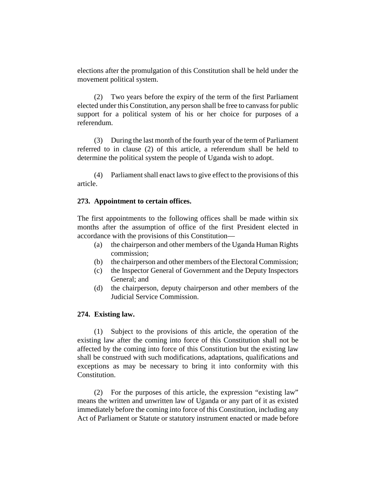elections after the promulgation of this Constitution shall be held under the movement political system.

(2) Two years before the expiry of the term of the first Parliament elected under this Constitution, any person shall be free to canvass for public support for a political system of his or her choice for purposes of a referendum.

(3) During the last month of the fourth year of the term of Parliament referred to in clause (2) of this article, a referendum shall be held to determine the political system the people of Uganda wish to adopt.

(4) Parliament shall enact laws to give effect to the provisions of this article.

#### **273. Appointment to certain offices.**

The first appointments to the following offices shall be made within six months after the assumption of office of the first President elected in accordance with the provisions of this Constitution—

- (a) the chairperson and other members of the Uganda Human Rights commission;
- (b) the chairperson and other members of the Electoral Commission;
- (c) the Inspector General of Government and the Deputy Inspectors General; and
- (d) the chairperson, deputy chairperson and other members of the Judicial Service Commission.

## **274. Existing law.**

(1) Subject to the provisions of this article, the operation of the existing law after the coming into force of this Constitution shall not be affected by the coming into force of this Constitution but the existing law shall be construed with such modifications, adaptations, qualifications and exceptions as may be necessary to bring it into conformity with this Constitution.

(2) For the purposes of this article, the expression "existing law" means the written and unwritten law of Uganda or any part of it as existed immediately before the coming into force of this Constitution, including any Act of Parliament or Statute or statutory instrument enacted or made before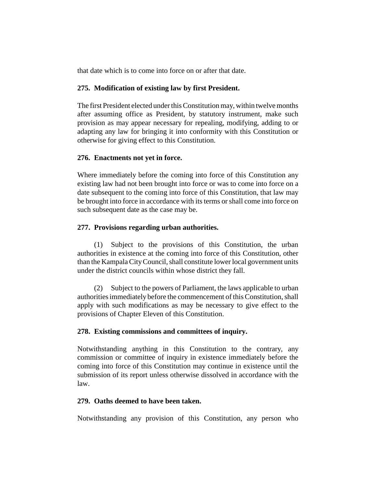that date which is to come into force on or after that date.

# **275. Modification of existing law by first President.**

The first President elected under this Constitution may, within twelve months after assuming office as President, by statutory instrument, make such provision as may appear necessary for repealing, modifying, adding to or adapting any law for bringing it into conformity with this Constitution or otherwise for giving effect to this Constitution.

## **276. Enactments not yet in force.**

Where immediately before the coming into force of this Constitution any existing law had not been brought into force or was to come into force on a date subsequent to the coming into force of this Constitution, that law may be brought into force in accordance with its terms or shall come into force on such subsequent date as the case may be.

# **277. Provisions regarding urban authorities.**

(1) Subject to the provisions of this Constitution, the urban authorities in existence at the coming into force of this Constitution, other than the Kampala City Council, shall constitute lower local government units under the district councils within whose district they fall.

(2) Subject to the powers of Parliament, the laws applicable to urban authorities immediately before the commencement of this Constitution, shall apply with such modifications as may be necessary to give effect to the provisions of Chapter Eleven of this Constitution.

## **278. Existing commissions and committees of inquiry.**

Notwithstanding anything in this Constitution to the contrary, any commission or committee of inquiry in existence immediately before the coming into force of this Constitution may continue in existence until the submission of its report unless otherwise dissolved in accordance with the law.

## **279. Oaths deemed to have been taken.**

Notwithstanding any provision of this Constitution, any person who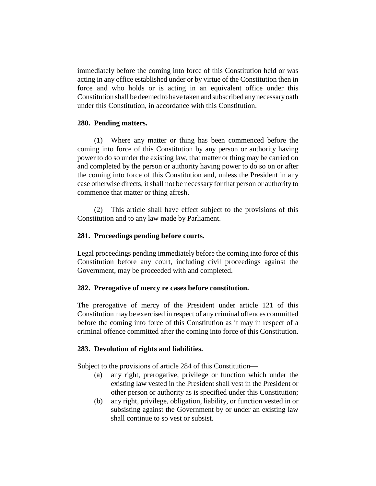immediately before the coming into force of this Constitution held or was acting in any office established under or by virtue of the Constitution then in force and who holds or is acting in an equivalent office under this Constitution shall be deemed to have taken and subscribed any necessary oath under this Constitution, in accordance with this Constitution.

### **280. Pending matters.**

(1) Where any matter or thing has been commenced before the coming into force of this Constitution by any person or authority having power to do so under the existing law, that matter or thing may be carried on and completed by the person or authority having power to do so on or after the coming into force of this Constitution and, unless the President in any case otherwise directs, it shall not be necessary for that person or authority to commence that matter or thing afresh.

(2) This article shall have effect subject to the provisions of this Constitution and to any law made by Parliament.

## **281. Proceedings pending before courts.**

Legal proceedings pending immediately before the coming into force of this Constitution before any court, including civil proceedings against the Government, may be proceeded with and completed.

## **282. Prerogative of mercy re cases before constitution.**

The prerogative of mercy of the President under article 121 of this Constitution may be exercised in respect of any criminal offences committed before the coming into force of this Constitution as it may in respect of a criminal offence committed after the coming into force of this Constitution.

## **283. Devolution of rights and liabilities.**

Subject to the provisions of article 284 of this Constitution—

- (a) any right, prerogative, privilege or function which under the existing law vested in the President shall vest in the President or other person or authority as is specified under this Constitution;
- (b) any right, privilege, obligation, liability, or function vested in or subsisting against the Government by or under an existing law shall continue to so vest or subsist.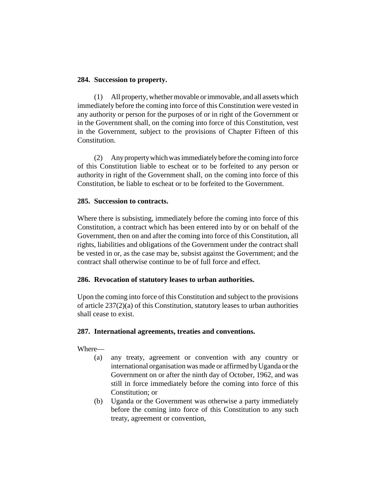## **284. Succession to property.**

(1) All property, whether movable or immovable, and all assets which immediately before the coming into force of this Constitution were vested in any authority or person for the purposes of or in right of the Government or in the Government shall, on the coming into force of this Constitution, vest in the Government, subject to the provisions of Chapter Fifteen of this Constitution.

(2) Any property which was immediately before the coming into force of this Constitution liable to escheat or to be forfeited to any person or authority in right of the Government shall, on the coming into force of this Constitution, be liable to escheat or to be forfeited to the Government.

## **285. Succession to contracts.**

Where there is subsisting, immediately before the coming into force of this Constitution, a contract which has been entered into by or on behalf of the Government, then on and after the coming into force of this Constitution, all rights, liabilities and obligations of the Government under the contract shall be vested in or, as the case may be, subsist against the Government; and the contract shall otherwise continue to be of full force and effect.

# **286. Revocation of statutory leases to urban authorities.**

Upon the coming into force of this Constitution and subject to the provisions of article 237(2)(a) of this Constitution, statutory leases to urban authorities shall cease to exist.

# **287. International agreements, treaties and conventions.**

Where—

- (a) any treaty, agreement or convention with any country or international organisation was made or affirmed by Uganda or the Government on or after the ninth day of October, 1962, and was still in force immediately before the coming into force of this Constitution; or
- (b) Uganda or the Government was otherwise a party immediately before the coming into force of this Constitution to any such treaty, agreement or convention,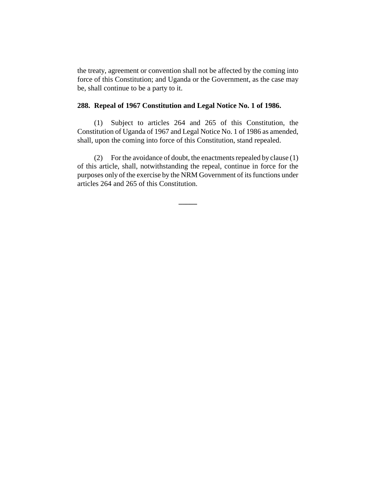the treaty, agreement or convention shall not be affected by the coming into force of this Constitution; and Uganda or the Government, as the case may be, shall continue to be a party to it.

#### **288. Repeal of 1967 Constitution and Legal Notice No. 1 of 1986.**

(1) Subject to articles 264 and 265 of this Constitution, the Constitution of Uganda of 1967 and Legal Notice No. 1 of 1986 as amended, shall, upon the coming into force of this Constitution, stand repealed.

(2) For the avoidance of doubt, the enactments repealed by clause (1) of this article, shall, notwithstanding the repeal, continue in force for the purposes only of the exercise by the NRM Government of its functions under articles 264 and 265 of this Constitution.

**\_\_\_\_\_**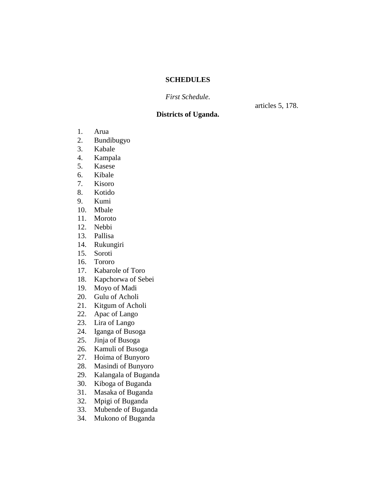### **SCHEDULES**

### *First Schedule*.

**Districts of Uganda.**

articles 5, 178.

- 1. Arua
- 2. Bundibugyo
- 3. Kabale
- 4. Kampala
- 5. Kasese
- 6. Kibale
- 7. Kisoro
- 8. Kotido
- 9. Kumi
- 10. Mbale
- 11. Moroto
- 12. Nebbi
- 13. Pallisa
- 14. Rukungiri
- 15. Soroti
- 16. Tororo
- 17. Kabarole of Toro
- 18. Kapchorwa of Sebei
- 19. Moyo of Madi
- 20. Gulu of Acholi
- 21. Kitgum of Acholi
- 22. Apac of Lango
- 23. Lira of Lango
- 24. Iganga of Busoga
- 25. Jinja of Busoga
- 26. Kamuli of Busoga
- 27. Hoima of Bunyoro
- 28. Masindi of Bunyoro
- 29. Kalangala of Buganda
- 30. Kiboga of Buganda
- 31. Masaka of Buganda
- 32. Mpigi of Buganda
- 33. Mubende of Buganda
- 34. Mukono of Buganda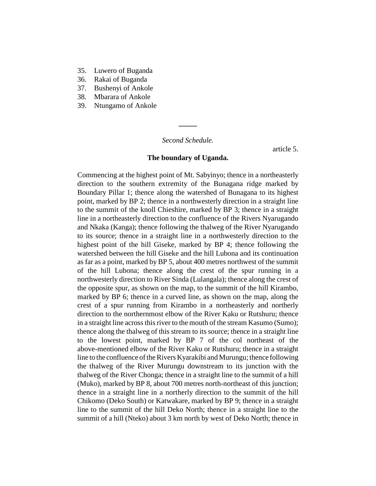- 35. Luwero of Buganda
- 36. Rakai of Buganda
- 37. Bushenyi of Ankole
- 38. Mbarara of Ankole
- 39. Ntungamo of Ankole

#### *Second Schedule.*

**\_\_\_\_\_**

article 5.

#### **The boundary of Uganda.**

Commencing at the highest point of Mt. Sabyinyo; thence in a northeasterly direction to the southern extremity of the Bunagana ridge marked by Boundary Pillar 1; thence along the watershed of Bunagana to its highest point, marked by BP 2; thence in a northwesterly direction in a straight line to the summit of the knoll Chieshire, marked by BP 3; thence in a straight line in a northeasterly direction to the confluence of the Rivers Nyarugando and Nkaka (Kanga); thence following the thalweg of the River Nyarugando to its source; thence in a straight line in a northwesterly direction to the highest point of the hill Giseke, marked by BP 4; thence following the watershed between the hill Giseke and the hill Lubona and its continuation as far as a point, marked by BP 5, about 400 metres northwest of the summit of the hill Lubona; thence along the crest of the spur running in a northwesterly direction to River Sinda (Lulangala); thence along the crest of the opposite spur, as shown on the map, to the summit of the hill Kirambo, marked by BP 6; thence in a curved line, as shown on the map, along the crest of a spur running from Kirambo in a northeasterly and northerly direction to the northernmost elbow of the River Kaku or Rutshuru; thence in a straight line across this river to the mouth of the stream Kasumo (Sumo); thence along the thalweg of this stream to its source; thence in a straight line to the lowest point, marked by BP 7 of the col northeast of the above-mentioned elbow of the River Kaku or Rutshuru; thence in a straight line to the confluence of the Rivers Kyarakibi and Murungu; thence following the thalweg of the River Murungu downstream to its junction with the thalweg of the River Chonga; thence in a straight line to the summit of a hill (Muko), marked by BP 8, about 700 metres north-northeast of this junction; thence in a straight line in a northerly direction to the summit of the hill Chikomo (Deko South) or Katwakare, marked by BP 9; thence in a straight line to the summit of the hill Deko North; thence in a straight line to the summit of a hill (Nteko) about 3 km north by west of Deko North; thence in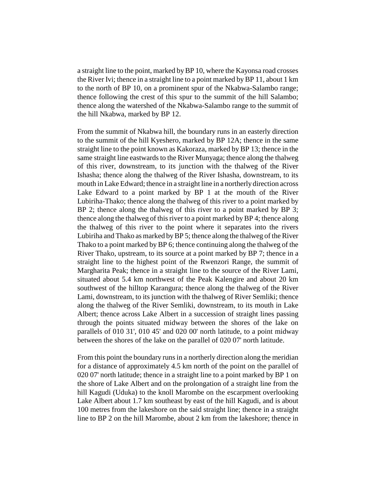a straight line to the point, marked by BP 10, where the Kayonsa road crosses the River Ivi; thence in a straight line to a point marked by BP 11, about 1 km to the north of BP 10, on a prominent spur of the Nkabwa-Salambo range; thence following the crest of this spur to the summit of the hill Salambo; thence along the watershed of the Nkabwa-Salambo range to the summit of the hill Nkabwa, marked by BP 12.

From the summit of Nkabwa hill, the boundary runs in an easterly direction to the summit of the hill Kyeshero, marked by BP 12A; thence in the same straight line to the point known as Kakoraza, marked by BP 13; thence in the same straight line eastwards to the River Munyaga; thence along the thalweg of this river, downstream, to its junction with the thalweg of the River Ishasha; thence along the thalweg of the River Ishasha, downstream, to its mouth in Lake Edward; thence in a straight line in a northerly direction across Lake Edward to a point marked by BP 1 at the mouth of the River Lubiriha-Thako; thence along the thalweg of this river to a point marked by BP 2; thence along the thalweg of this river to a point marked by BP 3; thence along the thalweg of this river to a point marked by BP 4; thence along the thalweg of this river to the point where it separates into the rivers Lubiriha and Thako as marked by BP 5; thence along the thalweg of the River Thako to a point marked by BP 6; thence continuing along the thalweg of the River Thako, upstream, to its source at a point marked by BP 7; thence in a straight line to the highest point of the Rwenzori Range, the summit of Margharita Peak; thence in a straight line to the source of the River Lami, situated about 5.4 km northwest of the Peak Kalengire and about 20 km southwest of the hilltop Karangura; thence along the thalweg of the River Lami, downstream, to its junction with the thalweg of River Semliki; thence along the thalweg of the River Semliki, downstream, to its mouth in Lake Albert; thence across Lake Albert in a succession of straight lines passing through the points situated midway between the shores of the lake on parallels of 010 31', 010 45' and 020 00' north latitude, to a point midway between the shores of the lake on the parallel of 020 07' north latitude.

From this point the boundary runs in a northerly direction along the meridian for a distance of approximately 4.5 km north of the point on the parallel of 020 07' north latitude; thence in a straight line to a point marked by BP 1 on the shore of Lake Albert and on the prolongation of a straight line from the hill Kagudi (Uduka) to the knoll Marombe on the escarpment overlooking Lake Albert about 1.7 km southeast by east of the hill Kagudi, and is about 100 metres from the lakeshore on the said straight line; thence in a straight line to BP 2 on the hill Marombe, about 2 km from the lakeshore; thence in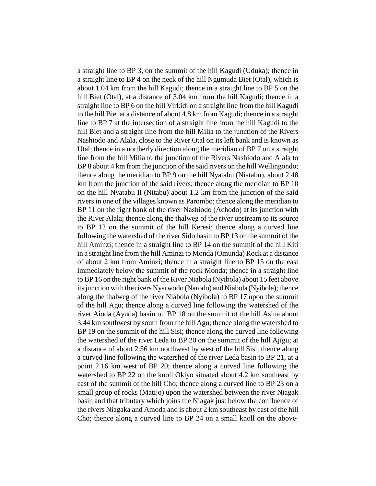a straight line to BP 3, on the summit of the hill Kagudi (Uduka); thence in a straight line to BP 4 on the neck of the hill Ngumuda Biet (Otal), which is about 1.04 km from the hill Kagudi; thence in a straight line to BP 5 on the hill Biet (Otal), at a distance of 3.04 km from the hill Kagudi; thence in a straight line to BP 6 on the hill Virkidi on a straight line from the hill Kagudi to the hill Biet at a distance of about 4.8 km from Kagudi; thence in a straight line to BP 7 at the intersection of a straight line from the hill Kagudi to the hill Biet and a straight line from the hill Milia to the junction of the Rivers Nashiodo and Alala, close to the River Otal on its left bank and is known as Utal; thence in a northerly direction along the meridian of BP 7 on a straight line from the hill Milia to the junction of the Rivers Nashiodo and Alala to BP 8 about 4 km from the junction of the said rivers on the hill Wellingondo; thence along the meridian to BP 9 on the hill Nyatabu (Niatabu), about 2.48 km from the junction of the said rivers; thence along the meridian to BP 10 on the hill Nyatabu II (Nitabu) about 1.2 km from the junction of the said rivers in one of the villages known as Parombo; thence along the meridian to BP 11 on the right bank of the river Nashiodo (Achodo) at its junction with the River Alala; thence along the thalweg of the river upstream to its source to BP 12 on the summit of the hill Keresi; thence along a curved line following the watershed of the river Sido basin to BP 13 on the summit of the hill Aminzi; thence in a straight line to BP 14 on the summit of the hill Kiti in a straight line from the hill Aminzi to Monda (Omunda) Rock at a distance of about 2 km from Aminzi; thence in a straight line to BP 15 on the east immediately below the summit of the rock Monda; thence in a straight line to BP 16 on the right bank of the River Niabola (Nyibola) about 15 feet above its junction with the rivers Nyarwodo (Narodo) and Niabola (Nyibola); thence along the thalweg of the river Niabola (Nyibola) to BP 17 upon the summit of the hill Agu; thence along a curved line following the watershed of the river Aioda (Ayuda) basin on BP 18 on the summit of the hill Asina about 3.44 km southwest by south from the hill Agu; thence along the watershed to BP 19 on the summit of the hill Sisi; thence along the curved line following the watershed of the river Leda to BP 20 on the summit of the hill Ajigu; at a distance of about 2.56 km northwest by west of the hill Sisi; thence along a curved line following the watershed of the river Leda basin to BP 21, at a point 2.16 km west of BP 20; thence along a curved line following the watershed to BP 22 on the knoll Okiyo situated about 4.2 km southeast by east of the summit of the hill Cho; thence along a curved line to BP 23 on a small group of rocks (Matijo) upon the watershed between the river Niagak basin and that tributary which joins the Niagak just below the confluence of the rivers Niagaka and Amoda and is about 2 km southeast by east of the hill Cho; thence along a curved line to BP 24 on a small knoll on the above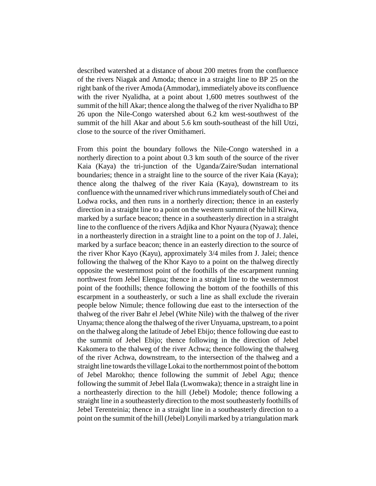described watershed at a distance of about 200 metres from the confluence of the rivers Niagak and Amoda; thence in a straight line to BP 25 on the right bank of the river Amoda (Ammodar), immediately above its confluence with the river Nyalidha, at a point about 1,600 metres southwest of the summit of the hill Akar; thence along the thalweg of the river Nyalidha to BP 26 upon the Nile-Congo watershed about 6.2 km west-southwest of the summit of the hill Akar and about 5.6 km south-southeast of the hill Utzi, close to the source of the river Omithameri.

From this point the boundary follows the Nile-Congo watershed in a northerly direction to a point about 0.3 km south of the source of the river Kaia (Kaya) the tri-junction of the Uganda/Zaire/Sudan international boundaries; thence in a straight line to the source of the river Kaia (Kaya); thence along the thalweg of the river Kaia (Kaya), downstream to its confluence with the unnamed river which runs immediately south of Chei and Lodwa rocks, and then runs in a northerly direction; thence in an easterly direction in a straight line to a point on the western summit of the hill Kirwa, marked by a surface beacon; thence in a southeasterly direction in a straight line to the confluence of the rivers Adjika and Khor Nyaura (Nyawa); thence in a northeasterly direction in a straight line to a point on the top of J. Jalei, marked by a surface beacon; thence in an easterly direction to the source of the river Khor Kayo (Kayu), approximately 3/4 miles from J. Jalei; thence following the thalweg of the Khor Kayo to a point on the thalweg directly opposite the westernmost point of the foothills of the escarpment running northwest from Jebel Elengua; thence in a straight line to the westernmost point of the foothills; thence following the bottom of the foothills of this escarpment in a southeasterly, or such a line as shall exclude the riverain people below Nimule; thence following due east to the intersection of the thalweg of the river Bahr el Jebel (White Nile) with the thalweg of the river Unyama; thence along the thalweg of the river Unyuama, upstream, to a point on the thalweg along the latitude of Jebel Ebijo; thence following due east to the summit of Jebel Ebijo; thence following in the direction of Jebel Kakomera to the thalweg of the river Achwa; thence following the thalweg of the river Achwa, downstream, to the intersection of the thalweg and a straight line towards the village Lokai to the northernmost point of the bottom of Jebel Marokho; thence following the summit of Jebel Agu; thence following the summit of Jebel Ilala (Lwomwaka); thence in a straight line in a northeasterly direction to the hill (Jebel) Modole; thence following a straight line in a southeasterly direction to the most southeasterly foothills of Jebel Terenteinia; thence in a straight line in a southeasterly direction to a point on the summit of the hill (Jebel) Lonyili marked by a triangulation mark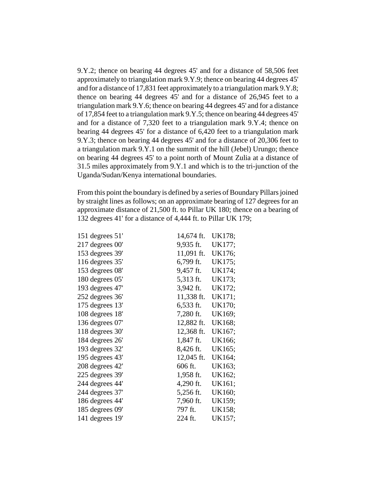9.Y.2; thence on bearing 44 degrees 45' and for a distance of 58,506 feet approximately to triangulation mark 9.Y.9; thence on bearing 44 degrees 45' and for a distance of 17,831 feet approximately to a triangulation mark 9.Y.8; thence on bearing 44 degrees 45' and for a distance of 26,945 feet to a triangulation mark 9.Y.6; thence on bearing 44 degrees 45' and for a distance of 17,854 feet to a triangulation mark 9.Y.5; thence on bearing 44 degrees 45' and for a distance of 7,320 feet to a triangulation mark 9.Y.4; thence on bearing 44 degrees 45' for a distance of 6,420 feet to a triangulation mark 9.Y.3; thence on bearing 44 degrees 45' and for a distance of 20,306 feet to a triangulation mark 9.Y.1 on the summit of the hill (Jebel) Urungo; thence on bearing 44 degrees 45' to a point north of Mount Zulia at a distance of 31.5 miles approximately from 9.Y.1 and which is to the tri-junction of the Uganda/Sudan/Kenya international boundaries.

From this point the boundary is defined by a series of Boundary Pillars joined by straight lines as follows; on an approximate bearing of 127 degrees for an approximate distance of 21,500 ft. to Pillar UK 180; thence on a bearing of 132 degrees 41' for a distance of 4,444 ft. to Pillar UK 179;

| 151 degrees $51'$   | 14,674 ft.   | UK178; |
|---------------------|--------------|--------|
| $217$ degrees $00'$ | 9,935 ft.    | UK177; |
| 153 degrees 39'     | 11,091 ft.   | UK176; |
| 116 degrees $35'$   | $6,799$ ft.  | UK175; |
| 153 degrees 08'     | 9,457 ft.    | UK174; |
| 180 degrees 05'     | 5,313 ft.    | UK173; |
| 193 degrees $47'$   | 3,942 ft.    | UK172; |
| 252 degrees 36'     | 11,338 ft.   | UK171; |
| 175 degrees 13'     | $6,533$ ft.  | UK170; |
| 108 degrees 18'     | 7,280 ft.    | UK169; |
| 136 degrees 07'     | 12,882 ft.   | UK168; |
| 118 degrees $30'$   | 12,368 ft.   | UK167; |
| 184 degrees 26'     | $1,847$ ft.  | UK166; |
| 193 degrees 32'     | 8,426 ft.    | UK165; |
| 195 degrees 43'     | $12,045$ ft. | UK164; |
| 208 degrees 42'     | 606 ft.      | UK163; |
| 225 degrees 39'     | 1,958 ft.    | UK162; |
| 244 degrees 44'     | 4,290 ft.    | UK161; |
| 244 degrees 37'     | 5,256 ft.    | UK160; |
| 186 degrees 44'     | 7,960 ft.    | UK159; |
| 185 degrees 09'     | 797 ft.      | UK158; |
| 141 degrees $19'$   | 224 ft.      | UK157; |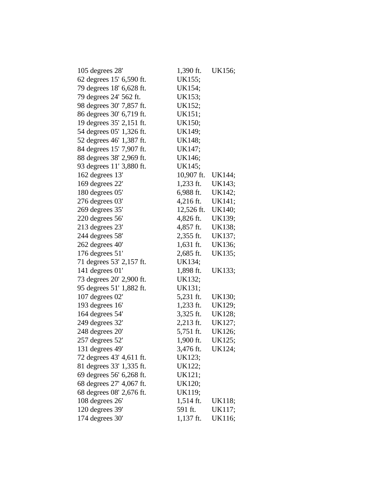| $105$ degrees $28'$      | 1,390 ft.    | UK156; |
|--------------------------|--------------|--------|
| 62 degrees 15' 6,590 ft. | UK155;       |        |
| 79 degrees 18' 6,628 ft. | UK154;       |        |
| 79 degrees 24' 562 ft.   | UK153;       |        |
| 98 degrees 30' 7,857 ft. | UK152;       |        |
| 86 degrees 30' 6,719 ft. | UK151;       |        |
| 19 degrees 35' 2,151 ft. | UK150;       |        |
| 54 degrees 05' 1,326 ft. | UK149;       |        |
| 52 degrees 46' 1,387 ft. | UK148;       |        |
| 84 degrees 15' 7,907 ft. | UK147;       |        |
| 88 degrees 38' 2,969 ft. | UK146;       |        |
| 93 degrees 11' 3,880 ft. | UK145;       |        |
| 162 degrees 13'          | $10,907$ ft. | UK144; |
| 169 degrees 22'          | 1,233 ft.    | UK143; |
| 180 degrees 05'          | 6,988 ft.    | UK142; |
| $276$ degrees $03'$      | $4,216$ ft.  | UK141; |
| 269 degrees 35'          | 12,526 ft.   | UK140; |
| $220$ degrees $56'$      | 4,826 ft.    | UK139; |
| 213 degrees 23'          | 4,857 ft.    | UK138; |
| 244 degrees 58'          | 2,355 ft.    | UK137; |
| $262$ degrees $40'$      | $1,631$ ft.  | UK136; |
| 176 degrees $51'$        | $2,685$ ft.  | UK135; |
| 71 degrees 53' 2,157 ft. | UK134;       |        |
| 141 degrees $01'$        | 1,898 ft.    | UK133; |
| 73 degrees 20' 2,900 ft. | UK132;       |        |
| 95 degrees 51' 1,882 ft. | UK131;       |        |
| $107$ degrees $02'$      | 5,231 ft.    | UK130; |
| 193 degrees 16'          | $1,233$ ft.  | UK129; |
| 164 degrees 54'          | 3,325 ft.    | UK128; |
| 249 degrees 32'          | 2,213 ft.    | UK127; |
| 248 degrees 20'          | 5,751 ft.    | UK126; |
| 257 degrees 52'          | $1,900$ ft.  | UK125; |
| 131 degrees 49'          | 3,476 ft.    | UK124; |
| 72 degrees 43' 4,611 ft. | UK123;       |        |
| 81 degrees 33' 1,335 ft. | UK122;       |        |
| 69 degrees 56' 6,268 ft. | UK121;       |        |
| 68 degrees 27' 4,067 ft. | UK120;       |        |
| 68 degrees 08' 2,676 ft. | UK119;       |        |
| 108 degrees 26'          | $1,514$ ft.  | UK118; |
| 120 degrees 39'          | 591 ft.      | UK117; |
| 174 degrees 30'          | $1,137$ ft.  | UK116; |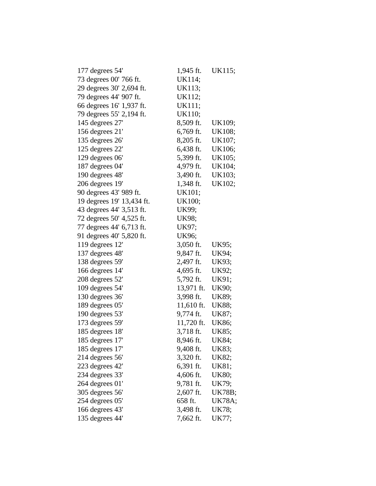| $177$ degrees $54'$       | $1,945$ ft. | UK115;        |
|---------------------------|-------------|---------------|
| 73 degrees 00' 766 ft.    | UK114;      |               |
| 29 degrees 30' 2,694 ft.  | UK113;      |               |
| 79 degrees 44' 907 ft.    | UK112;      |               |
| 66 degrees 16' 1,937 ft.  | UK111;      |               |
| 79 degrees 55' 2,194 ft.  | UK110;      |               |
| 145 degrees 27'           | 8,509 ft.   | UK109;        |
| 156 degrees 21'           | $6,769$ ft. | UK108;        |
| 135 degrees 26'           | 8,205 ft.   | UK107;        |
| 125 degrees 22'           | 6,438 ft.   | UK106;        |
| 129 degrees 06'           | 5,399 ft.   | UK105;        |
| 187 degrees 04'           | 4,979 ft.   | UK104;        |
| 190 degrees 48'           | 3,490 ft.   | UK103;        |
| 206 degrees 19'           | 1,348 ft.   | UK102;        |
| 90 degrees 43' 989 ft.    | UK101;      |               |
| 19 degrees 19' 13,434 ft. | UK100;      |               |
| 43 degrees 44' 3,513 ft.  | UK99;       |               |
| 72 degrees 50' 4,525 ft.  | UK98;       |               |
| 77 degrees 44' 6,713 ft.  | UK97;       |               |
| 91 degrees 40' 5,820 ft.  | UK96;       |               |
| 119 degrees $12'$         | 3,050 ft.   | UK95;         |
| 137 degrees 48'           | 9,847 ft.   | UK94;         |
| 138 degrees 59'           | 2,497 ft.   | UK93;         |
| 166 degrees 14'           | 4,695 ft.   | UK92;         |
| 208 degrees 52'           | 5,792 ft.   | UK91;         |
| 109 degrees 54'           | 13,971 ft.  | UK90;         |
| 130 degrees 36'           | 3,998 ft.   | UK89;         |
| 189 degrees 05'           | 11,610 ft.  | <b>UK88;</b>  |
| 190 degrees 53'           | 9,774 ft.   | UK87;         |
| 173 degrees 59'           | 11,720 ft.  | UK86;         |
| 185 degrees 18'           | 3,718 ft.   | UK85;         |
| 185 degrees 17'           | 8,946 ft.   | UK84;         |
| 185 degrees 17'           | 9,408 ft.   | UK83;         |
| 214 degrees 56'           | 3,320 ft.   | UK82;         |
| $223$ degrees $42'$       | 6,391 ft.   | UK81;         |
| 234 degrees 33'           | 4,606 ft.   | UK80;         |
| $264$ degrees $01'$       | 9,781 ft.   | UK79;         |
| 305 degrees 56'           | 2,607 ft.   | <b>UK78B;</b> |
| 254 degrees 05'           | 658 ft.     | <b>UK78A;</b> |
| 166 degrees 43'           | 3,498 ft.   | UK78;         |
| 135 degrees 44'           | 7,662 ft.   | UK77;         |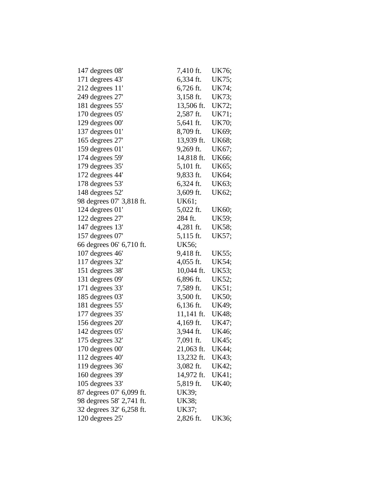| $147$ degrees $08'$      | 7,410 ft.    | UK76; |
|--------------------------|--------------|-------|
| 171 degrees $43'$        | 6,334 ft.    | UK75; |
| $212$ degrees $11'$      | 6,726 ft.    | UK74; |
| 249 degrees 27'          | 3,158 ft.    | UK73; |
| 181 degrees 55'          | 13,506 ft.   | UK72; |
| 170 degrees 05'          | 2,587 ft.    | UK71; |
| 129 degrees 00'          | 5,641 ft.    | UK70; |
| 137 degrees $01'$        | 8,709 ft.    | UK69; |
| 165 degrees 27'          | 13,939 ft.   | UK68; |
| 159 degrees $01'$        | 9,269 ft.    | UK67; |
| 174 degrees 59'          | 14,818 ft.   | UK66; |
| 179 degrees 35'          | 5,101 ft.    | UK65; |
| 172 degrees 44'          | 9,833 ft.    | UK64; |
| 178 degrees 53'          | 6,324 ft.    | UK63; |
| 148 degrees 52'          | 3,609 ft.    | UK62; |
| 98 degrees 07' 3,818 ft. | UK61;        |       |
| 124 degrees $01'$        | 5,022 ft.    | UK60; |
| 122 degrees 27'          | 284 ft.      | UK59; |
| 147 degrees 13'          | 4,281 ft.    | UK58; |
| 157 degrees 07'          | 5,115 ft.    | UK57; |
| 66 degrees 06' 6,710 ft. | UK56;        |       |
| 107 degrees 46'          | 9,418 ft.    | UK55; |
| 117 degrees $32'$        | $4,055$ ft.  | UK54; |
| 151 degrees 38'          | 10,044 ft.   | UK53; |
| 131 degrees $09'$        | 6,896 ft.    | UK52; |
| $171$ degrees $33'$      | 7,589 ft.    | UK51; |
| 185 degrees 03'          | 3,500 ft.    | UK50; |
| 181 degrees 55'          | $6,136$ ft.  | UK49; |
| $177$ degrees $35'$      | $11,141$ ft. | UK48; |
| 156 degrees 20'          | $4,169$ ft.  | UK47; |
| 142 degrees 05'          | 3,944 ft.    | UK46; |
| 175 degrees 32'          | 7,091 ft.    | UK45; |
| $170$ degrees $00'$      | 21,063 ft.   | UK44; |
| 112 degrees 40'          | 13,232 ft.   | UK43; |
| 119 degrees 36'          | 3,082 ft.    | UK42; |
| 160 degrees 39'          | 14,972 ft.   | UK41; |
| 105 degrees 33'          | 5,819 ft.    | UK40; |
| 87 degrees 07' 6,099 ft. | UK39;        |       |
| 98 degrees 58' 2,741 ft. | <b>UK38;</b> |       |
| 32 degrees 32' 6,258 ft. | UK37;        |       |
| 120 degrees 25'          | 2,826 ft.    | UK36; |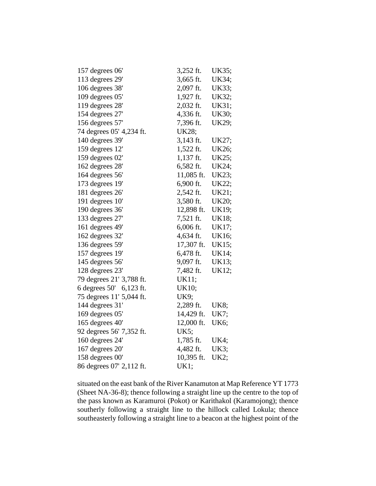| 157 degrees $06'$        | 3,252 ft.    | UK35; |
|--------------------------|--------------|-------|
| 113 degrees 29'          | 3,665 ft.    | UK34; |
| 106 degrees 38'          | 2,097 ft.    | UK33; |
| 109 degrees 05'          | 1,927 ft.    | UK32; |
| 119 degrees 28'          | 2,032 ft.    | UK31; |
| 154 degrees 27'          | 4,336 ft.    | UK30; |
| 156 degrees 57'          | 7,396 ft.    | UK29; |
| 74 degrees 05' 4,234 ft. | UK28;        |       |
| 140 degrees 39'          | 3,143 ft.    | UK27; |
| 159 degrees 12'          | 1,522 ft.    | UK26; |
| 159 degrees 02'          | 1,137 ft.    | UK25; |
| 162 degrees 28'          | 6,582 ft.    | UK24; |
| 164 degrees 56'          | 11,085 ft.   | UK23; |
| 173 degrees 19'          | 6,900 ft.    | UK22; |
| 181 degrees 26'          | 2,542 ft.    | UK21; |
| 191 degrees $10'$        | 3,580 ft.    | UK20; |
| 190 degrees 36'          | 12,898 ft.   | UK19; |
| 133 degrees 27'          | 7,521 ft.    | UK18; |
| 161 degrees 49'          | 6,006 ft.    | UK17; |
| 162 degrees 32'          | 4,634 ft.    | UK16; |
| 136 degrees 59'          | 17,307 ft.   | UK15; |
| 157 degrees 19'          | 6,478 ft.    | UK14; |
| 145 degrees 56'          | 9,097 ft.    | UK13; |
| 128 degrees 23'          | 7,482 ft.    | UK12; |
| 79 degrees 21' 3,788 ft. | UK11;        |       |
| 6 degrees 50' 6,123 ft.  | <b>UK10;</b> |       |
| 75 degrees 11' 5,044 ft. | UK9;         |       |
| 144 degrees 31'          | 2,289 ft.    | UK8;  |
| 169 degrees 05'          | 14,429 ft.   | UK7;  |
| 165 degrees 40'          | 12,000 ft.   | UK6;  |
| 92 degrees 56' 7,352 ft. | UK5;         |       |
| 160 degrees 24'          | 1,785 ft.    | UK4;  |
| 167 degrees 20'          | 4,482 ft.    | UK3;  |
| 158 degrees 00'          | 10,395 ft.   | UK2;  |
| 86 degrees 07' 2,112 ft. | UK1;         |       |

situated on the east bank of the River Kanamuton at Map Reference YT 1773 (Sheet NA-36-8); thence following a straight line up the centre to the top of the pass known as Karamuroi (Pokot) or Karithakol (Karamojong); thence southerly following a straight line to the hillock called Lokula; thence southeasterly following a straight line to a beacon at the highest point of the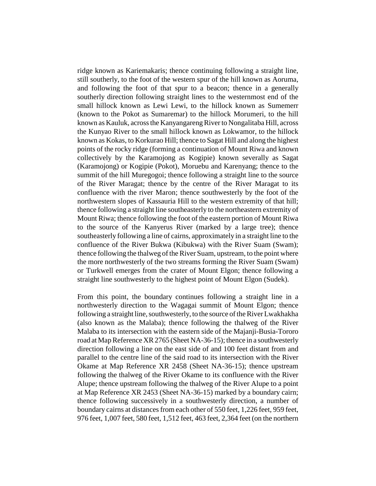ridge known as Kariemakaris; thence continuing following a straight line, still southerly, to the foot of the western spur of the hill known as Aoruma, and following the foot of that spur to a beacon; thence in a generally southerly direction following straight lines to the westernmost end of the small hillock known as Lewi Lewi, to the hillock known as Sumemerr (known to the Pokot as Sumaremar) to the hillock Morumeri, to the hill known as Kauluk, across the Kanyangareng River to Nongalitaba Hill, across the Kunyao River to the small hillock known as Lokwamor, to the hillock known as Kokas, to Korkurao Hill; thence to Sagat Hill and along the highest points of the rocky ridge (forming a continuation of Mount Riwa and known collectively by the Karamojong as Kogipie) known severally as Sagat (Karamojong) or Kogipie (Pokot), Moruebu and Karenyang; thence to the summit of the hill Muregogoi; thence following a straight line to the source of the River Maragat; thence by the centre of the River Maragat to its confluence with the river Maron; thence southwesterly by the foot of the northwestern slopes of Kassauria Hill to the western extremity of that hill; thence following a straight line southeasterly to the northeastern extremity of Mount Riwa; thence following the foot of the eastern portion of Mount Riwa to the source of the Kanyerus River (marked by a large tree); thence southeasterly following a line of cairns, approximately in a straight line to the confluence of the River Bukwa (Kibukwa) with the River Suam (Swam); thence following the thalweg of the River Suam, upstream, to the point where the more northwesterly of the two streams forming the River Suam (Swam) or Turkwell emerges from the crater of Mount Elgon; thence following a straight line southwesterly to the highest point of Mount Elgon (Sudek).

From this point, the boundary continues following a straight line in a northwesterly direction to the Wagagai summit of Mount Elgon; thence following a straight line, southwesterly, to the source of the River Lwakhakha (also known as the Malaba); thence following the thalweg of the River Malaba to its intersection with the eastern side of the Majanji-Busia-Tororo road at Map Reference XR 2765 (Sheet NA-36-15); thence in a southwesterly direction following a line on the east side of and 100 feet distant from and parallel to the centre line of the said road to its intersection with the River Okame at Map Reference XR 2458 (Sheet NA-36-15); thence upstream following the thalweg of the River Okame to its confluence with the River Alupe; thence upstream following the thalweg of the River Alupe to a point at Map Reference XR 2453 (Sheet NA-36-15) marked by a boundary cairn; thence following successively in a southwesterly direction, a number of boundary cairns at distances from each other of 550 feet, 1,226 feet, 959 feet, 976 feet, 1,007 feet, 580 feet, 1,512 feet, 463 feet, 2,364 feet (on the northern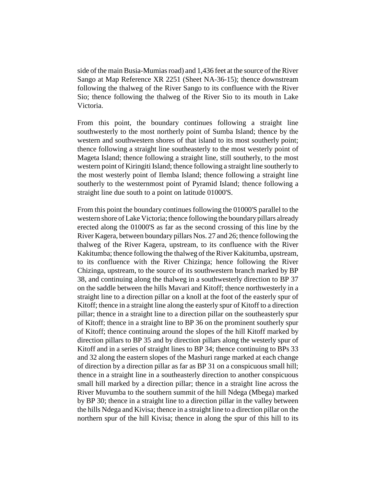side of the main Busia-Mumias road) and 1,436 feet at the source of the River Sango at Map Reference XR 2251 (Sheet NA-36-15); thence downstream following the thalweg of the River Sango to its confluence with the River Sio; thence following the thalweg of the River Sio to its mouth in Lake Victoria.

From this point, the boundary continues following a straight line southwesterly to the most northerly point of Sumba Island; thence by the western and southwestern shores of that island to its most southerly point; thence following a straight line southeasterly to the most westerly point of Mageta Island; thence following a straight line, still southerly, to the most western point of Kiringiti Island; thence following a straight line southerly to the most westerly point of Ilemba Island; thence following a straight line southerly to the westernmost point of Pyramid Island; thence following a straight line due south to a point on latitude 01000'S.

From this point the boundary continues following the 01000'S parallel to the western shore of Lake Victoria; thence following the boundary pillars already erected along the 01000'S as far as the second crossing of this line by the River Kagera, between boundary pillars Nos. 27 and 26; thence following the thalweg of the River Kagera, upstream, to its confluence with the River Kakitumba; thence following the thalweg of the River Kakitumba, upstream, to its confluence with the River Chizinga; hence following the River Chizinga, upstream, to the source of its southwestern branch marked by BP 38, and continuing along the thalweg in a southwesterly direction to BP 37 on the saddle between the hills Mavari and Kitoff; thence northwesterly in a straight line to a direction pillar on a knoll at the foot of the easterly spur of Kitoff; thence in a straight line along the easterly spur of Kitoff to a direction pillar; thence in a straight line to a direction pillar on the southeasterly spur of Kitoff; thence in a straight line to BP 36 on the prominent southerly spur of Kitoff; thence continuing around the slopes of the hill Kitoff marked by direction pillars to BP 35 and by direction pillars along the westerly spur of Kitoff and in a series of straight lines to BP 34; thence continuing to BPs 33 and 32 along the eastern slopes of the Mashuri range marked at each change of direction by a direction pillar as far as BP 31 on a conspicuous small hill; thence in a straight line in a southeasterly direction to another conspicuous small hill marked by a direction pillar; thence in a straight line across the River Muvumba to the southern summit of the hill Ndega (Mbega) marked by BP 30; thence in a straight line to a direction pillar in the valley between the hills Ndega and Kivisa; thence in a straight line to a direction pillar on the northern spur of the hill Kivisa; thence in along the spur of this hill to its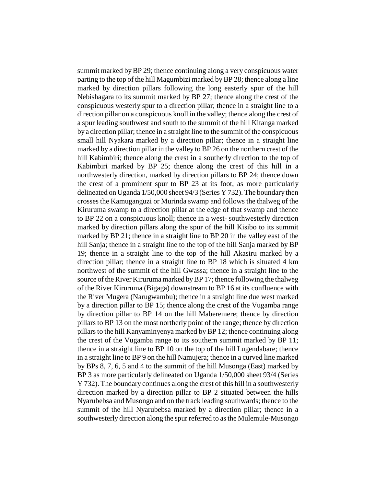summit marked by BP 29; thence continuing along a very conspicuous water parting to the top of the hill Magumbizi marked by BP 28; thence along a line marked by direction pillars following the long easterly spur of the hill Nebishagara to its summit marked by BP 27; thence along the crest of the conspicuous westerly spur to a direction pillar; thence in a straight line to a direction pillar on a conspicuous knoll in the valley; thence along the crest of a spur leading southwest and south to the summit of the hill Kitanga marked by a direction pillar; thence in a straight line to the summit of the conspicuous small hill Nyakara marked by a direction pillar; thence in a straight line marked by a direction pillar in the valley to BP 26 on the northern crest of the hill Kabimbiri; thence along the crest in a southerly direction to the top of Kabimbiri marked by BP 25; thence along the crest of this hill in a northwesterly direction, marked by direction pillars to BP 24; thence down the crest of a prominent spur to BP 23 at its foot, as more particularly delineated on Uganda 1/50,000 sheet 94/3 (Series Y 732). The boundary then crosses the Kamuganguzi or Murinda swamp and follows the thalweg of the Kiruruma swamp to a direction pillar at the edge of that swamp and thence to BP 22 on a conspicuous knoll; thence in a west- southwesterly direction marked by direction pillars along the spur of the hill Kisibo to its summit marked by BP 21; thence in a straight line to BP 20 in the valley east of the hill Sanja; thence in a straight line to the top of the hill Sanja marked by BP 19; thence in a straight line to the top of the hill Akasiru marked by a direction pillar; thence in a straight line to BP 18 which is situated 4 km northwest of the summit of the hill Gwassa; thence in a straight line to the source of the River Kiruruma marked by BP 17; thence following the thalweg of the River Kiruruma (Bigaga) downstream to BP 16 at its confluence with the River Mugera (Narugwambu); thence in a straight line due west marked by a direction pillar to BP 15; thence along the crest of the Vugamba range by direction pillar to BP 14 on the hill Maberemere; thence by direction pillars to BP 13 on the most northerly point of the range; thence by direction pillars to the hill Kanyaminyenya marked by BP 12; thence continuing along the crest of the Vugamba range to its southern summit marked by BP 11; thence in a straight line to BP 10 on the top of the hill Lugendabare; thence in a straight line to BP 9 on the hill Namujera; thence in a curved line marked by BPs 8, 7, 6, 5 and 4 to the summit of the hill Musonga (East) marked by BP 3 as more particularly delineated on Uganda 1/50,000 sheet 93/4 (Series Y 732). The boundary continues along the crest of this hill in a southwesterly direction marked by a direction pillar to BP 2 situated between the hills Nyarubebsa and Musongo and on the track leading southwards; thence to the summit of the hill Nyarubebsa marked by a direction pillar; thence in a southwesterly direction along the spur referred to as the Mulemule-Musongo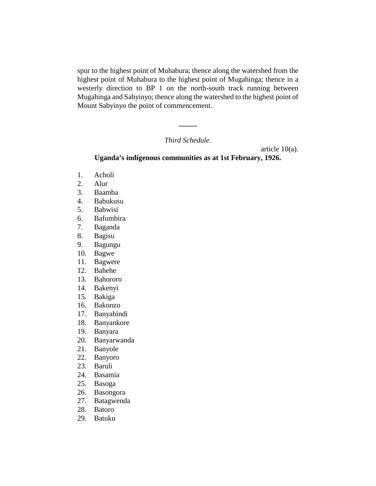spur to the highest point of Muhabura; thence along the watershed from the highest point of Muhabura to the highest point of Mugahinga; thence in a westerly direction to BP 1 on the north-south track running between Mugahinga and Sabyinyo; thence along the watershed to the highest point of Mount Sabyinyo the point of commencement.

# *Third Schedule.*

**\_\_\_\_\_**

article 10(a).

### **Uganda's indigenous communities as at 1st February, 1926.**

- 1. Acholi
- 2. Alur
- 3. Baamba
- 4. Babukusu
- 5. Babwisi
- 6. Bafumbira
- 7. Baganda
- 8. Bagisu
- 9. Bagungu
- 10. Bagwe
- 11. Bagwere
- 12. Bahehe
- 13. Bahororo
- 14. Bakenyi
- 15. Bakiga
- 16. Bakonzo
- 17. Banyabindi
- 18. Banyankore
- 19. Banyara
- 20. Banyarwanda
- 21. Banyole
- 22. Banyoro
- 23. Baruli
- 24. Basamia
- 25. Basoga
- 26. Basongora
- 27. Batagwenda
- 28. Batoro
- 29. Batuku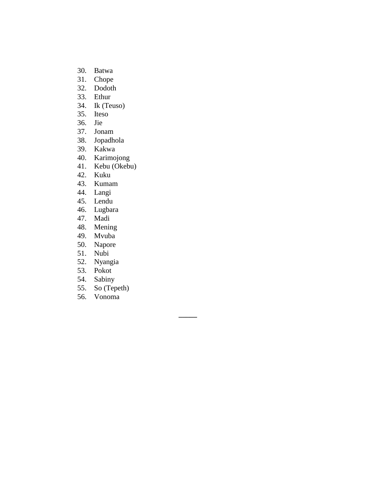- 30. Batwa
- 31. Chope
- 32. Dodoth
- 33. Ethur
- 34. Ik (Teuso)
- 35. Iteso
- 36. Jie
- 37. Jonam
- 38. Jopadhola
- 39. Kakwa
- 40. Karimojong
- 41. Kebu (Okebu)
- 42. Kuku
- 43. Kumam
- 44. Langi
- 45. Lendu
- 46. Lugbara
- 47. Madi
- 48. Mening
- 49. Mvuba
- 50. Napore
- 51. Nubi
- 52. Nyangia
- 53. Pokot
- 54. Sabiny
- 55. So (Tepeth)

**\_\_\_\_\_**

56. Vonoma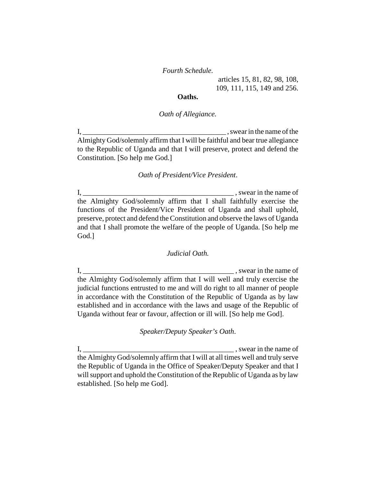*Fourth Schedule.*

articles 15, 81, 82, 98, 108, 109, 111, 115, 149 and 256.

### **Oaths.**

# *Oath of Allegiance.*

I, \_\_\_\_\_\_\_\_\_\_\_\_\_\_\_\_\_\_\_\_\_\_\_\_\_\_\_\_\_\_\_\_\_\_\_\_\_\_\_ , swear in the name of the Almighty God/solemnly affirm that I will be faithful and bear true allegiance to the Republic of Uganda and that I will preserve, protect and defend the Constitution. [So help me God.]

### *Oath of President/Vice President*.

I, swear in the name of the Almighty God/solemnly affirm that I shall faithfully exercise the functions of the President/Vice President of Uganda and shall uphold, preserve, protect and defend the Constitution and observe the laws of Uganda and that I shall promote the welfare of the people of Uganda. [So help me God.]

### *Judicial Oath.*

I, we say in the name of the Almighty God/solemnly affirm that I will well and truly exercise the judicial functions entrusted to me and will do right to all manner of people in accordance with the Constitution of the Republic of Uganda as by law established and in accordance with the laws and usage of the Republic of Uganda without fear or favour, affection or ill will. [So help me God].

*Speaker/Deputy Speaker's Oath*.

I, \_\_\_\_\_\_\_\_\_\_\_\_\_\_\_\_\_\_\_\_\_\_\_\_\_\_\_\_\_\_\_\_\_\_\_\_\_\_\_\_\_ , swear in the name of the Almighty God/solemnly affirm that I will at all times well and truly serve the Republic of Uganda in the Office of Speaker/Deputy Speaker and that I will support and uphold the Constitution of the Republic of Uganda as by law established. [So help me God].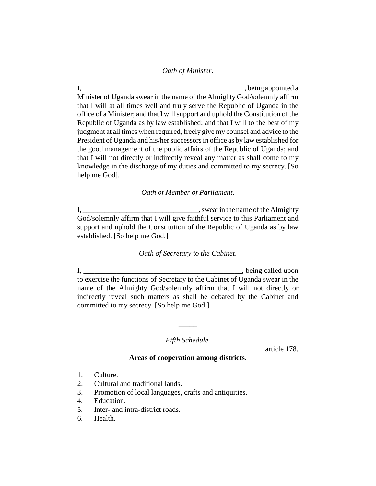*Oath of Minister*.

I, \_\_\_\_\_\_\_\_\_\_\_\_\_\_\_\_\_\_\_\_\_\_\_\_\_\_\_\_\_\_\_\_\_\_\_\_\_\_\_\_\_\_\_\_, being appointed a Minister of Uganda swear in the name of the Almighty God/solemnly affirm that I will at all times well and truly serve the Republic of Uganda in the office of a Minister; and that I will support and uphold the Constitution of the Republic of Uganda as by law established; and that I will to the best of my judgment at all times when required, freely give my counsel and advice to the President of Uganda and his/her successors in office as by law established for the good management of the public affairs of the Republic of Uganda; and that I will not directly or indirectly reveal any matter as shall come to my knowledge in the discharge of my duties and committed to my secrecy. [So help me God].

# *Oath of Member of Parliament*.

I, swear in the name of the Almighty God/solemnly affirm that I will give faithful service to this Parliament and support and uphold the Constitution of the Republic of Uganda as by law established. [So help me God.]

*Oath of Secretary to the Cabinet*.

I, the same state of the state of the state of the state of the state of the state of the state of the state of the state of the state of the state of the state of the state of the state of the state of the state of the st to exercise the functions of Secretary to the Cabinet of Uganda swear in the name of the Almighty God/solemnly affirm that I will not directly or indirectly reveal such matters as shall be debated by the Cabinet and committed to my secrecy. [So help me God.]

#### *Fifth Schedule.*

**\_\_\_\_\_**

article 178.

### **Areas of cooperation among districts.**

- 1. Culture.
- 2. Cultural and traditional lands.
- 3. Promotion of local languages, crafts and antiquities.
- 4. Education.
- 5. Inter- and intra-district roads.
- 6. Health.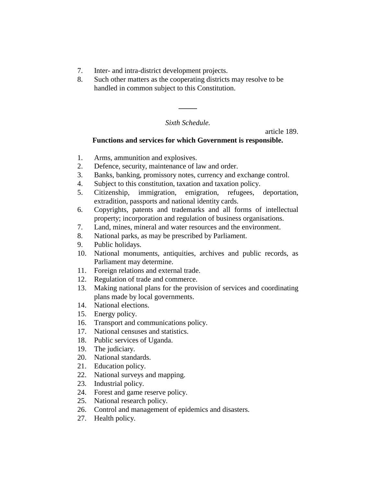- 7. Inter- and intra-district development projects.
- 8. Such other matters as the cooperating districts may resolve to be handled in common subject to this Constitution.

*Sixth Schedule.*

**\_\_\_\_\_**

article 189.

# **Functions and services for which Government is responsible.**

- 1. Arms, ammunition and explosives.
- 2. Defence, security, maintenance of law and order.
- 3. Banks, banking, promissory notes, currency and exchange control.
- 4. Subject to this constitution, taxation and taxation policy.
- 5. Citizenship, immigration, emigration, refugees, deportation, extradition, passports and national identity cards.
- 6. Copyrights, patents and trademarks and all forms of intellectual property; incorporation and regulation of business organisations.
- 7. Land, mines, mineral and water resources and the environment.
- 8. National parks, as may be prescribed by Parliament.
- 9. Public holidays.
- 10. National monuments, antiquities, archives and public records, as Parliament may determine.
- 11. Foreign relations and external trade.
- 12. Regulation of trade and commerce.
- 13. Making national plans for the provision of services and coordinating plans made by local governments.
- 14. National elections.
- 15. Energy policy.
- 16. Transport and communications policy.
- 17. National censuses and statistics.
- 18. Public services of Uganda.
- 19. The judiciary.
- 20. National standards.
- 21. Education policy.
- 22. National surveys and mapping.
- 23. Industrial policy.
- 24. Forest and game reserve policy.
- 25. National research policy.
- 26. Control and management of epidemics and disasters.
- 27. Health policy.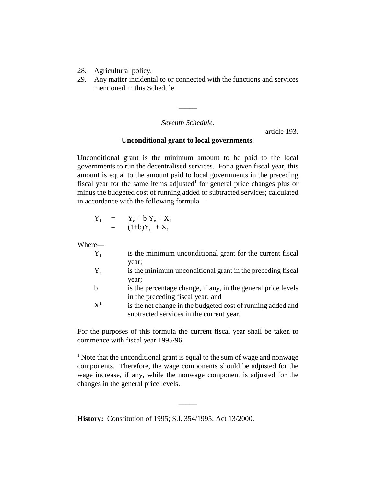- 28. Agricultural policy.
- 29. Any matter incidental to or connected with the functions and services mentioned in this Schedule.

*Seventh Schedule.*

**\_\_\_\_\_**

article 193.

# **Unconditional grant to local governments.**

Unconditional grant is the minimum amount to be paid to the local governments to run the decentralised services. For a given fiscal year, this amount is equal to the amount paid to local governments in the preceding fiscal year for the same items adjusted<sup>1</sup> for general price changes plus or minus the budgeted cost of running added or subtracted services; calculated in accordance with the following formula—

$$
\begin{array}{rcl}\nY_1 & = & Y_o + b \, Y_o + X_1 \\
& = & (1+b)Y_o + X_1\n\end{array}
$$

Where—

| $Y_{1}$      | is the minimum unconditional grant for the current fiscal  |
|--------------|------------------------------------------------------------|
|              | year:                                                      |
| $Y_{\alpha}$ | is the minimum unconditional grant in the preceding fiscal |
|              | vear:                                                      |
|              |                                                            |

- b is the percentage change, if any, in the general price levels in the preceding fiscal year; and
- $X<sup>1</sup>$  is the net change in the budgeted cost of running added and subtracted services in the current year.

For the purposes of this formula the current fiscal year shall be taken to commence with fiscal year 1995/96.

<sup>1</sup> Note that the unconditional grant is equal to the sum of wage and nonwage components. Therefore, the wage components should be adjusted for the wage increase, if any, while the nonwage component is adjusted for the changes in the general price levels.

**\_\_\_\_\_**

**History:** Constitution of 1995; S.I. 354/1995; Act 13/2000.